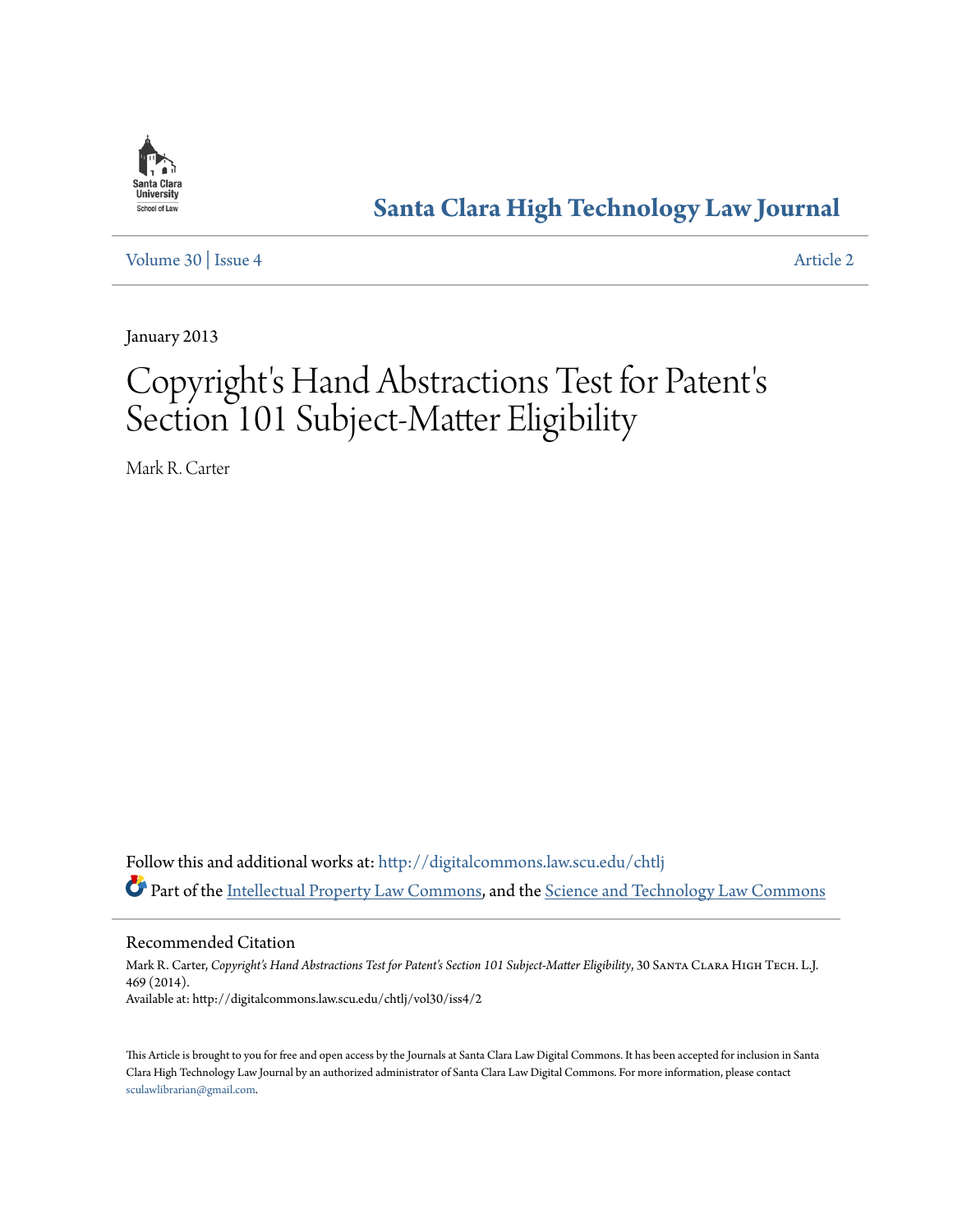

# **[Santa Clara High Technology Law Journal](http://digitalcommons.law.scu.edu/chtlj?utm_source=digitalcommons.law.scu.edu%2Fchtlj%2Fvol30%2Fiss4%2F2&utm_medium=PDF&utm_campaign=PDFCoverPages)**

[Volume 30](http://digitalcommons.law.scu.edu/chtlj/vol30?utm_source=digitalcommons.law.scu.edu%2Fchtlj%2Fvol30%2Fiss4%2F2&utm_medium=PDF&utm_campaign=PDFCoverPages) | [Issue 4](http://digitalcommons.law.scu.edu/chtlj/vol30/iss4?utm_source=digitalcommons.law.scu.edu%2Fchtlj%2Fvol30%2Fiss4%2F2&utm_medium=PDF&utm_campaign=PDFCoverPages) [Article 2](http://digitalcommons.law.scu.edu/chtlj/vol30/iss4/2?utm_source=digitalcommons.law.scu.edu%2Fchtlj%2Fvol30%2Fiss4%2F2&utm_medium=PDF&utm_campaign=PDFCoverPages)

January 2013

# Copyright's Hand Abstractions Test for Patent' s Section 101 Subject-Matter Eligibility

Mark R. Carter

Follow this and additional works at: [http://digitalcommons.law.scu.edu/chtlj](http://digitalcommons.law.scu.edu/chtlj?utm_source=digitalcommons.law.scu.edu%2Fchtlj%2Fvol30%2Fiss4%2F2&utm_medium=PDF&utm_campaign=PDFCoverPages) Part of the [Intellectual Property Law Commons,](http://network.bepress.com/hgg/discipline/896?utm_source=digitalcommons.law.scu.edu%2Fchtlj%2Fvol30%2Fiss4%2F2&utm_medium=PDF&utm_campaign=PDFCoverPages) and the [Science and Technology Law Commons](http://network.bepress.com/hgg/discipline/875?utm_source=digitalcommons.law.scu.edu%2Fchtlj%2Fvol30%2Fiss4%2F2&utm_medium=PDF&utm_campaign=PDFCoverPages)

Recommended Citation

Mark R. Carter, Copyright's Hand Abstractions Test for Patent's Section 101 Subject-Matter Eligibility, 30 SANTA CLARA HIGH TECH. L.J. 469 (2014). Available at: http://digitalcommons.law.scu.edu/chtlj/vol30/iss4/2

This Article is brought to you for free and open access by the Journals at Santa Clara Law Digital Commons. It has been accepted for inclusion in Santa Clara High Technology Law Journal by an authorized administrator of Santa Clara Law Digital Commons. For more information, please contact [sculawlibrarian@gmail.com](mailto:sculawlibrarian@gmail.com).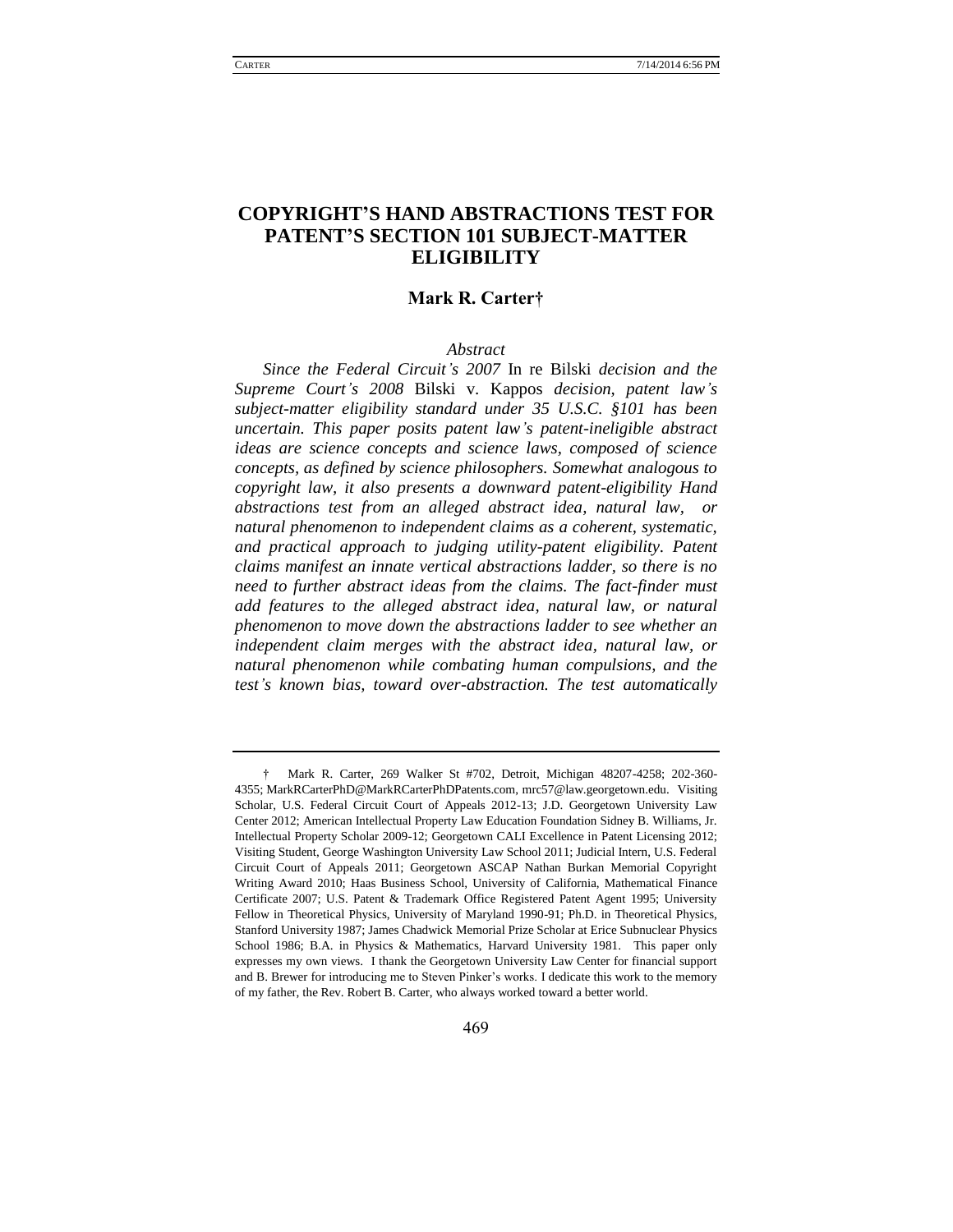### **COPYRIGHT'S HAND ABSTRACTIONS TEST FOR PATENT'S SECTION 101 SUBJECT-MATTER ELIGIBILITY**

### **Mark R. Carter†**

### *Abstract*

*Since the Federal Circuit's 2007* In re Bilski *decision and the Supreme Court's 2008* Bilski v. Kappos *decision, patent law's subject-matter eligibility standard under 35 U.S.C. §101 has been uncertain. This paper posits patent law's patent-ineligible abstract ideas are science concepts and science laws, composed of science concepts, as defined by science philosophers. Somewhat analogous to copyright law, it also presents a downward patent-eligibility Hand abstractions test from an alleged abstract idea, natural law, or natural phenomenon to independent claims as a coherent, systematic, and practical approach to judging utility-patent eligibility. Patent claims manifest an innate vertical abstractions ladder, so there is no need to further abstract ideas from the claims. The fact-finder must add features to the alleged abstract idea, natural law, or natural phenomenon to move down the abstractions ladder to see whether an independent claim merges with the abstract idea, natural law, or natural phenomenon while combating human compulsions, and the test's known bias, toward over-abstraction. The test automatically* 

<sup>†</sup> Mark R. Carter, 269 Walker St #702, Detroit, Michigan 48207-4258; 202-360- 4355; MarkRCarterPhD@MarkRCarterPhDPatents.com, mrc57@law.georgetown.edu. Visiting Scholar, U.S. Federal Circuit Court of Appeals 2012-13; J.D. Georgetown University Law Center 2012; American Intellectual Property Law Education Foundation Sidney B. Williams, Jr. Intellectual Property Scholar 2009-12; Georgetown CALI Excellence in Patent Licensing 2012; Visiting Student, George Washington University Law School 2011; Judicial Intern, U.S. Federal Circuit Court of Appeals 2011; Georgetown ASCAP Nathan Burkan Memorial Copyright Writing Award 2010; Haas Business School, University of California, Mathematical Finance Certificate 2007; U.S. Patent & Trademark Office Registered Patent Agent 1995; University Fellow in Theoretical Physics, University of Maryland 1990-91; Ph.D. in Theoretical Physics, Stanford University 1987; James Chadwick Memorial Prize Scholar at Erice Subnuclear Physics School 1986; B.A. in Physics & Mathematics, Harvard University 1981. This paper only expresses my own views. I thank the Georgetown University Law Center for financial support and B. Brewer for introducing me to Steven Pinker's works. I dedicate this work to the memory of my father, the Rev. Robert B. Carter, who always worked toward a better world.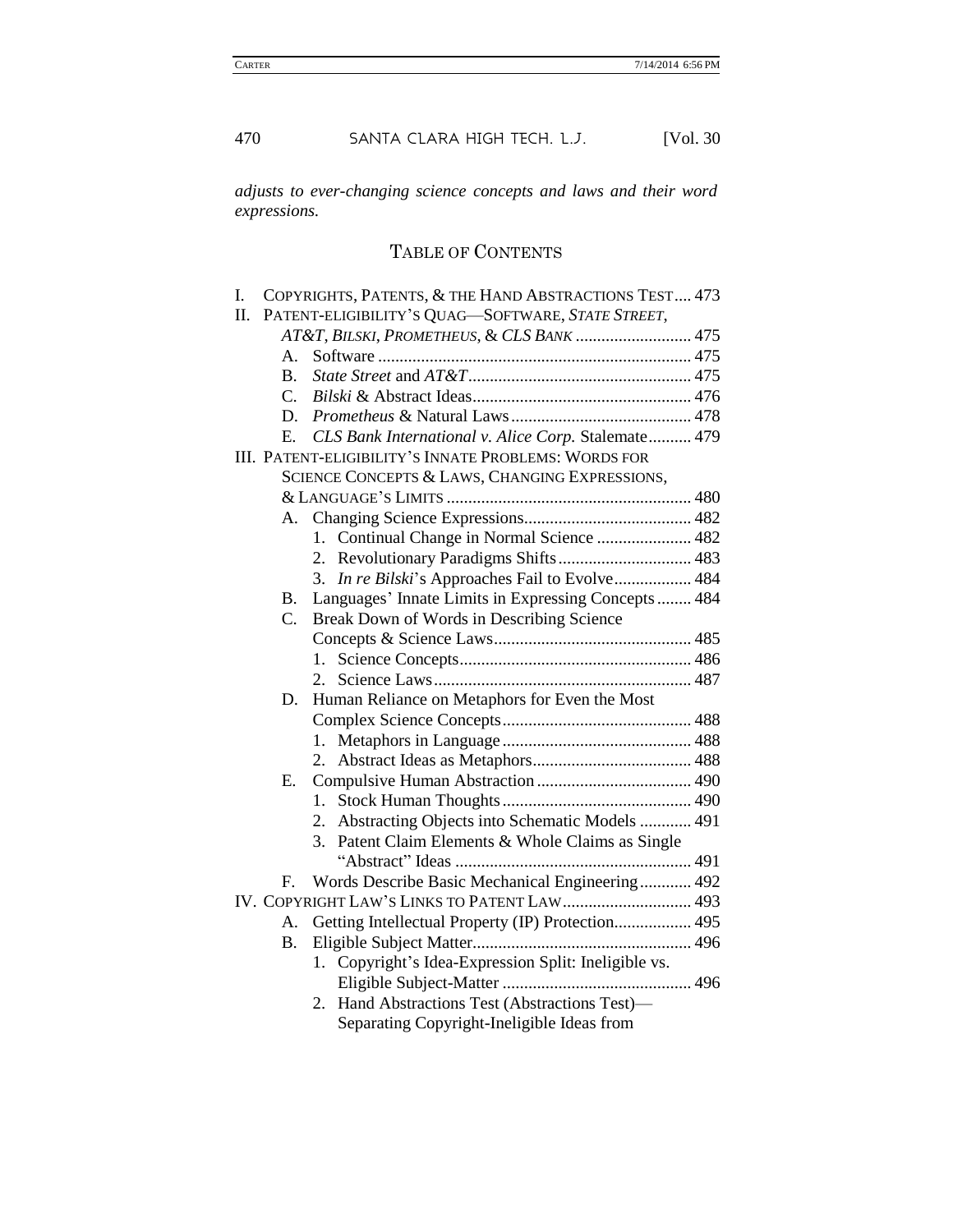*adjusts to ever-changing science concepts and laws and their word expressions.*

## TABLE OF CONTENTS

| I.                                                   |                                                      | COPYRIGHTS, PATENTS, & THE HAND ABSTRACTIONS TEST 473 |  |  |
|------------------------------------------------------|------------------------------------------------------|-------------------------------------------------------|--|--|
| П.                                                   |                                                      | PATENT-ELIGIBILITY'S QUAG-SOFTWARE, STATE STREET,     |  |  |
|                                                      | AT&T, BILSKI, PROMETHEUS, & CLS BANK  475            |                                                       |  |  |
|                                                      | А.                                                   |                                                       |  |  |
|                                                      | $\mathbf{B}$ .                                       |                                                       |  |  |
|                                                      | $\mathcal{C}$ .                                      |                                                       |  |  |
|                                                      | D.                                                   |                                                       |  |  |
|                                                      | Е.                                                   | CLS Bank International v. Alice Corp. Stalemate 479   |  |  |
| III. PATENT-ELIGIBILITY'S INNATE PROBLEMS: WORDS FOR |                                                      |                                                       |  |  |
| SCIENCE CONCEPTS & LAWS, CHANGING EXPRESSIONS,       |                                                      |                                                       |  |  |
|                                                      |                                                      |                                                       |  |  |
|                                                      | А.                                                   |                                                       |  |  |
|                                                      |                                                      | 1. Continual Change in Normal Science  482            |  |  |
|                                                      |                                                      |                                                       |  |  |
|                                                      |                                                      | In re Bilski's Approaches Fail to Evolve 484<br>3.    |  |  |
|                                                      | В.                                                   | Languages' Innate Limits in Expressing Concepts  484  |  |  |
|                                                      | $C_{\cdot}$                                          | Break Down of Words in Describing Science             |  |  |
|                                                      |                                                      |                                                       |  |  |
|                                                      |                                                      | 1.                                                    |  |  |
|                                                      |                                                      | $2^{\circ}$                                           |  |  |
|                                                      | D.                                                   | Human Reliance on Metaphors for Even the Most         |  |  |
|                                                      |                                                      |                                                       |  |  |
|                                                      |                                                      |                                                       |  |  |
|                                                      |                                                      |                                                       |  |  |
|                                                      | Е.                                                   |                                                       |  |  |
|                                                      |                                                      | 1.                                                    |  |  |
|                                                      |                                                      | 2. Abstracting Objects into Schematic Models  491     |  |  |
|                                                      |                                                      | Patent Claim Elements & Whole Claims as Single<br>3.  |  |  |
|                                                      |                                                      |                                                       |  |  |
|                                                      | F.                                                   | Words Describe Basic Mechanical Engineering 492       |  |  |
|                                                      |                                                      | IV. COPYRIGHT LAW'S LINKS TO PATENT LAW 493           |  |  |
|                                                      | А.                                                   | Getting Intellectual Property (IP) Protection 495     |  |  |
|                                                      | Β.                                                   |                                                       |  |  |
|                                                      | 1. Copyright's Idea-Expression Split: Ineligible vs. |                                                       |  |  |
|                                                      |                                                      |                                                       |  |  |
|                                                      |                                                      | 2. Hand Abstractions Test (Abstractions Test)-        |  |  |
|                                                      |                                                      | Separating Copyright-Ineligible Ideas from            |  |  |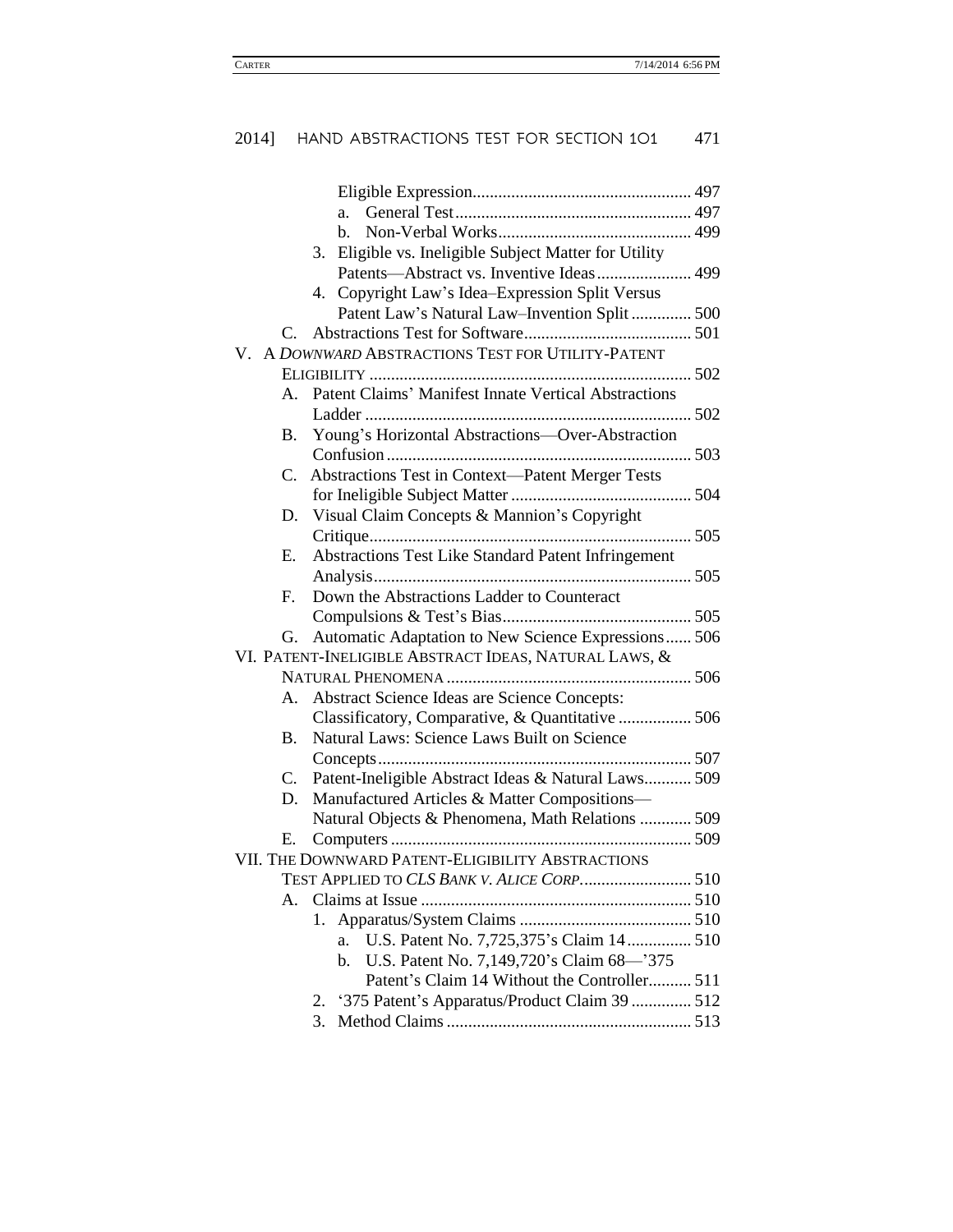|                       | a.                                                       |  |
|-----------------------|----------------------------------------------------------|--|
|                       | b.                                                       |  |
|                       | Eligible vs. Ineligible Subject Matter for Utility<br>3. |  |
|                       | Patents-Abstract vs. Inventive Ideas 499                 |  |
|                       | 4. Copyright Law's Idea-Expression Split Versus          |  |
|                       | Patent Law's Natural Law-Invention Split  500            |  |
| $\mathcal{C}_{\cdot}$ |                                                          |  |
|                       | V. A DOWNWARD ABSTRACTIONS TEST FOR UTILITY-PATENT       |  |
|                       |                                                          |  |
|                       | A. Patent Claims' Manifest Innate Vertical Abstractions  |  |
|                       |                                                          |  |
| <b>B.</b>             | Young's Horizontal Abstractions-Over-Abstraction         |  |
|                       |                                                          |  |
| $C_{\cdot}$           | <b>Abstractions Test in Context-Patent Merger Tests</b>  |  |
|                       |                                                          |  |
| D.                    | Visual Claim Concepts & Mannion's Copyright              |  |
|                       |                                                          |  |
| E.                    | Abstractions Test Like Standard Patent Infringement      |  |
|                       |                                                          |  |
| F.                    | Down the Abstractions Ladder to Counteract               |  |
|                       |                                                          |  |
| G.                    | Automatic Adaptation to New Science Expressions 506      |  |
|                       | VI. PATENT-INELIGIBLE ABSTRACT IDEAS, NATURAL LAWS, &    |  |
|                       |                                                          |  |
| А.                    | <b>Abstract Science Ideas are Science Concepts:</b>      |  |
|                       | Classificatory, Comparative, & Quantitative  506         |  |
| <b>B.</b>             | Natural Laws: Science Laws Built on Science              |  |
|                       |                                                          |  |
| C.                    | Patent-Ineligible Abstract Ideas & Natural Laws 509      |  |
| D.                    | Manufactured Articles & Matter Compositions-             |  |
|                       | Natural Objects & Phenomena, Math Relations  509         |  |
| Е.                    |                                                          |  |
|                       | VII. THE DOWNWARD PATENT-ELIGIBILITY ABSTRACTIONS        |  |
|                       | TEST APPLIED TO CLS BANK V. ALICE CORP 510               |  |
| A.                    |                                                          |  |
|                       | 1.                                                       |  |
|                       | U.S. Patent No. 7,725,375's Claim 14 510<br>a.           |  |
|                       | U.S. Patent No. 7,149,720's Claim 68-'375<br>b.          |  |
|                       | Patent's Claim 14 Without the Controller 511             |  |
|                       | '375 Patent's Apparatus/Product Claim 39  512<br>2.      |  |
|                       | 3.                                                       |  |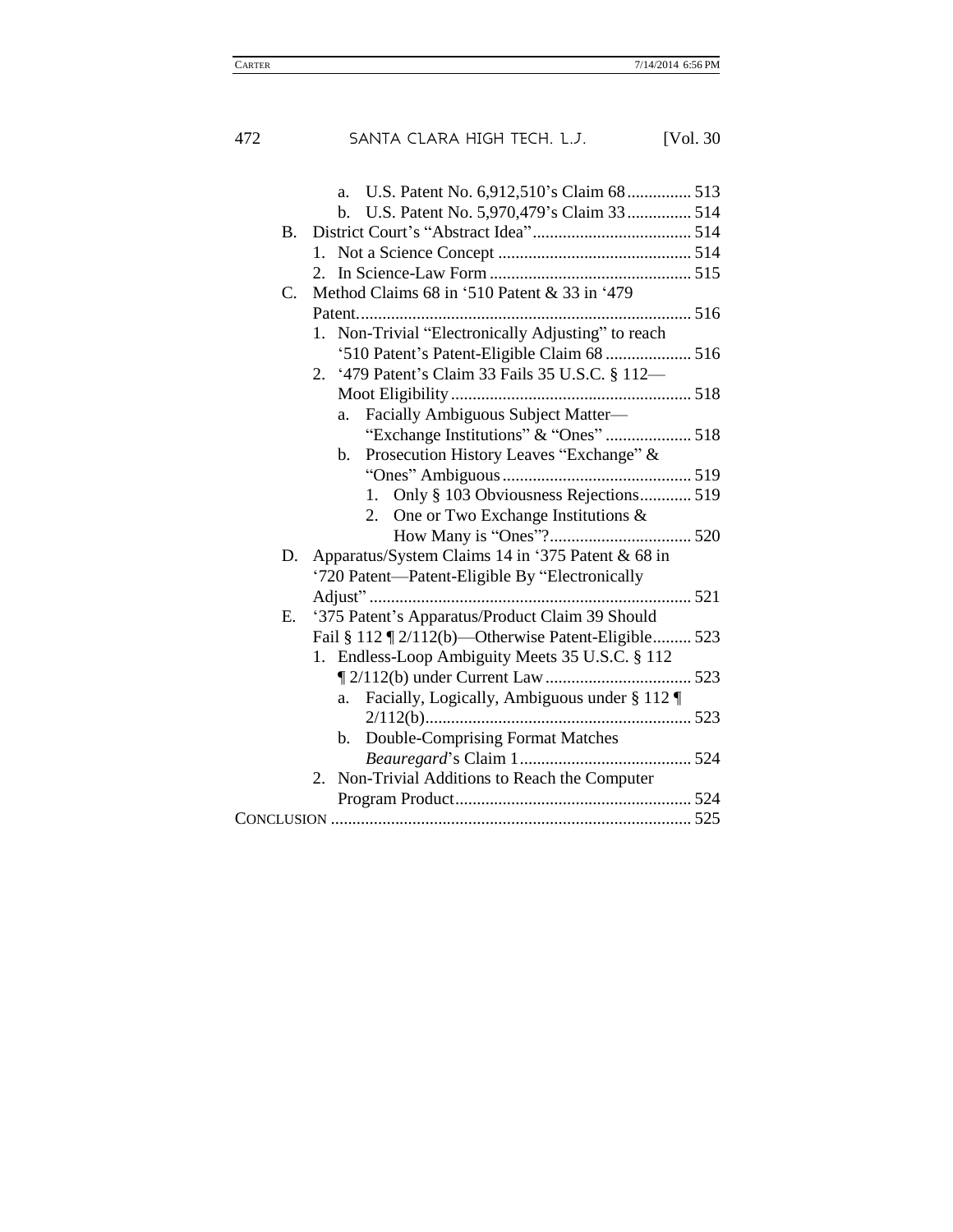| 472 | SANTA CLARA HIGH TECH. L.J.<br>[Vol. 30]                                          |
|-----|-----------------------------------------------------------------------------------|
|     | a.<br>U.S. Patent No. 5,970,479's Claim 33 514<br>b.<br>$\mathbf{B}$ .<br>$1_{-}$ |
|     | Method Claims 68 in '510 Patent & 33 in '479<br>C.                                |
|     |                                                                                   |
|     | Non-Trivial "Electronically Adjusting" to reach<br>1.                             |
|     | '510 Patent's Patent-Eligible Claim 68  516                                       |
|     | 2. '479 Patent's Claim 33 Fails 35 U.S.C. § 112-                                  |
|     |                                                                                   |
|     | Facially Ambiguous Subject Matter-<br>a.                                          |
|     | "Exchange Institutions" & "Ones"  518                                             |
|     | Prosecution History Leaves "Exchange" &<br>b.                                     |
|     |                                                                                   |
|     | Only § 103 Obviousness Rejections 519<br>1.                                       |
|     | 2.<br>One or Two Exchange Institutions &                                          |
|     |                                                                                   |
|     | Apparatus/System Claims 14 in '375 Patent & 68 in<br>D.                           |
|     | '720 Patent-Patent-Eligible By "Electronically                                    |
|     | '375 Patent's Apparatus/Product Claim 39 Should<br>Е.                             |
|     | Fail § 112 ¶ 2/112(b)—Otherwise Patent-Eligible 523                               |
|     | 1. Endless-Loop Ambiguity Meets 35 U.S.C. § 112                                   |
|     |                                                                                   |
|     | Facially, Logically, Ambiguous under § 112<br>a.                                  |
|     |                                                                                   |
|     | Double-Comprising Format Matches<br>b.                                            |
|     |                                                                                   |
|     | Non-Trivial Additions to Reach the Computer<br>$2_{-}$                            |
|     |                                                                                   |
|     |                                                                                   |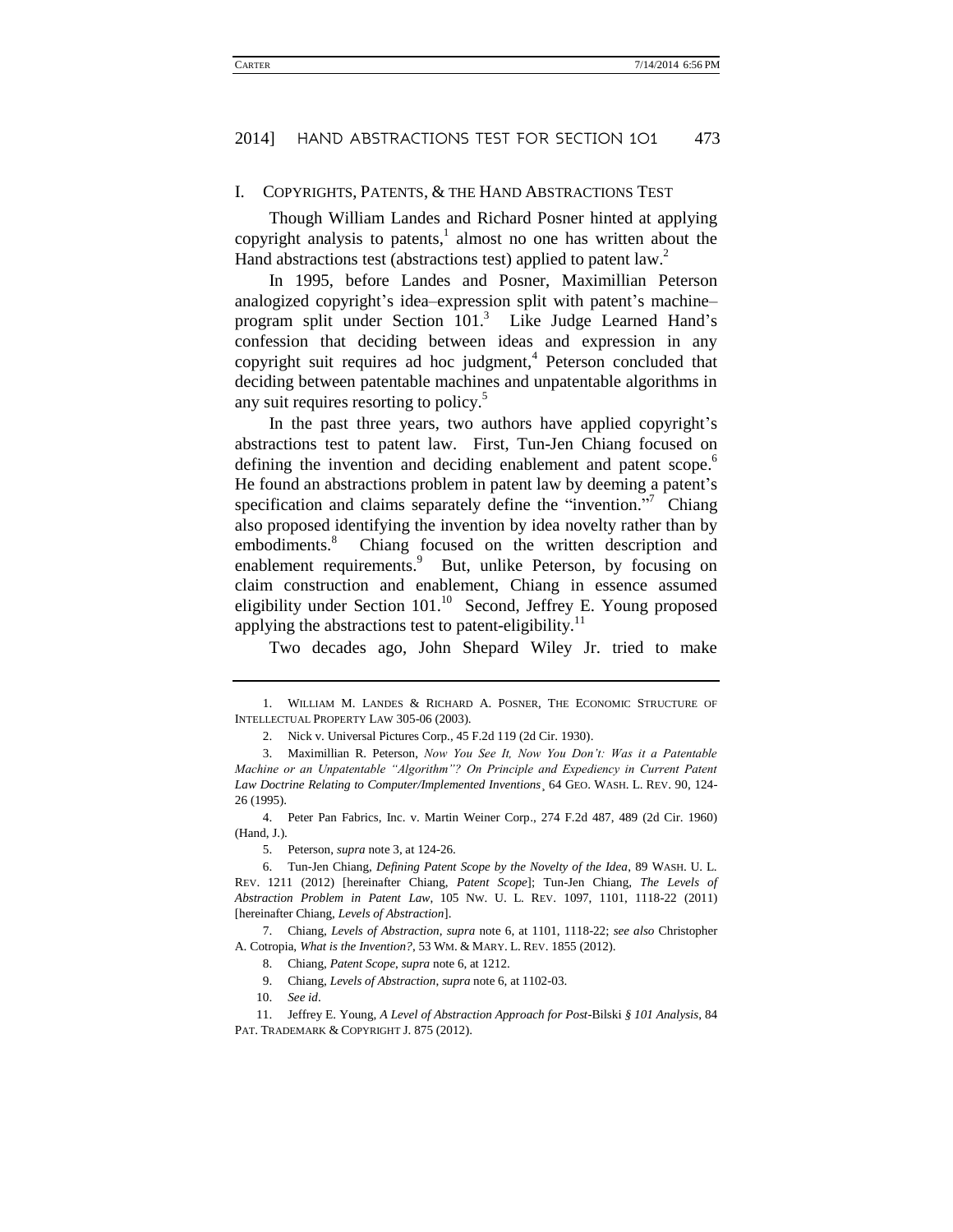#### I. COPYRIGHTS, PATENTS, & THE HAND ABSTRACTIONS TEST

<span id="page-5-3"></span>Though William Landes and Richard Posner hinted at applying copyright analysis to patents, $\frac{1}{1}$  almost no one has written about the Hand abstractions test (abstractions test) applied to patent law.<sup>2</sup>

<span id="page-5-0"></span>In 1995, before Landes and Posner, Maximillian Peterson analogized copyright's idea–expression split with patent's machine– program split under Section  $101<sup>3</sup>$  Like Judge Learned Hand's confession that deciding between ideas and expression in any copyright suit requires ad hoc judgment,<sup>4</sup> Peterson concluded that deciding between patentable machines and unpatentable algorithms in any suit requires resorting to policy.<sup>5</sup>

<span id="page-5-1"></span>In the past three years, two authors have applied copyright's abstractions test to patent law. First, Tun-Jen Chiang focused on defining the invention and deciding enablement and patent scope.<sup>6</sup> He found an abstractions problem in patent law by deeming a patent's specification and claims separately define the "invention."<sup>7</sup> Chiang also proposed identifying the invention by idea novelty rather than by embodiments.<sup>8</sup> Chiang focused on the written description and enablement requirements.<sup>9</sup> But, unlike Peterson, by focusing on claim construction and enablement, Chiang in essence assumed eligibility under Section  $101<sup>10</sup>$  Second, Jeffrey E. Young proposed applying the abstractions test to patent-eligibility.<sup>11</sup>

<span id="page-5-2"></span>Two decades ago, John Shepard Wiley Jr. tried to make

4. Peter Pan Fabrics, Inc. v. Martin Weiner Corp., 274 F.2d 487, 489 (2d Cir. 1960) (Hand, J.).

<sup>1.</sup> WILLIAM M. LANDES & RICHARD A. POSNER, THE ECONOMIC STRUCTURE OF INTELLECTUAL PROPERTY LAW 305-06 (2003).

<sup>2.</sup> Nick v. Universal Pictures Corp., 45 F.2d 119 (2d Cir. 1930).

<sup>3.</sup> Maximillian R. Peterson, *Now You See It, Now You Don't: Was it a Patentable Machine or an Unpatentable "Algorithm"? On Principle and Expediency in Current Patent Law Doctrine Relating to Computer/Implemented Inventions*¸ 64 GEO. WASH. L. REV. 90, 124- 26 (1995).

<sup>5.</sup> Peterson, *supra* not[e 3,](#page-5-0) at 124-26.

<sup>6.</sup> Tun-Jen Chiang, *Defining Patent Scope by the Novelty of the Idea*, 89 WASH. U. L. REV. 1211 (2012) [hereinafter Chiang, *Patent Scope*]; Tun-Jen Chiang, *The Levels of Abstraction Problem in Patent Law*, 105 NW. U. L. REV. 1097, 1101, 1118-22 (2011) [hereinafter Chiang, *Levels of Abstraction*].

<sup>7.</sup> Chiang, *Levels of Abstraction*, *supra* note 6, at 1101, 1118-22; *see also* Christopher A. Cotropia, *What is the Invention?*, 53 WM. & MARY. L. REV. 1855 (2012).

<sup>8.</sup> Chiang, *Patent Scope*, *supra* not[e 6,](#page-5-1) at 1212.

<sup>9.</sup> Chiang, *Levels of Abstraction*, *supra* note 6, at 1102-03.

<sup>10.</sup> *See id*.

<sup>11.</sup> Jeffrey E. Young, *A Level of Abstraction Approach for Post-*Bilski *§ 101 Analysis*, 84 PAT. TRADEMARK & COPYRIGHT J. 875 (2012).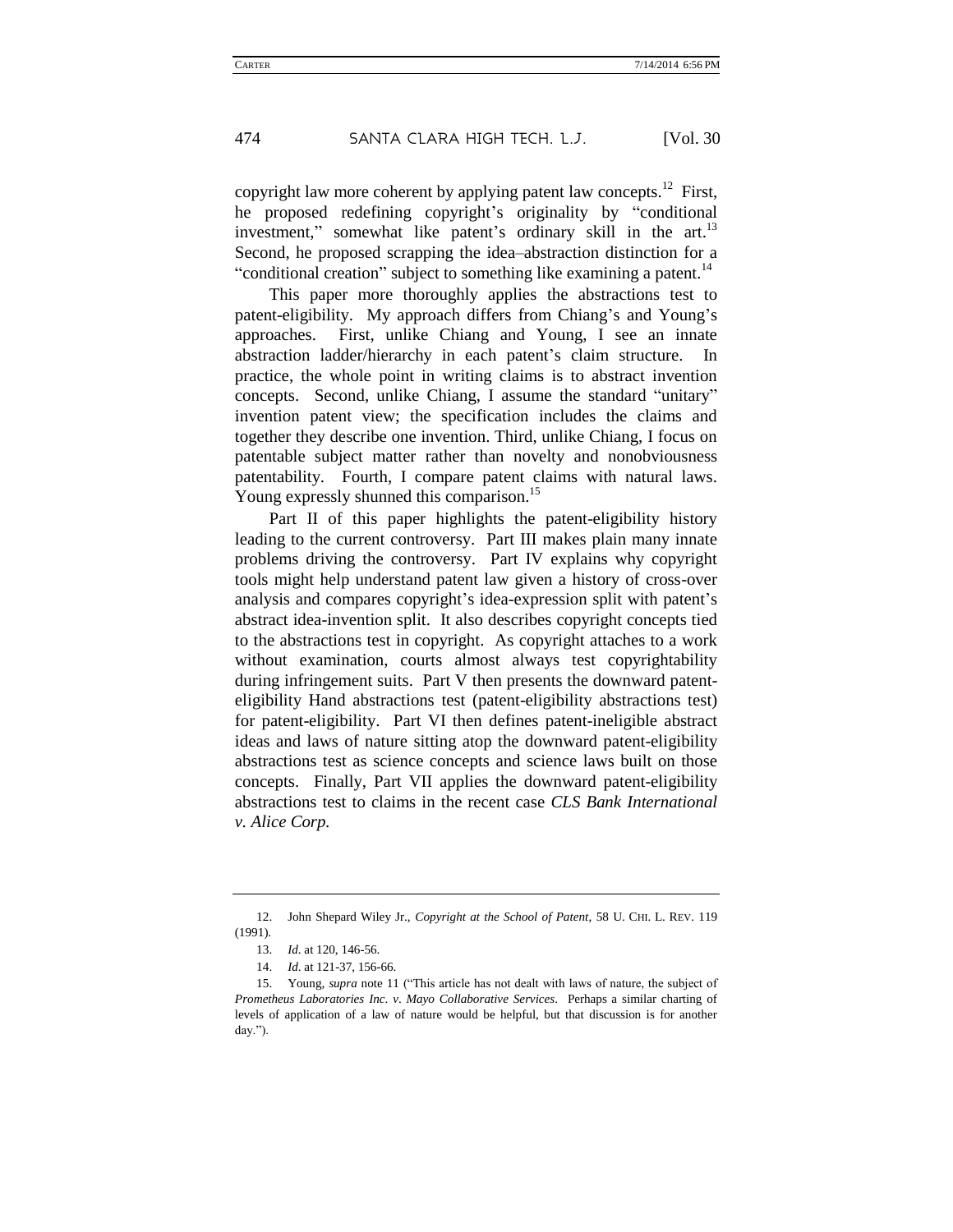<span id="page-6-0"></span>copyright law more coherent by applying patent law concepts.<sup>12</sup> First, he proposed redefining copyright's originality by "conditional investment," somewhat like patent's ordinary skill in the art.<sup>13</sup> Second, he proposed scrapping the idea–abstraction distinction for a "conditional creation" subject to something like examining a patent.<sup>14</sup>

This paper more thoroughly applies the abstractions test to patent-eligibility. My approach differs from Chiang's and Young's approaches. First, unlike Chiang and Young, I see an innate abstraction ladder/hierarchy in each patent's claim structure. In practice, the whole point in writing claims is to abstract invention concepts. Second, unlike Chiang, I assume the standard "unitary" invention patent view; the specification includes the claims and together they describe one invention. Third, unlike Chiang, I focus on patentable subject matter rather than novelty and nonobviousness patentability. Fourth, I compare patent claims with natural laws. Young expressly shunned this comparison.<sup>15</sup>

Part II of this paper highlights the patent-eligibility history leading to the current controversy. Part III makes plain many innate problems driving the controversy. Part IV explains why copyright tools might help understand patent law given a history of cross-over analysis and compares copyright's idea-expression split with patent's abstract idea-invention split. It also describes copyright concepts tied to the abstractions test in copyright. As copyright attaches to a work without examination, courts almost always test copyrightability during infringement suits. Part V then presents the downward patenteligibility Hand abstractions test (patent-eligibility abstractions test) for patent-eligibility. Part VI then defines patent-ineligible abstract ideas and laws of nature sitting atop the downward patent-eligibility abstractions test as science concepts and science laws built on those concepts. Finally, Part VII applies the downward patent-eligibility abstractions test to claims in the recent case *CLS Bank International v. Alice Corp.*

<sup>12.</sup> John Shepard Wiley Jr., *Copyright at the School of Patent*, 58 U. CHI. L. REV. 119 (1991).

<sup>13.</sup> *Id*. at 120, 146-56.

<sup>14.</sup> *Id*. at 121-37, 156-66.

<sup>15.</sup> Young, *supra* not[e 11](#page-5-2) ("This article has not dealt with laws of nature, the subject of *Prometheus Laboratories Inc*. *v*. *Mayo Collaborative Services*. Perhaps a similar charting of levels of application of a law of nature would be helpful, but that discussion is for another day.").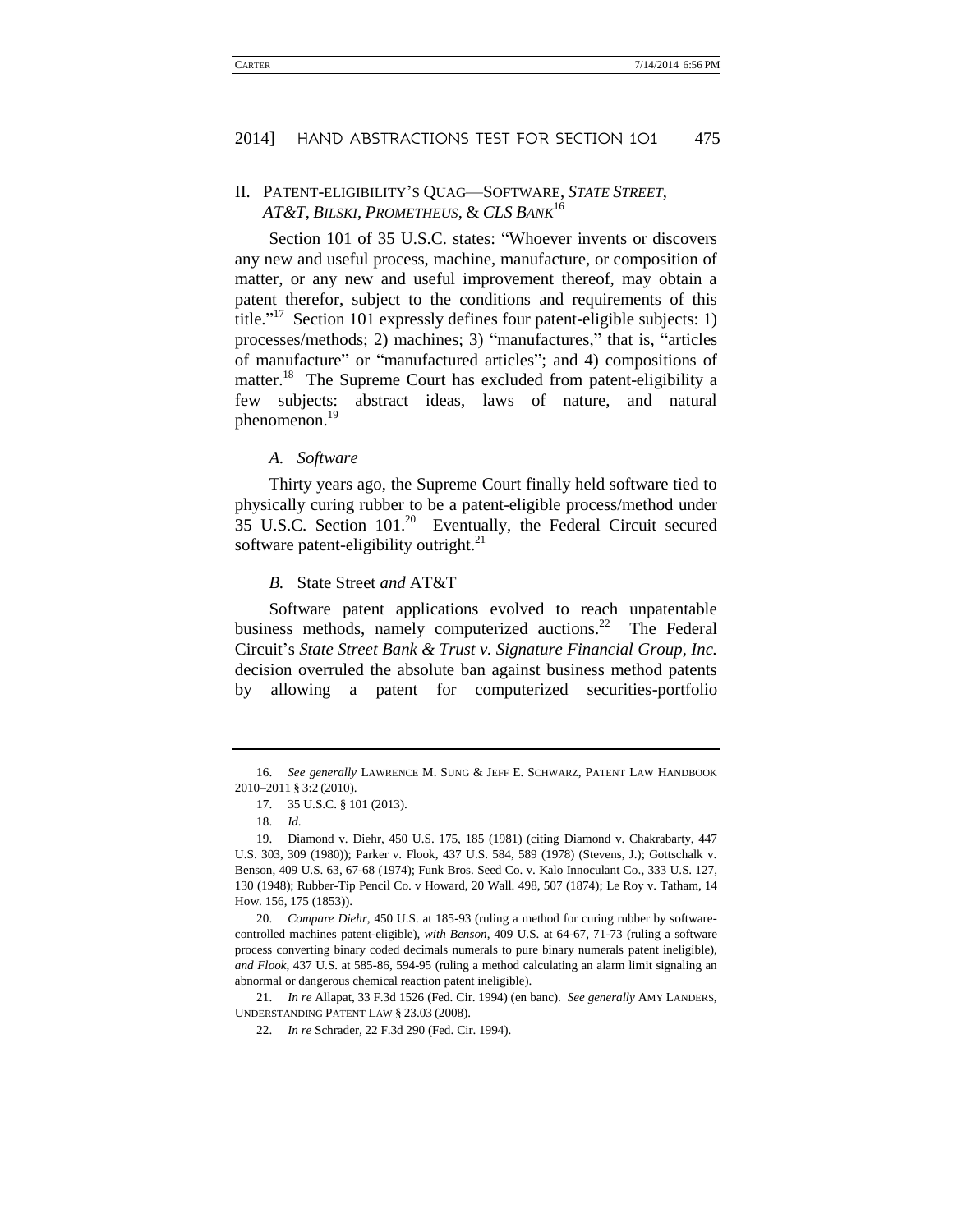### <span id="page-7-1"></span><span id="page-7-0"></span>II. PATENT-ELIGIBILITY'S QUAG—SOFTWARE, *STATE STREET*, *AT&T*, *BILSKI*, *PROMETHEUS*, & *CLS BANK*<sup>16</sup>

Section 101 of 35 U.S.C. states: "Whoever invents or discovers any new and useful process, machine, manufacture, or composition of matter, or any new and useful improvement thereof, may obtain a patent therefor, subject to the conditions and requirements of this title." <sup>17</sup> Section 101 expressly defines four patent-eligible subjects: 1) processes/methods; 2) machines; 3) "manufactures," that is, "articles of manufacture" or "manufactured articles"; and 4) compositions of matter.<sup>18</sup> The Supreme Court has excluded from patent-eligibility a few subjects: abstract ideas, laws of nature, and natural phenomenon.<sup>19</sup>

*A. Software*

Thirty years ago, the Supreme Court finally held software tied to physically curing rubber to be a patent-eligible process/method under 35 U.S.C. Section  $101<sup>20</sup>$  Eventually, the Federal Circuit secured software patent-eligibility outright. $^{21}$ 

#### *B.* State Street *and* AT&T

Software patent applications evolved to reach unpatentable business methods, namely computerized auctions.<sup>22</sup> The Federal Circuit's *State Street Bank & Trust v. Signature Financial Group, Inc.*  decision overruled the absolute ban against business method patents by allowing a patent for computerized securities-portfolio

21. *In re* Allapat, 33 F.3d 1526 (Fed. Cir. 1994) (en banc). *See generally* AMY LANDERS, UNDERSTANDING PATENT LAW § 23.03 (2008).

<sup>16.</sup> *See generally* LAWRENCE M. SUNG & JEFF E. SCHWARZ, PATENT LAW HANDBOOK 2010–2011 § 3:2 (2010).

<sup>17.</sup> 35 U.S.C. § 101 (2013).

<sup>18.</sup> *Id*.

<sup>19.</sup> Diamond v. Diehr, 450 U.S. 175, 185 (1981) (citing Diamond v. Chakrabarty, 447 U.S. 303, 309 (1980)); Parker v. Flook, 437 U.S. 584, 589 (1978) (Stevens, J.); Gottschalk v. Benson, 409 U.S. 63, 67-68 (1974); Funk Bros. Seed Co. v. Kalo Innoculant Co., 333 U.S. 127, 130 (1948); Rubber-Tip Pencil Co. v Howard, 20 Wall. 498, 507 (1874); Le Roy v. Tatham, 14 How. 156, 175 (1853)).

<sup>20.</sup> *Compare Diehr*, 450 U.S. at 185-93 (ruling a method for curing rubber by softwarecontrolled machines patent-eligible), *with Benson*, 409 U.S. at 64-67, 71-73 (ruling a software process converting binary coded decimals numerals to pure binary numerals patent ineligible), *and Flook*, 437 U.S. at 585-86, 594-95 (ruling a method calculating an alarm limit signaling an abnormal or dangerous chemical reaction patent ineligible).

<sup>22.</sup> *In re* Schrader, 22 F.3d 290 (Fed. Cir. 1994).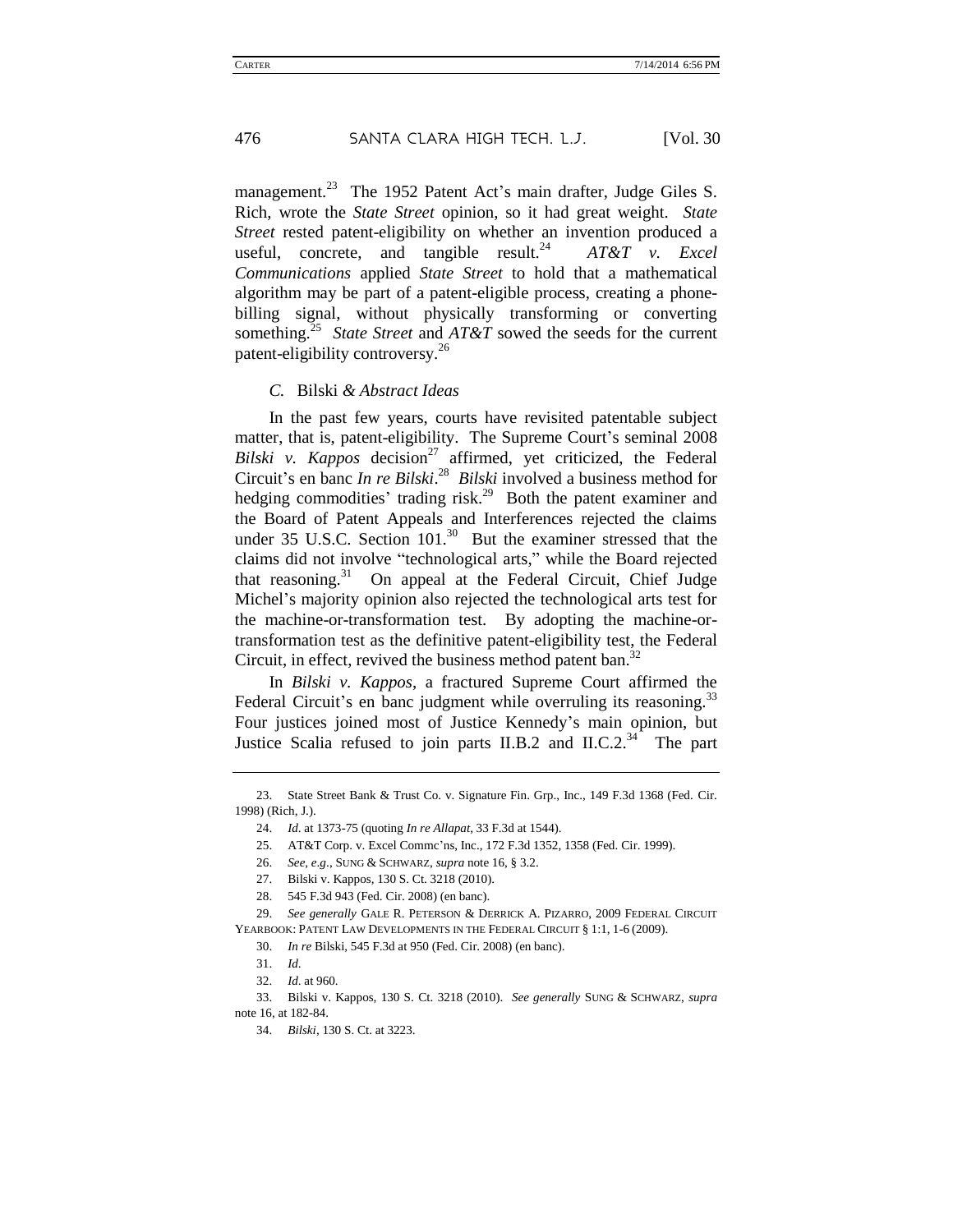management.<sup>23</sup> The 1952 Patent Act's main drafter, Judge Giles S. Rich, wrote the *State Street* opinion, so it had great weight. *State Street* rested patent-eligibility on whether an invention produced a useful, concrete, and tangible result.<sup>24</sup>  $AT&T$  v. Excel *Communications* applied *State Street* to hold that a mathematical algorithm may be part of a patent-eligible process, creating a phonebilling signal, without physically transforming or converting something.<sup>25</sup> *State Street* and *AT&T* sowed the seeds for the current patent-eligibility controversy.<sup>26</sup>

#### *C.* Bilski *& Abstract Ideas*

In the past few years, courts have revisited patentable subject matter, that is, patent-eligibility. The Supreme Court's seminal 2008 *Bilski v. Kappos* decision<sup>27</sup> affirmed, yet criticized, the Federal Circuit's en banc *In re Bilski*. <sup>28</sup> *Bilski* involved a business method for hedging commodities' trading risk.<sup>29</sup> Both the patent examiner and the Board of Patent Appeals and Interferences rejected the claims under 35 U.S.C. Section  $101^{30}$  But the examiner stressed that the claims did not involve "technological arts," while the Board rejected that reasoning.<sup>31</sup> On appeal at the Federal Circuit, Chief Judge Michel's majority opinion also rejected the technological arts test for the machine-or-transformation test. By adopting the machine-ortransformation test as the definitive patent-eligibility test, the Federal Circuit, in effect, revived the business method patent ban. $32$ 

In *Bilski v. Kappos*, a fractured Supreme Court affirmed the Federal Circuit's en banc judgment while overruling its reasoning.<sup>33</sup> Four justices joined most of Justice Kennedy's main opinion, but Justice Scalia refused to join parts II.B.2 and II.C.2. $34$  The part

25. AT&T Corp. v. Excel Commc'ns, Inc., 172 F.3d 1352, 1358 (Fed. Cir. 1999).

<sup>23.</sup> State Street Bank & Trust Co. v. Signature Fin. Grp., Inc., 149 F.3d 1368 (Fed. Cir. 1998) (Rich, J.).

<sup>24.</sup> *Id*. at 1373-75 (quoting *In re Allapat*, 33 F.3d at 1544).

<sup>26.</sup> *See, e*.*g*., SUNG & SCHWARZ, *supra* not[e 16,](#page-7-0) § 3.2.

<sup>27.</sup> Bilski v. Kappos, 130 S. Ct. 3218 (2010).

<sup>28.</sup> 545 F.3d 943 (Fed. Cir. 2008) (en banc).

<sup>29.</sup> *See generally* GALE R. PETERSON & DERRICK A. PIZARRO, 2009 FEDERAL CIRCUIT YEARBOOK: PATENT LAW DEVELOPMENTS IN THE FEDERAL CIRCUIT § 1:1, 1-6 (2009).

<sup>30.</sup> *In re* Bilski, 545 F.3d at 950 (Fed. Cir. 2008) (en banc).

<sup>31.</sup> *Id*.

<sup>32.</sup> *Id*. at 960.

<sup>33.</sup> Bilski v. Kappos, 130 S. Ct. 3218 (2010). *See generally* SUNG & SCHWARZ, *supra*  note [16,](#page-7-1) at 182-84.

<sup>34.</sup> *Bilski*, 130 S. Ct. at 3223.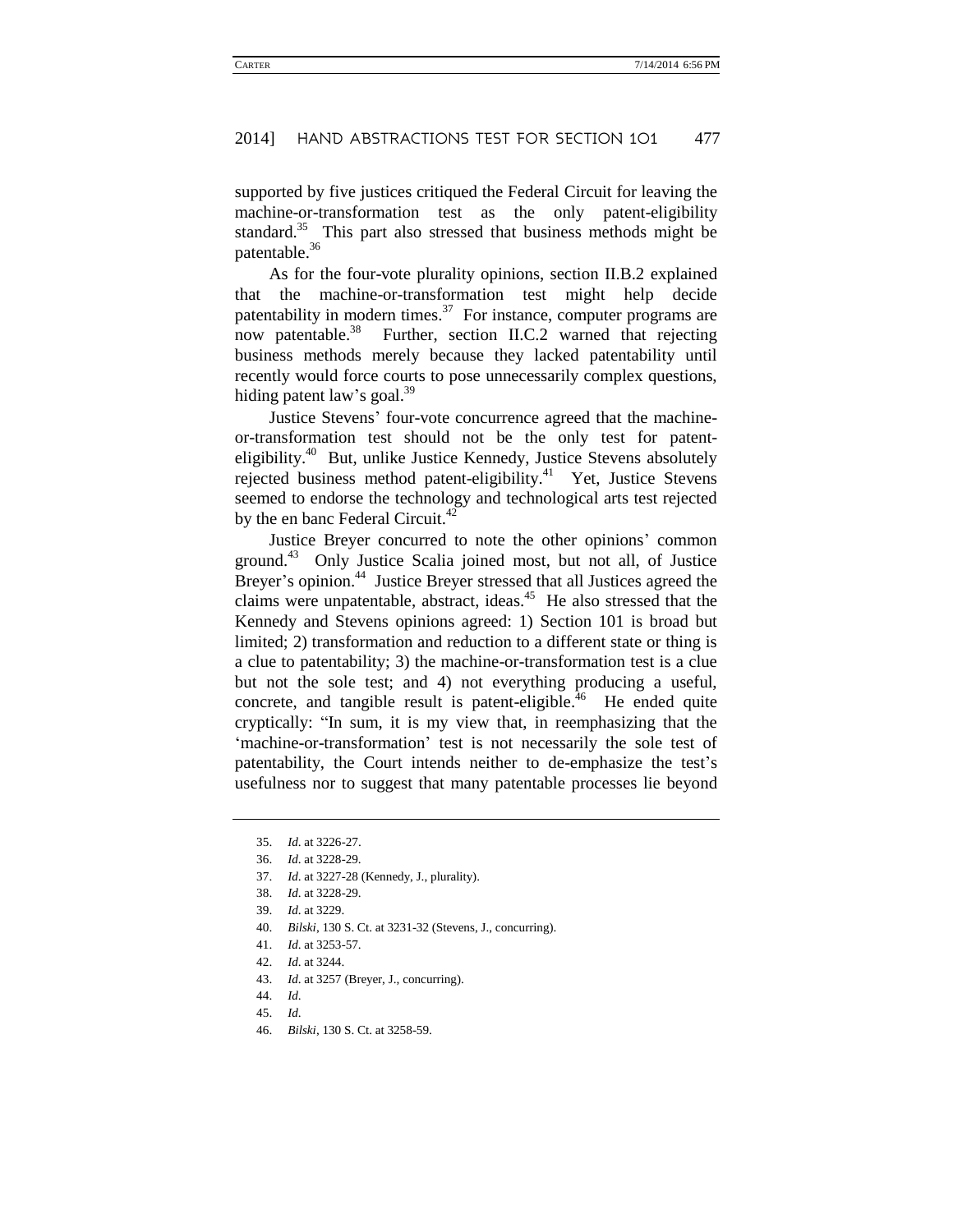supported by five justices critiqued the Federal Circuit for leaving the machine-or-transformation test as the only patent-eligibility standard.<sup>35</sup> This part also stressed that business methods might be patentable.<sup>36</sup>

As for the four-vote plurality opinions, section II.B.2 explained that the machine-or-transformation test might help decide patentability in modern times. $37$  For instance, computer programs are now patentable.<sup>38</sup> Further, section II.C.2 warned that rejecting business methods merely because they lacked patentability until recently would force courts to pose unnecessarily complex questions, hiding patent law's goal. $39$ 

Justice Stevens' four-vote concurrence agreed that the machineor-transformation test should not be the only test for patenteligibility.<sup>40</sup> But, unlike Justice Kennedy, Justice Stevens absolutely rejected business method patent-eligibility.<sup>41</sup> Yet, Justice Stevens seemed to endorse the technology and technological arts test rejected by the en banc Federal Circuit.<sup>42</sup>

Justice Breyer concurred to note the other opinions' common ground.<sup>43</sup> Only Justice Scalia joined most, but not all, of Justice Breyer's opinion.<sup>44</sup> Justice Breyer stressed that all Justices agreed the claims were unpatentable, abstract, ideas.<sup>45</sup> He also stressed that the Kennedy and Stevens opinions agreed: 1) Section 101 is broad but limited; 2) transformation and reduction to a different state or thing is a clue to patentability; 3) the machine-or-transformation test is a clue but not the sole test; and 4) not everything producing a useful, concrete, and tangible result is patent-eligible.<sup> $46$ </sup> He ended quite cryptically: "In sum, it is my view that, in reemphasizing that the 'machine-or-transformation' test is not necessarily the sole test of patentability, the Court intends neither to de-emphasize the test's usefulness nor to suggest that many patentable processes lie beyond

40. *Bilski*, 130 S. Ct. at 3231-32 (Stevens, J., concurring).

44. *Id*.

46. *Bilski*, 130 S. Ct. at 3258-59.

<sup>35.</sup> *Id*. at 3226-27.

<sup>36.</sup> *Id*. at 3228-29.

<sup>37.</sup> *Id*. at 3227-28 (Kennedy, J., plurality).

<sup>38.</sup> *Id*. at 3228-29.

<sup>39.</sup> *Id*. at 3229.

<sup>41.</sup> *Id*. at 3253-57.

<sup>42.</sup> *Id*. at 3244.

<sup>43.</sup> *Id*. at 3257 (Breyer, J., concurring).

<sup>45.</sup> *Id*.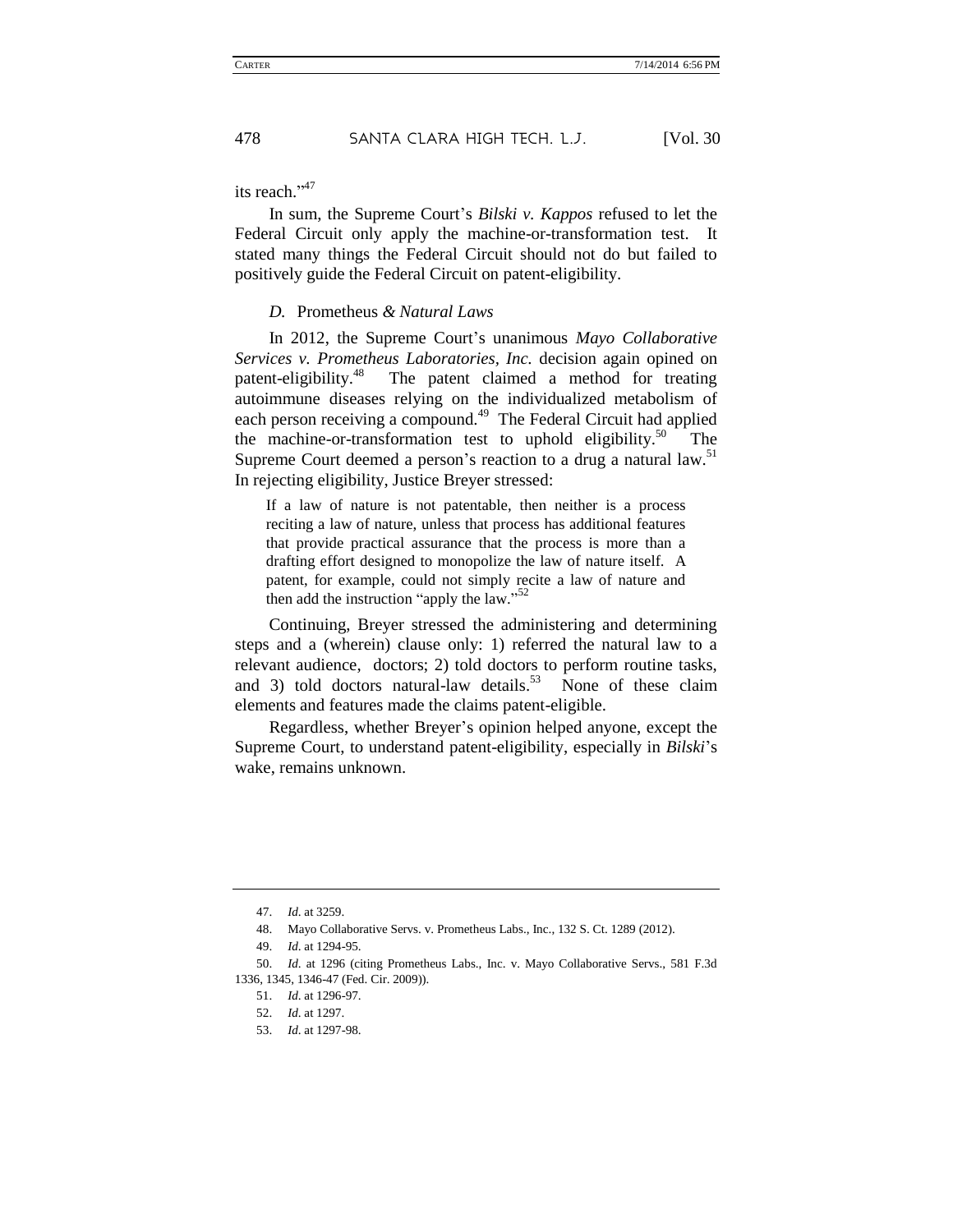its reach."<sup>47</sup>

In sum, the Supreme Court's *Bilski v. Kappos* refused to let the Federal Circuit only apply the machine-or-transformation test. It stated many things the Federal Circuit should not do but failed to positively guide the Federal Circuit on patent-eligibility.

#### *D.* Prometheus *& Natural Laws*

In 2012, the Supreme Court's unanimous *Mayo Collaborative Services v. Prometheus Laboratories, Inc.* decision again opined on patent-eligibility. The patent claimed a method for treating autoimmune diseases relying on the individualized metabolism of each person receiving a compound.<sup>49</sup> The Federal Circuit had applied the machine-or-transformation test to uphold eligibility.<sup>50</sup> The Supreme Court deemed a person's reaction to a drug a natural law.<sup>51</sup> In rejecting eligibility, Justice Breyer stressed:

If a law of nature is not patentable, then neither is a process reciting a law of nature, unless that process has additional features that provide practical assurance that the process is more than a drafting effort designed to monopolize the law of nature itself. A patent, for example, could not simply recite a law of nature and then add the instruction "apply the law."<sup>52</sup>

Continuing, Breyer stressed the administering and determining steps and a (wherein) clause only: 1) referred the natural law to a relevant audience, doctors; 2) told doctors to perform routine tasks, and 3) told doctors natural-law details.<sup>53</sup> None of these claim elements and features made the claims patent-eligible.

Regardless, whether Breyer's opinion helped anyone, except the Supreme Court, to understand patent-eligibility, especially in *Bilski*'s wake, remains unknown.

<sup>47.</sup> *Id*. at 3259.

<sup>48.</sup> Mayo Collaborative Servs. v. Prometheus Labs., Inc., 132 S. Ct. 1289 (2012).

<sup>49.</sup> *Id*. at 1294-95.

<sup>50.</sup> *Id*. at 1296 (citing Prometheus Labs., Inc. v. Mayo Collaborative Servs., 581 F.3d 1336, 1345, 1346-47 (Fed. Cir. 2009)).

<sup>51.</sup> *Id*. at 1296-97.

<sup>52.</sup> *Id*. at 1297.

<sup>53.</sup> *Id*. at 1297-98.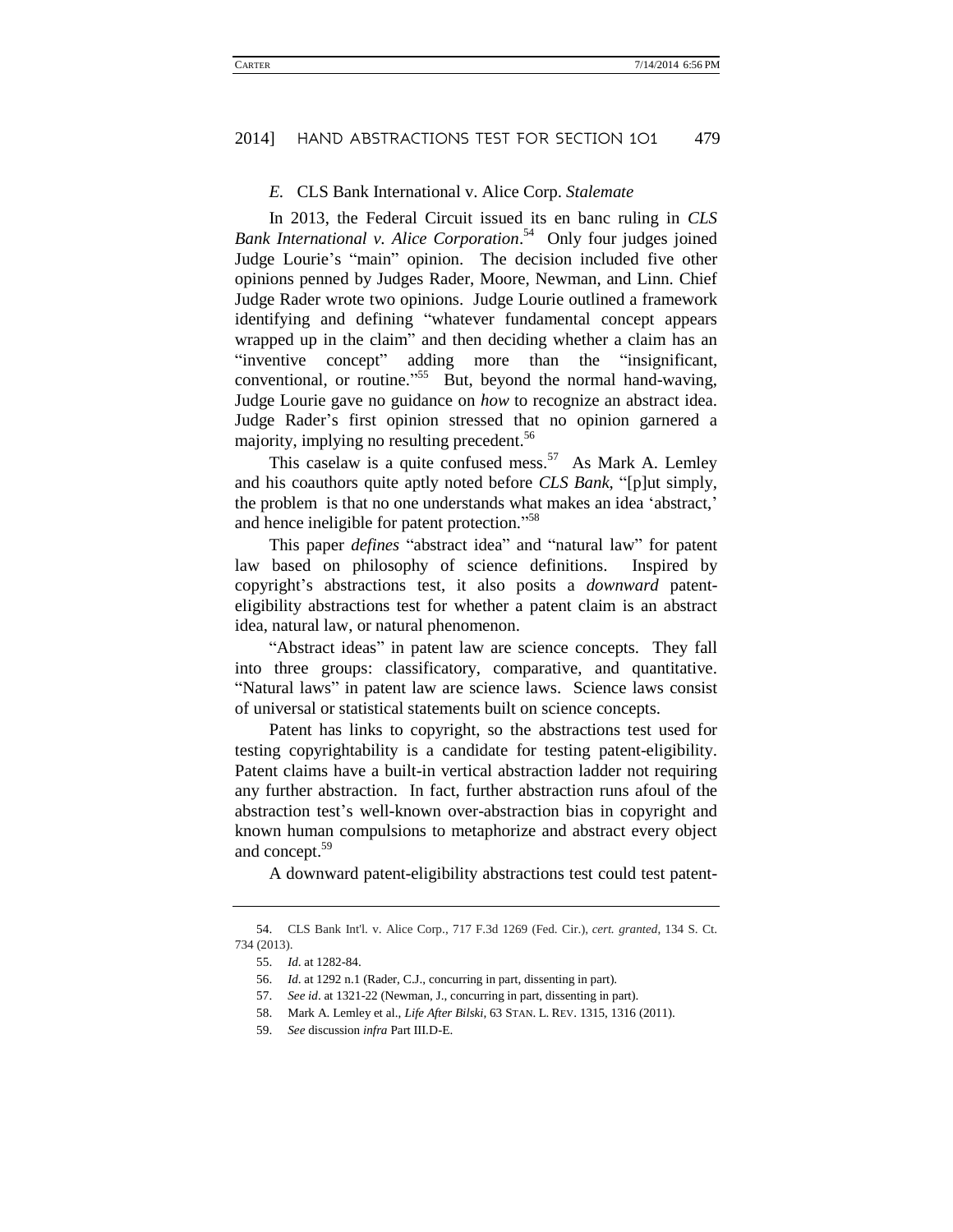#### *E.* CLS Bank International v. Alice Corp. *Stalemate*

In 2013, the Federal Circuit issued its en banc ruling in *CLS Bank International v. Alice Corporation*. <sup>54</sup> Only four judges joined Judge Lourie's "main" opinion. The decision included five other opinions penned by Judges Rader, Moore, Newman, and Linn. Chief Judge Rader wrote two opinions. Judge Lourie outlined a framework identifying and defining "whatever fundamental concept appears wrapped up in the claim" and then deciding whether a claim has an "inventive concept" adding more than the "insignificant, conventional, or routine."<sup>55</sup> But, beyond the normal hand-waving, Judge Lourie gave no guidance on *how* to recognize an abstract idea. Judge Rader's first opinion stressed that no opinion garnered a majority, implying no resulting precedent.<sup>56</sup>

This caselaw is a quite confused mess.<sup>57</sup> As Mark A. Lemley and his coauthors quite aptly noted before *CLS Bank*, "[p]ut simply, the problem is that no one understands what makes an idea 'abstract,' and hence ineligible for patent protection." 58

This paper *defines* "abstract idea" and "natural law" for patent law based on philosophy of science definitions. Inspired by copyright's abstractions test, it also posits a *downward* patenteligibility abstractions test for whether a patent claim is an abstract idea, natural law, or natural phenomenon.

"Abstract ideas" in patent law are science concepts. They fall into three groups: classificatory, comparative, and quantitative. "Natural laws" in patent law are science laws. Science laws consist of universal or statistical statements built on science concepts.

Patent has links to copyright, so the abstractions test used for testing copyrightability is a candidate for testing patent-eligibility. Patent claims have a built-in vertical abstraction ladder not requiring any further abstraction. In fact, further abstraction runs afoul of the abstraction test's well-known over-abstraction bias in copyright and known human compulsions to metaphorize and abstract every object and concept.<sup>59</sup>

A downward patent-eligibility abstractions test could test patent-

<sup>54.</sup> CLS Bank Int'l. v. Alice Corp., 717 F.3d 1269 (Fed. Cir.), *cert. granted*, 134 S. Ct. 734 (2013).

<sup>55.</sup> *Id*. at 1282-84.

<sup>56.</sup> *Id*. at 1292 n.1 (Rader, C.J., concurring in part, dissenting in part).

<sup>57.</sup> *See id*. at 1321-22 (Newman, J., concurring in part, dissenting in part).

<sup>58.</sup> Mark A. Lemley et al., *Life After Bilski*, 63 STAN. L. REV. 1315, 1316 (2011).

<sup>59.</sup> *See* discussion *infra* Part III.D-E.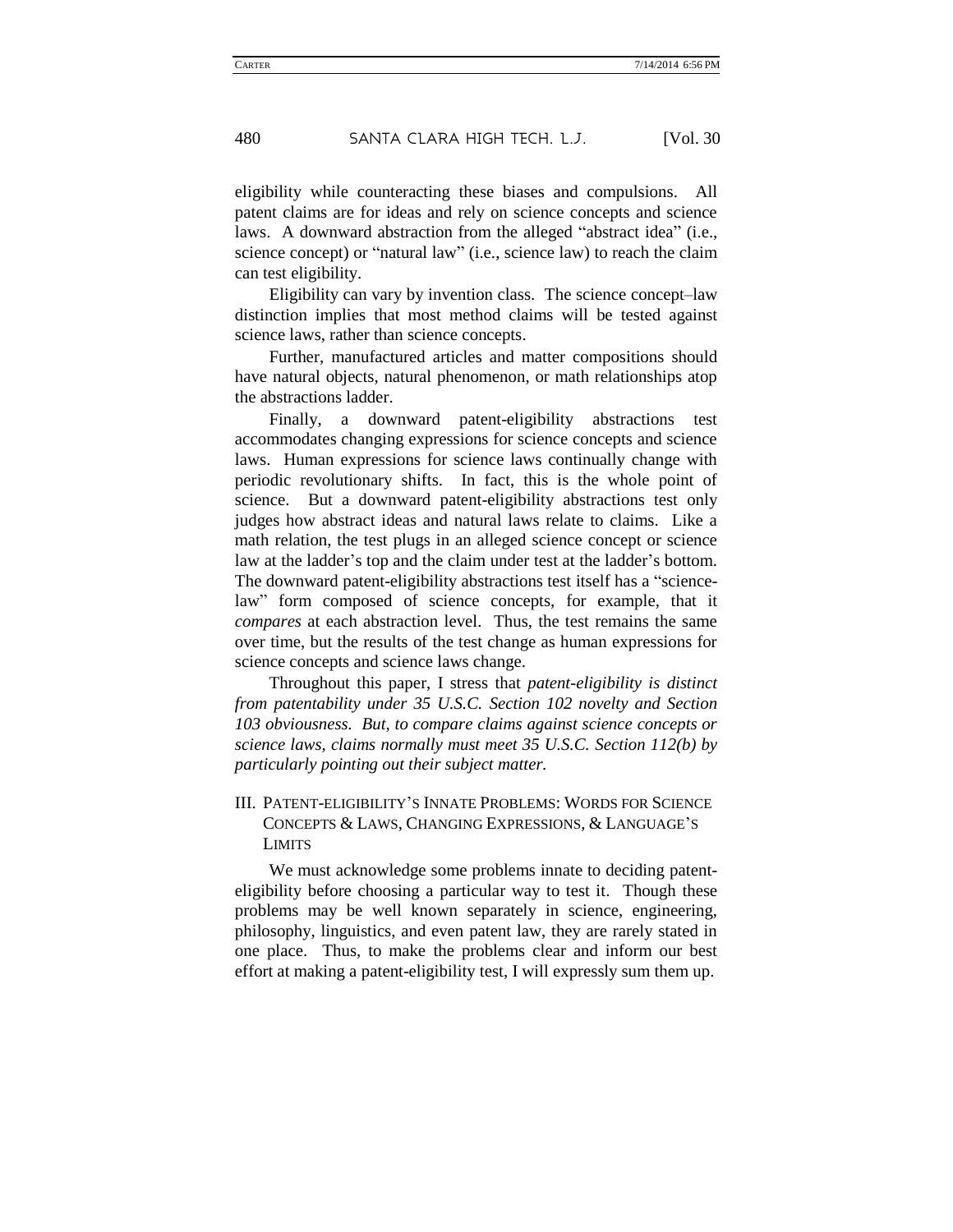eligibility while counteracting these biases and compulsions. All patent claims are for ideas and rely on science concepts and science laws. A downward abstraction from the alleged "abstract idea" (i.e., science concept) or "natural law" (i.e., science law) to reach the claim can test eligibility.

Eligibility can vary by invention class. The science concept–law distinction implies that most method claims will be tested against science laws, rather than science concepts.

Further, manufactured articles and matter compositions should have natural objects, natural phenomenon, or math relationships atop the abstractions ladder.

Finally, a downward patent-eligibility abstractions test accommodates changing expressions for science concepts and science laws. Human expressions for science laws continually change with periodic revolutionary shifts. In fact, this is the whole point of science. But a downward patent-eligibility abstractions test only judges how abstract ideas and natural laws relate to claims. Like a math relation, the test plugs in an alleged science concept or science law at the ladder's top and the claim under test at the ladder's bottom. The downward patent-eligibility abstractions test itself has a "sciencelaw" form composed of science concepts, for example, that it *compares* at each abstraction level. Thus, the test remains the same over time, but the results of the test change as human expressions for science concepts and science laws change.

Throughout this paper, I stress that *patent-eligibility is distinct from patentability under 35 U.S.C. Section 102 novelty and Section 103 obviousness. But, to compare claims against science concepts or science laws, claims normally must meet 35 U.S.C. Section 112(b) by particularly pointing out their subject matter.*

### III. PATENT-ELIGIBILITY'S INNATE PROBLEMS: WORDS FOR SCIENCE CONCEPTS & LAWS, CHANGING EXPRESSIONS, & LANGUAGE'S LIMITS

We must acknowledge some problems innate to deciding patenteligibility before choosing a particular way to test it. Though these problems may be well known separately in science, engineering, philosophy, linguistics, and even patent law, they are rarely stated in one place. Thus, to make the problems clear and inform our best effort at making a patent-eligibility test, I will expressly sum them up.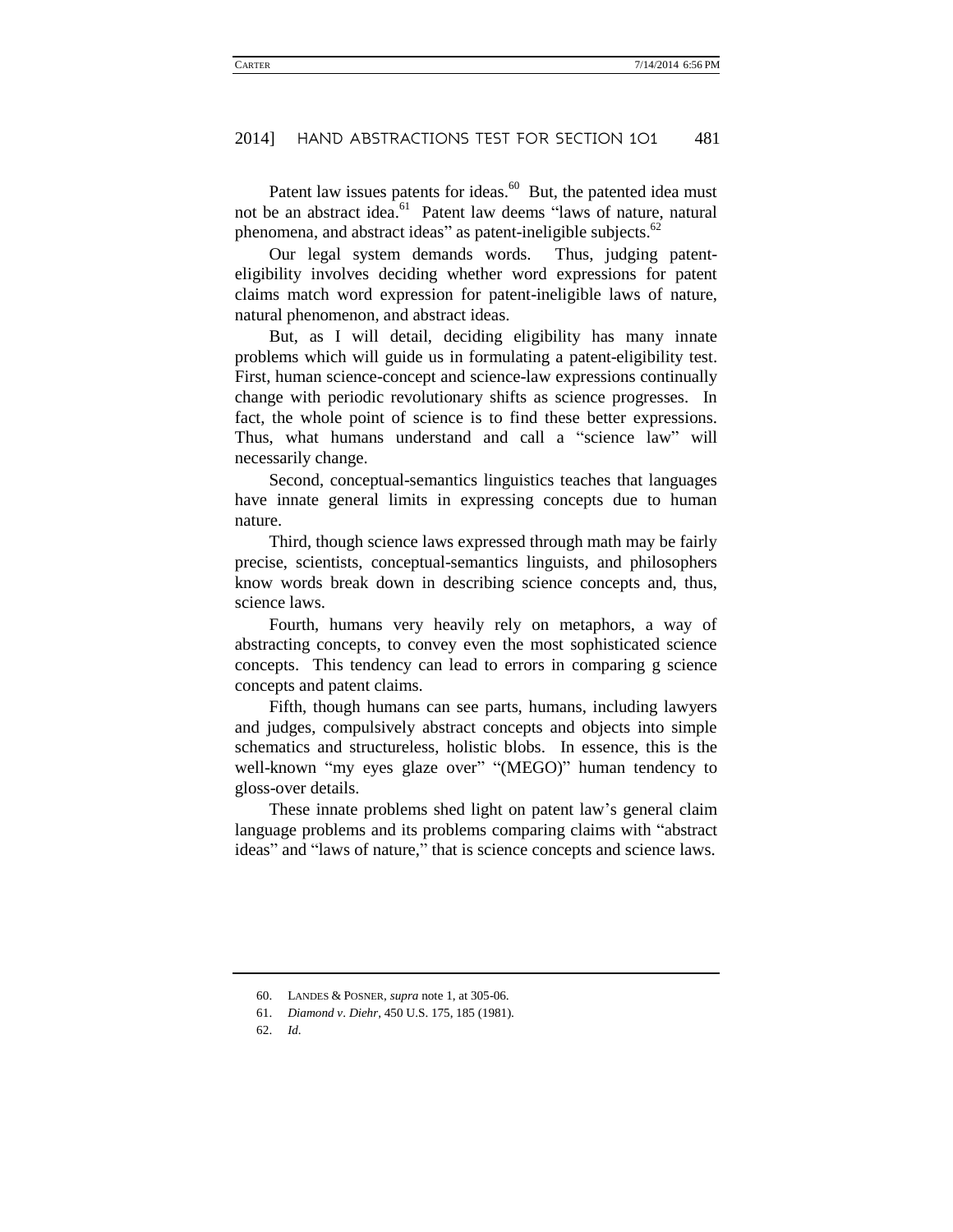Patent law issues patents for ideas.<sup>60</sup> But, the patented idea must not be an abstract idea.<sup>61</sup> Patent law deems "laws of nature, natural phenomena, and abstract ideas" as patent-ineligible subjects.<sup>62</sup>

Our legal system demands words. Thus, judging patenteligibility involves deciding whether word expressions for patent claims match word expression for patent-ineligible laws of nature, natural phenomenon, and abstract ideas.

But, as I will detail, deciding eligibility has many innate problems which will guide us in formulating a patent-eligibility test. First, human science-concept and science-law expressions continually change with periodic revolutionary shifts as science progresses. In fact, the whole point of science is to find these better expressions. Thus, what humans understand and call a "science law" will necessarily change.

Second, conceptual-semantics linguistics teaches that languages have innate general limits in expressing concepts due to human nature.

Third, though science laws expressed through math may be fairly precise, scientists, conceptual-semantics linguists, and philosophers know words break down in describing science concepts and, thus, science laws.

Fourth, humans very heavily rely on metaphors, a way of abstracting concepts, to convey even the most sophisticated science concepts. This tendency can lead to errors in comparing g science concepts and patent claims.

Fifth, though humans can see parts, humans, including lawyers and judges, compulsively abstract concepts and objects into simple schematics and structureless, holistic blobs. In essence, this is the well-known "my eyes glaze over" "(MEGO)" human tendency to gloss-over details.

These innate problems shed light on patent law's general claim language problems and its problems comparing claims with "abstract ideas" and "laws of nature," that is science concepts and science laws.

<sup>60.</sup> LANDES & POSNER, *supra* note [1,](#page-5-3) at 305-06.

<sup>61.</sup> *Diamond v*. *Diehr*, 450 U.S. 175, 185 (1981).

<sup>62.</sup> *Id*.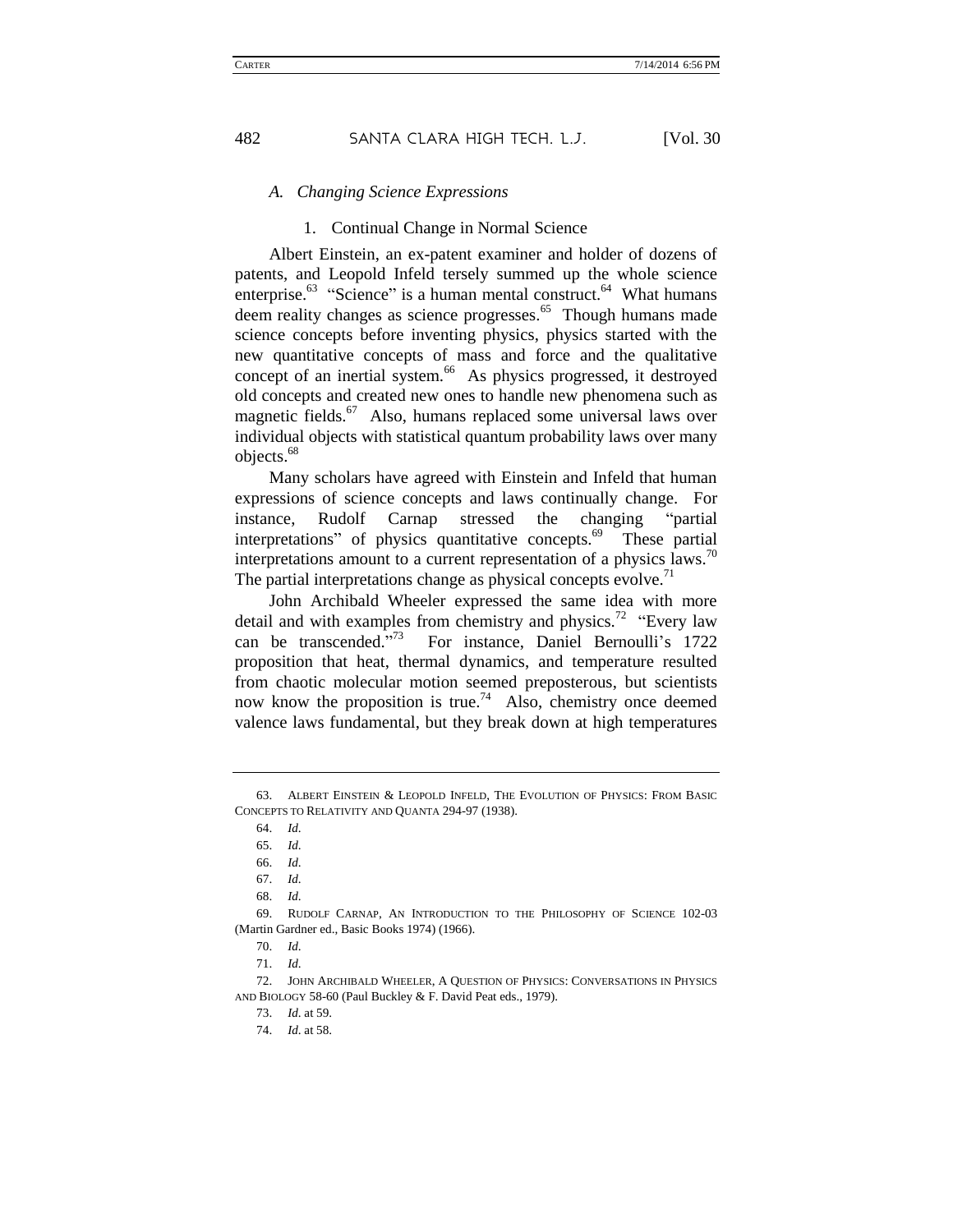### *A. Changing Science Expressions*

#### 1. Continual Change in Normal Science

Albert Einstein, an ex-patent examiner and holder of dozens of patents, and Leopold Infeld tersely summed up the whole science enterprise.<sup>63</sup> "Science" is a human mental construct.<sup>64</sup> What humans deem reality changes as science progresses.<sup>65</sup> Though humans made science concepts before inventing physics, physics started with the new quantitative concepts of mass and force and the qualitative concept of an inertial system.<sup>66</sup> As physics progressed, it destroyed old concepts and created new ones to handle new phenomena such as magnetic fields.<sup>67</sup> Also, humans replaced some universal laws over individual objects with statistical quantum probability laws over many objects. 68

<span id="page-14-0"></span>Many scholars have agreed with Einstein and Infeld that human expressions of science concepts and laws continually change. For instance, Rudolf Carnap stressed the changing "partial interpretations" of physics quantitative concepts.<sup>69</sup> These partial interpretations amount to a current representation of a physics laws.<sup>70</sup> The partial interpretations change as physical concepts evolve.<sup> $1$ </sup>

John Archibald Wheeler expressed the same idea with more detail and with examples from chemistry and physics.<sup>72</sup> "Every law can be transcended."<sup>73</sup> For instance, Daniel Bernoulli's 1722 proposition that heat, thermal dynamics, and temperature resulted from chaotic molecular motion seemed preposterous, but scientists now know the proposition is true.<sup>74</sup> Also, chemistry once deemed valence laws fundamental, but they break down at high temperatures

<sup>63.</sup> ALBERT EINSTEIN & LEOPOLD INFELD, THE EVOLUTION OF PHYSICS: FROM BASIC CONCEPTS TO RELATIVITY AND QUANTA 294-97 (1938).

<sup>64.</sup> *Id*.

<sup>65.</sup> *Id*.

<sup>66.</sup> *Id*.

<sup>67.</sup> *Id*.

<sup>68.</sup> *Id*.

<sup>69.</sup> RUDOLF CARNAP, AN INTRODUCTION TO THE PHILOSOPHY OF SCIENCE 102-03 (Martin Gardner ed., Basic Books 1974) (1966).

<sup>70.</sup> *Id*.

<sup>71.</sup> *Id*.

<sup>72.</sup> JOHN ARCHIBALD WHEELER, A QUESTION OF PHYSICS: CONVERSATIONS IN PHYSICS AND BIOLOGY 58-60 (Paul Buckley & F. David Peat eds., 1979).

<sup>73.</sup> *Id*. at 59.

<sup>74.</sup> *Id*. at 58.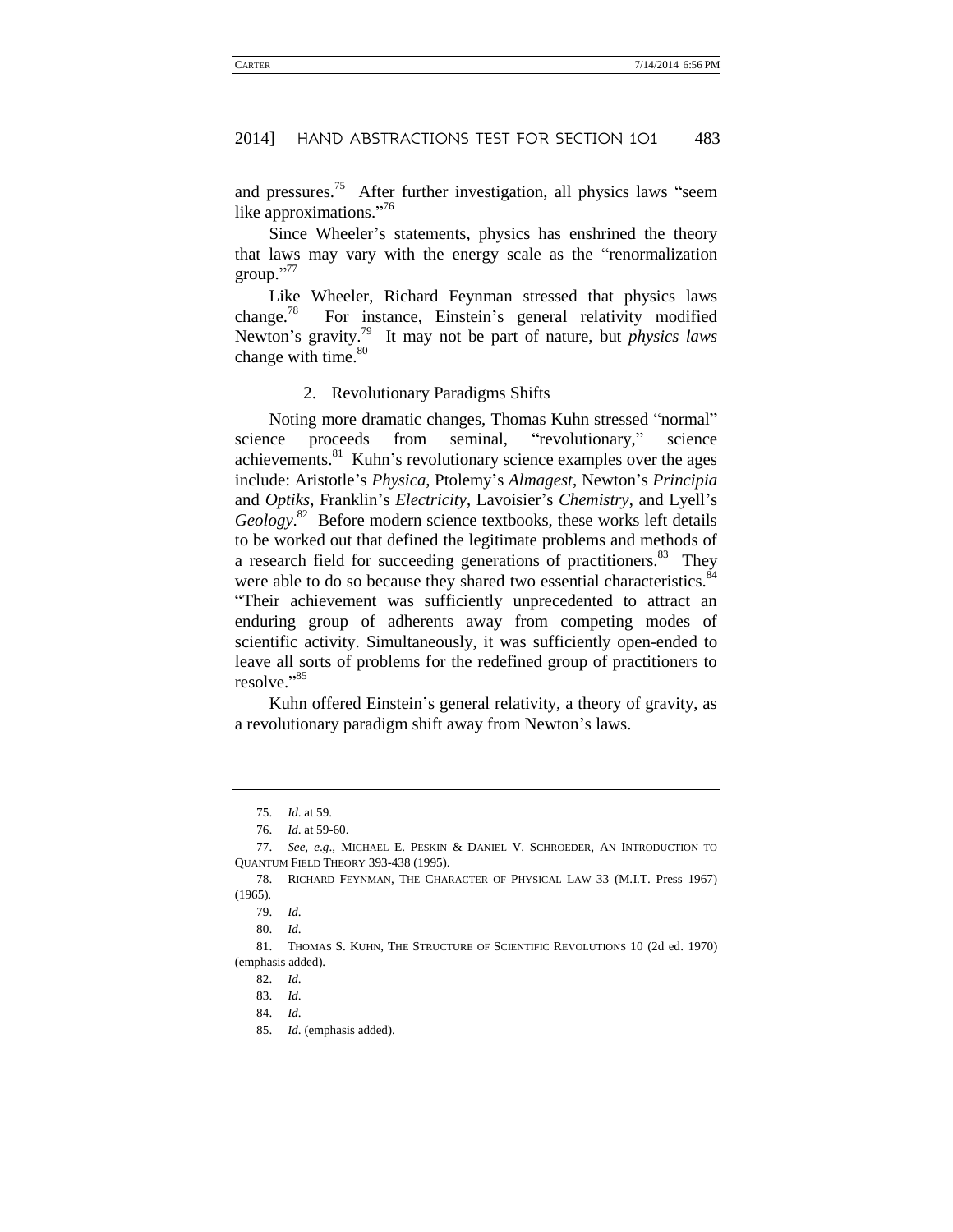and pressures.<sup>75</sup> After further investigation, all physics laws "seem like approximations."<sup>76</sup>

Since Wheeler's statements, physics has enshrined the theory that laws may vary with the energy scale as the "renormalization group." 77

<span id="page-15-0"></span>Like Wheeler, Richard Feynman stressed that physics laws change.<sup>78</sup> For instance, Einstein's general relativity modified Newton's gravity.<sup>79</sup> It may not be part of nature, but *physics laws* change with time. $80$ 

#### 2. Revolutionary Paradigms Shifts

Noting more dramatic changes, Thomas Kuhn stressed "normal" science proceeds from seminal, "revolutionary," science achievements. $81$  Kuhn's revolutionary science examples over the ages include: Aristotle's *Physica*, Ptolemy's *Almagest*, Newton's *Principia* and *Optiks*, Franklin's *Electricity*, Lavoisier's *Chemistry*, and Lyell's *Geology*. <sup>82</sup> Before modern science textbooks, these works left details to be worked out that defined the legitimate problems and methods of a research field for succeeding generations of practitioners.<sup>83</sup> They were able to do so because they shared two essential characteristics.<sup>84</sup> "Their achievement was sufficiently unprecedented to attract an enduring group of adherents away from competing modes of scientific activity. Simultaneously, it was sufficiently open-ended to leave all sorts of problems for the redefined group of practitioners to resolve." 85

Kuhn offered Einstein's general relativity, a theory of gravity, as a revolutionary paradigm shift away from Newton's laws.

<sup>75.</sup> *Id*. at 59.

<sup>76.</sup> *Id*. at 59-60.

<sup>77.</sup> *See, e*.*g*., MICHAEL E. PESKIN & DANIEL V. SCHROEDER, AN INTRODUCTION TO QUANTUM FIELD THEORY 393-438 (1995).

<sup>78.</sup> RICHARD FEYNMAN, THE CHARACTER OF PHYSICAL LAW 33 (M.I.T. Press 1967) (1965).

<sup>79.</sup> *Id*.

<sup>80.</sup> *Id*.

<sup>81.</sup> THOMAS S. KUHN, THE STRUCTURE OF SCIENTIFIC REVOLUTIONS 10 (2d ed. 1970) (emphasis added).

<sup>82.</sup> *Id*.

<sup>83.</sup> *Id*.

<sup>84.</sup> *Id*.

<sup>85.</sup> *Id*. (emphasis added).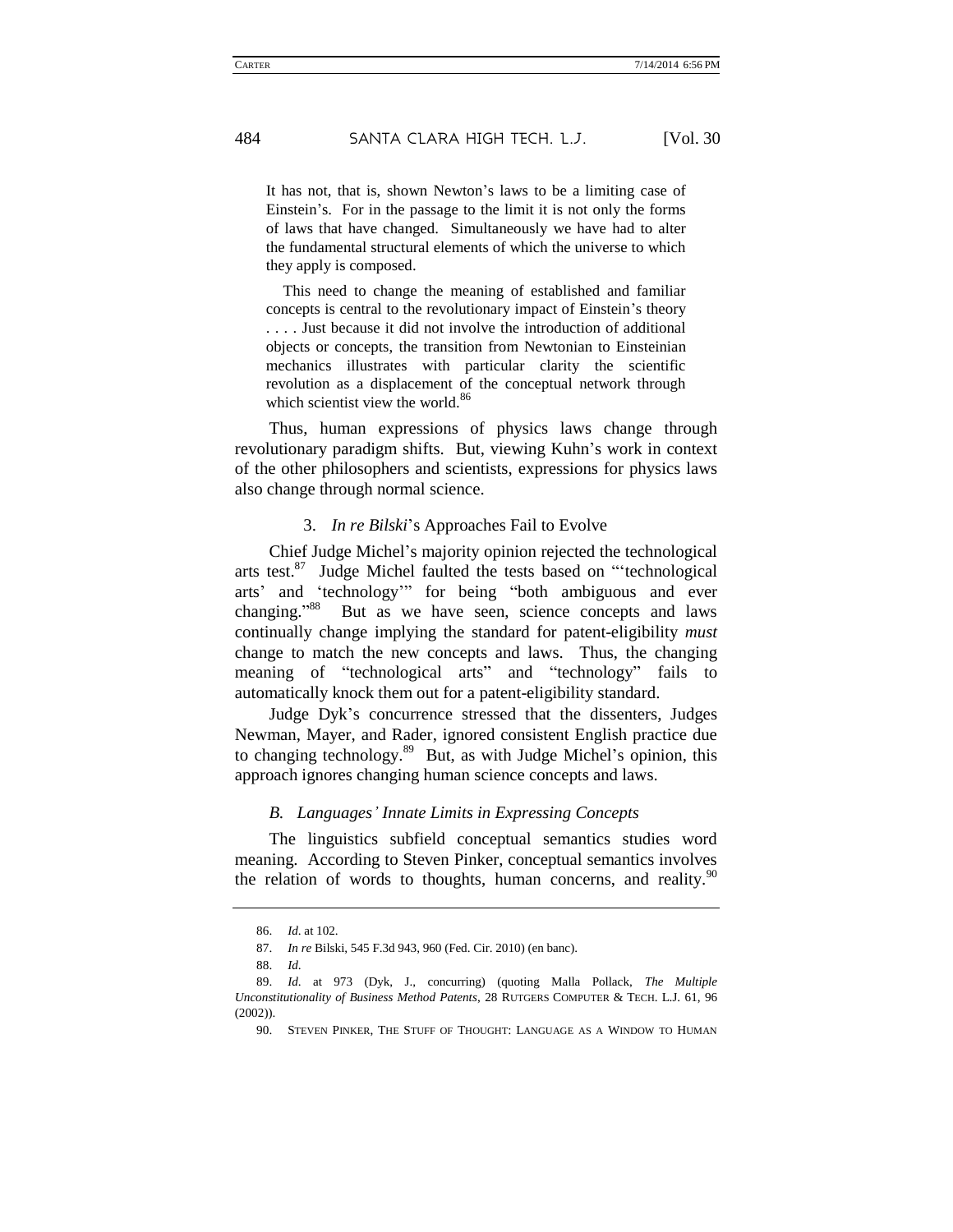It has not, that is, shown Newton's laws to be a limiting case of Einstein's. For in the passage to the limit it is not only the forms of laws that have changed. Simultaneously we have had to alter the fundamental structural elements of which the universe to which they apply is composed.

This need to change the meaning of established and familiar concepts is central to the revolutionary impact of Einstein's theory . . . . Just because it did not involve the introduction of additional objects or concepts, the transition from Newtonian to Einsteinian mechanics illustrates with particular clarity the scientific revolution as a displacement of the conceptual network through which scientist view the world. $86$ 

Thus, human expressions of physics laws change through revolutionary paradigm shifts. But, viewing Kuhn's work in context of the other philosophers and scientists, expressions for physics laws also change through normal science.

#### 3. *In re Bilski*'s Approaches Fail to Evolve

Chief Judge Michel's majority opinion rejected the technological arts test. $87$  Judge Michel faulted the tests based on "'technological arts' and 'technology'" for being "both ambiguous and ever changing."<sup>88</sup> But as we have seen, science concepts and laws continually change implying the standard for patent-eligibility *must* change to match the new concepts and laws. Thus, the changing meaning of "technological arts" and "technology" fails to automatically knock them out for a patent-eligibility standard.

Judge Dyk's concurrence stressed that the dissenters, Judges Newman, Mayer, and Rader, ignored consistent English practice due to changing technology.<sup>89</sup> But, as with Judge Michel's opinion, this approach ignores changing human science concepts and laws.

#### <span id="page-16-0"></span>*B. Languages' Innate Limits in Expressing Concepts*

The linguistics subfield conceptual semantics studies word meaning. According to Steven Pinker, conceptual semantics involves the relation of words to thoughts, human concerns, and reality.  $90$ 

<sup>86.</sup> *Id*. at 102.

<sup>87.</sup> *In re* Bilski, 545 F.3d 943, 960 (Fed. Cir. 2010) (en banc).

<sup>88.</sup> *Id*.

<sup>89.</sup> *Id*. at 973 (Dyk, J., concurring) (quoting Malla Pollack, *The Multiple Unconstitutionality of Business Method Patents*, 28 RUTGERS COMPUTER & TECH. L.J. 61, 96 (2002)).

<sup>90.</sup> STEVEN PINKER, THE STUFF OF THOUGHT: LANGUAGE AS A WINDOW TO HUMAN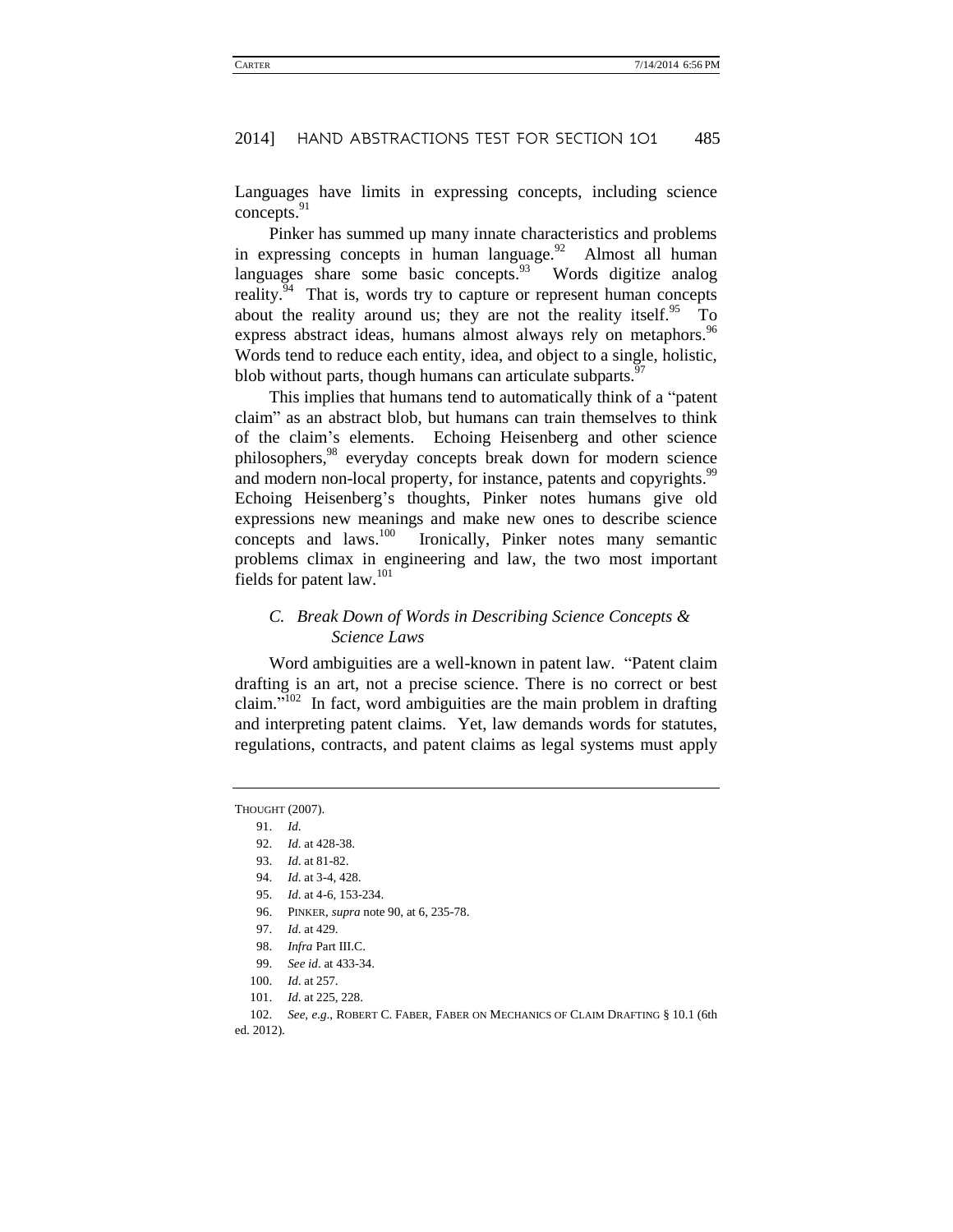Languages have limits in expressing concepts, including science concepts.<sup>91</sup>

Pinker has summed up many innate characteristics and problems in expressing concepts in human language.<sup>92</sup> Almost all human languages share some basic concepts. $93$  Words digitize analog reality.<sup>94</sup> That is, words try to capture or represent human concepts about the reality around us; they are not the reality itself.<sup>95</sup> To express abstract ideas, humans almost always rely on metaphors.<sup>96</sup> Words tend to reduce each entity, idea, and object to a single, holistic, blob without parts, though humans can articulate subparts.<sup>97</sup>

This implies that humans tend to automatically think of a "patent claim" as an abstract blob, but humans can train themselves to think of the claim's elements. Echoing Heisenberg and other science philosophers,<sup>98</sup> everyday concepts break down for modern science and modern non-local property, for instance, patents and copyrights.<sup>99</sup> Echoing Heisenberg's thoughts, Pinker notes humans give old expressions new meanings and make new ones to describe science concepts and laws.<sup>100</sup> Ironically, Pinker notes many semantic problems climax in engineering and law, the two most important fields for patent law.<sup>101</sup>

### *C. Break Down of Words in Describing Science Concepts & Science Laws*

<span id="page-17-0"></span>Word ambiguities are a well-known in patent law. "Patent claim drafting is an art, not a precise science. There is no correct or best claim."<sup> $102$ </sup> In fact, word ambiguities are the main problem in drafting and interpreting patent claims. Yet, law demands words for statutes, regulations, contracts, and patent claims as legal systems must apply

- 96. PINKER, *supra* note 90, at 6, 235-78.
- 97. *Id*. at 429.
- 98. *Infra Part III.C.*
- 99. *See id*. at 433-34.
- 100. *Id*. at 257.
- 101. *Id*. at 225, 228.
- 102. *See, e*.*g*., ROBERT C. FABER, FABER ON MECHANICS OF CLAIM DRAFTING § 10.1 (6th
- ed. 2012).

THOUGHT (2007).

<sup>91.</sup> *Id*.

<sup>92.</sup> *Id*. at 428-38.

<sup>93.</sup> *Id*. at 81-82.

<sup>94.</sup> *Id*. at 3-4, 428.

<sup>95.</sup> *Id*. at 4-6, 153-234.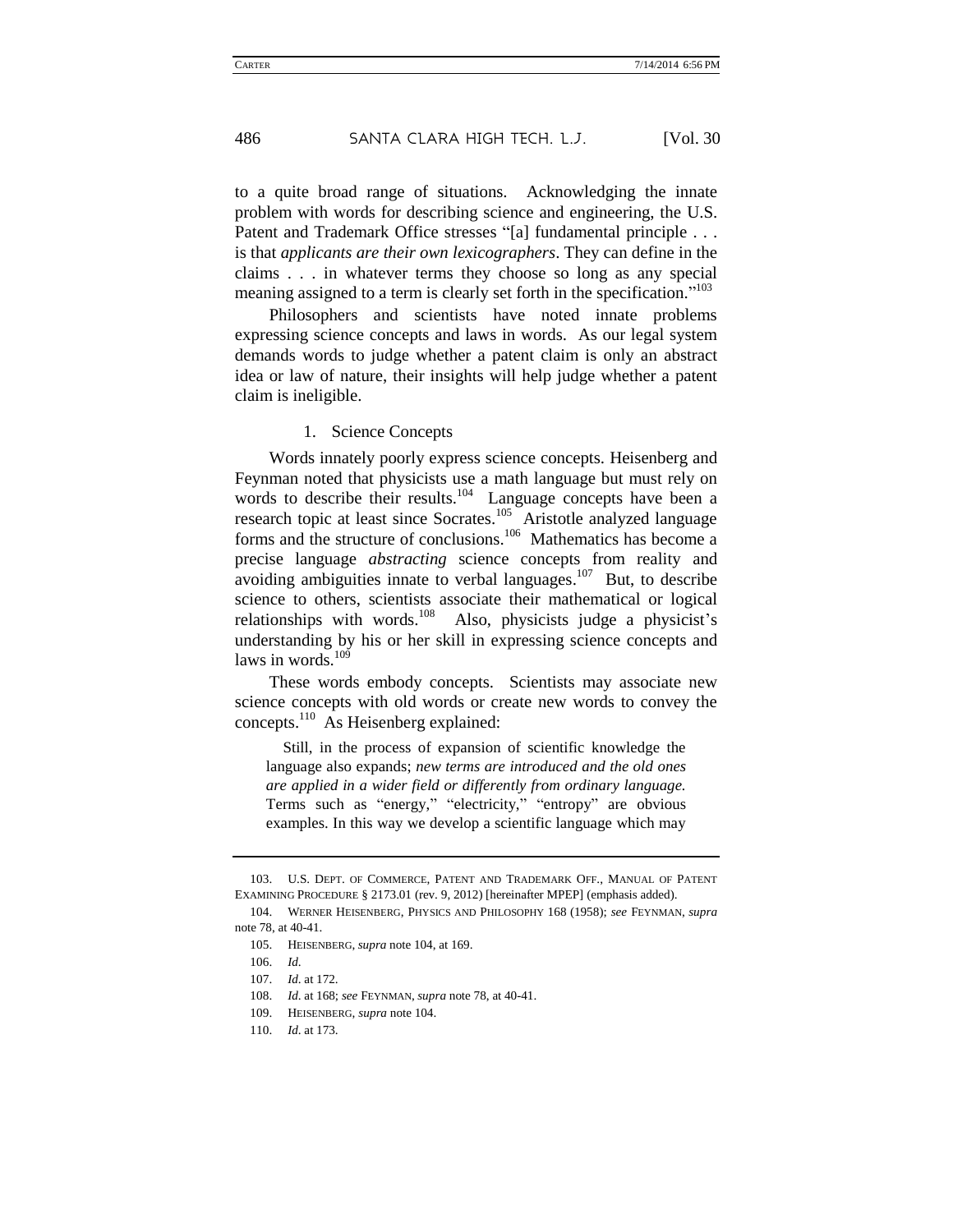to a quite broad range of situations. Acknowledging the innate problem with words for describing science and engineering, the U.S. Patent and Trademark Office stresses "[a] fundamental principle . . . is that *applicants are their own lexicographers*. They can define in the claims . . . in whatever terms they choose so long as any special meaning assigned to a term is clearly set forth in the specification."<sup>103</sup>

Philosophers and scientists have noted innate problems expressing science concepts and laws in words. As our legal system demands words to judge whether a patent claim is only an abstract idea or law of nature, their insights will help judge whether a patent claim is ineligible.

#### <span id="page-18-0"></span>1. Science Concepts

Words innately poorly express science concepts. Heisenberg and Feynman noted that physicists use a math language but must rely on words to describe their results.<sup>104</sup> Language concepts have been a research topic at least since Socrates.<sup>105</sup> Aristotle analyzed language forms and the structure of conclusions.<sup>106</sup> Mathematics has become a precise language *abstracting* science concepts from reality and avoiding ambiguities innate to verbal languages.<sup>107</sup> But, to describe science to others, scientists associate their mathematical or logical relationships with words.<sup>108</sup> Also, physicists judge a physicist's understanding by his or her skill in expressing science concepts and laws in words.<sup>109</sup>

These words embody concepts. Scientists may associate new science concepts with old words or create new words to convey the concepts.<sup>110</sup> As Heisenberg explained:

Still, in the process of expansion of scientific knowledge the language also expands; *new terms are introduced and the old ones are applied in a wider field or differently from ordinary language.* Terms such as "energy," "electricity," "entropy" are obvious examples. In this way we develop a scientific language which may

<sup>103.</sup> U.S. DEPT. OF COMMERCE, PATENT AND TRADEMARK OFF., MANUAL OF PATENT EXAMINING PROCEDURE § 2173.01 (rev. 9, 2012) [hereinafter MPEP] (emphasis added).

<sup>104.</sup> WERNER HEISENBERG, PHYSICS AND PHILOSOPHY 168 (1958); *see* FEYNMAN, *supra*  note 78, at 40-41.

<sup>105.</sup> HEISENBERG, *supra* not[e 104,](#page-18-0) at 169.

<sup>106.</sup> *Id*.

<sup>107.</sup> *Id*. at 172.

<sup>108.</sup> *Id*. at 168; *see* FEYNMAN, *supra* not[e 78,](#page-15-0) at 40-41.

<sup>109.</sup> HEISENBERG, *supra* not[e 104.](#page-18-0)

<sup>110.</sup> *Id*. at 173.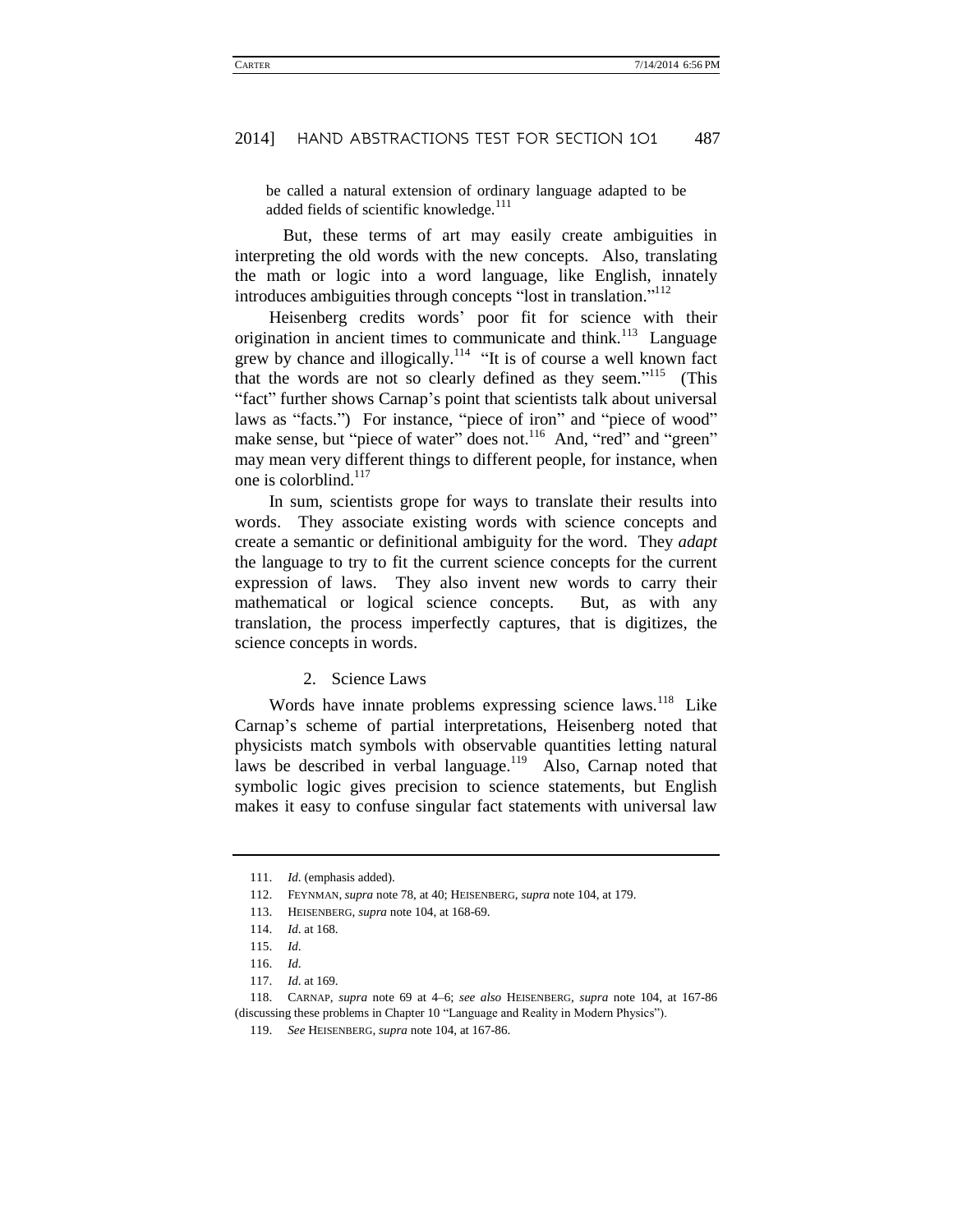be called a natural extension of ordinary language adapted to be added fields of scientific knowledge.<sup>111</sup>

But, these terms of art may easily create ambiguities in interpreting the old words with the new concepts. Also, translating the math or logic into a word language, like English, innately introduces ambiguities through concepts "lost in translation."<sup>112</sup>

Heisenberg credits words' poor fit for science with their origination in ancient times to communicate and think.<sup>113</sup> Language grew by chance and illogically.<sup>114</sup> "It is of course a well known fact that the words are not so clearly defined as they seem."<sup>115</sup> (This "fact" further shows Carnap's point that scientists talk about universal laws as "facts.") For instance, "piece of iron" and "piece of wood" make sense, but "piece of water" does not.<sup>116</sup> And, "red" and "green" may mean very different things to different people, for instance, when one is colorblind.<sup>117</sup>

In sum, scientists grope for ways to translate their results into words. They associate existing words with science concepts and create a semantic or definitional ambiguity for the word. They *adapt*  the language to try to fit the current science concepts for the current expression of laws. They also invent new words to carry their mathematical or logical science concepts. But, as with any translation, the process imperfectly captures, that is digitizes, the science concepts in words.

#### 2. Science Laws

Words have innate problems expressing science laws.<sup>118</sup> Like Carnap's scheme of partial interpretations, Heisenberg noted that physicists match symbols with observable quantities letting natural laws be described in verbal language.<sup>119</sup> Also, Carnap noted that symbolic logic gives precision to science statements, but English makes it easy to confuse singular fact statements with universal law

<sup>111.</sup> *Id*. (emphasis added).

<sup>112.</sup> FEYNMAN, *supra* not[e 78,](#page-15-0) at 40; HEISENBERG, *supra* not[e 104,](#page-18-0) at 179.

<sup>113.</sup> HEISENBERG, *supra* note 104, at 168-69.

<sup>114.</sup> *Id*. at 168.

<sup>115.</sup> *Id*.

<sup>116.</sup> *Id*.

<sup>117.</sup> *Id*. at 169.

<sup>118.</sup> CARNAP*, supra* note [69](#page-14-0) at 4–6; *see also* HEISENBERG, *supra* note [104,](#page-18-0) at 167-86 (discussing these problems in Chapter 10 "Language and Reality in Modern Physics").

<sup>119.</sup> *See* HEISENBERG, *supra* not[e 104,](#page-18-0) at 167-86.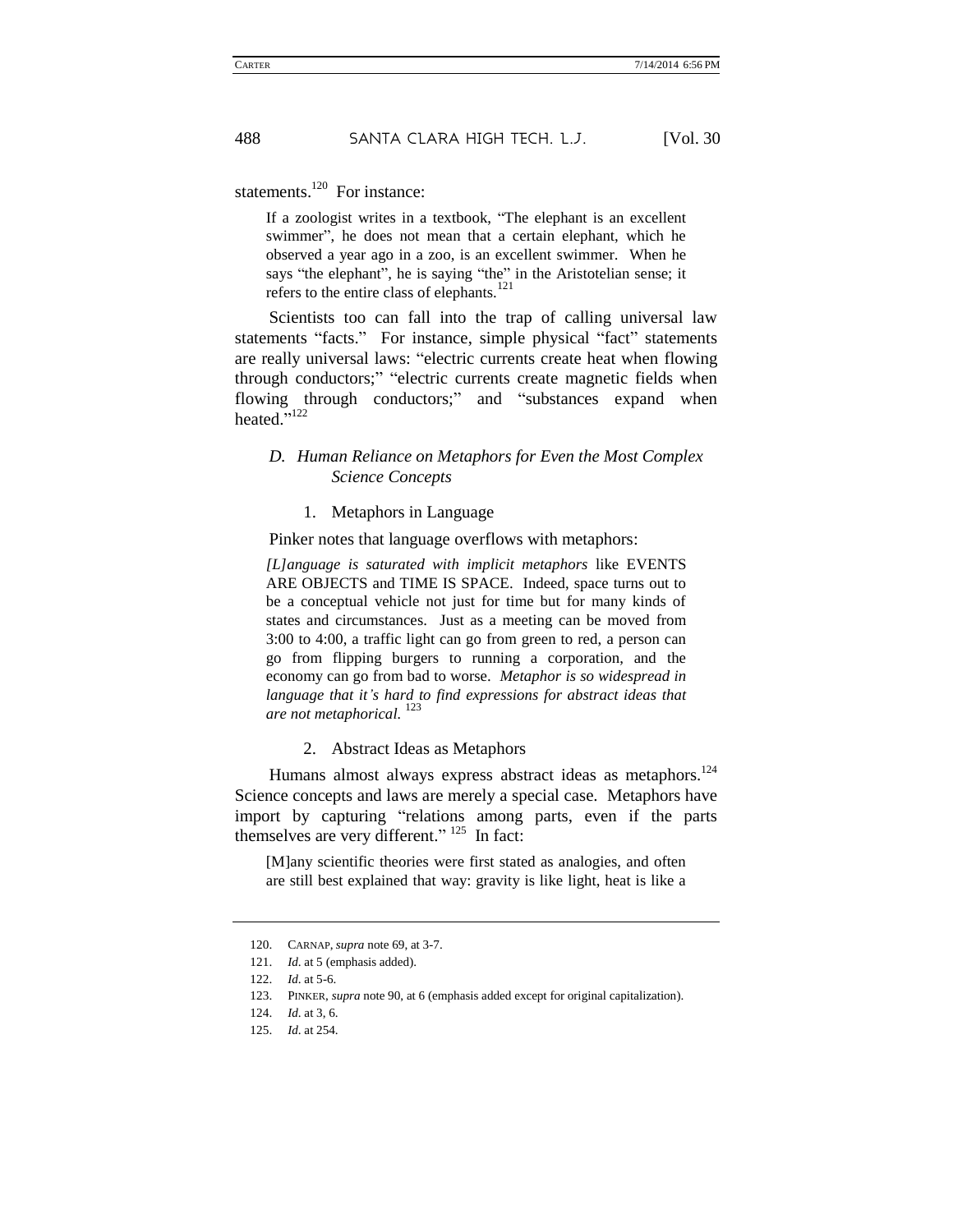statements. $120$  For instance:

If a zoologist writes in a textbook, "The elephant is an excellent swimmer", he does not mean that a certain elephant, which he observed a year ago in a zoo, is an excellent swimmer. When he says "the elephant", he is saying "the" in the Aristotelian sense; it refers to the entire class of elephants. $121$ 

Scientists too can fall into the trap of calling universal law statements "facts." For instance, simple physical "fact" statements are really universal laws: "electric currents create heat when flowing through conductors;" "electric currents create magnetic fields when flowing through conductors;" and "substances expand when heated."<sup>122</sup>

### *D. Human Reliance on Metaphors for Even the Most Complex Science Concepts*

#### 1. Metaphors in Language

Pinker notes that language overflows with metaphors:

*[L]anguage is saturated with implicit metaphors* like EVENTS ARE OBJECTS and TIME IS SPACE. Indeed, space turns out to be a conceptual vehicle not just for time but for many kinds of states and circumstances. Just as a meeting can be moved from 3:00 to 4:00, a traffic light can go from green to red, a person can go from flipping burgers to running a corporation, and the economy can go from bad to worse. *Metaphor is so widespread in language that it's hard to find expressions for abstract ideas that are not metaphorical.* <sup>123</sup>

2. Abstract Ideas as Metaphors

Humans almost always express abstract ideas as metaphors.<sup>124</sup> Science concepts and laws are merely a special case. Metaphors have import by capturing "relations among parts, even if the parts themselves are very different."  $^{125}$  In fact:

[M]any scientific theories were first stated as analogies, and often are still best explained that way: gravity is like light, heat is like a

<sup>120.</sup> CARNAP, *supra* not[e 69,](#page-14-0) at 3-7.

<sup>121.</sup> *Id*. at 5 (emphasis added).

<sup>122.</sup> *Id*. at 5-6.

<sup>123.</sup> PINKER, *supra* not[e 90,](#page-16-0) at 6 (emphasis added except for original capitalization).

<sup>124.</sup> *Id*. at 3, 6.

<sup>125.</sup> *Id*. at 254.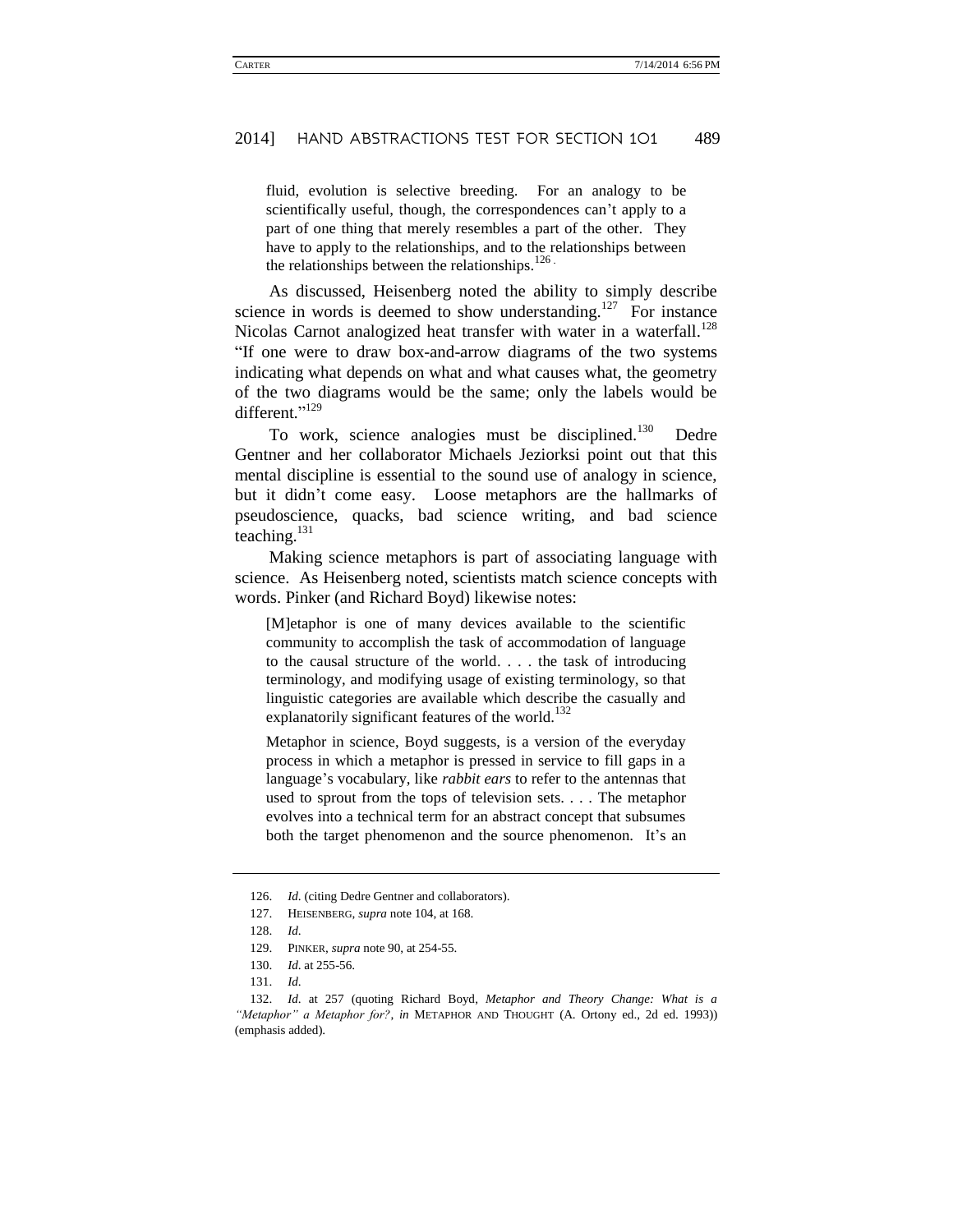fluid, evolution is selective breeding. For an analogy to be scientifically useful, though, the correspondences can't apply to a part of one thing that merely resembles a part of the other. They have to apply to the relationships, and to the relationships between the relationships between the relationships. $126$ .

As discussed, Heisenberg noted the ability to simply describe science in words is deemed to show understanding.<sup>127</sup> For instance Nicolas Carnot analogized heat transfer with water in a waterfall.<sup>128</sup> "If one were to draw box-and-arrow diagrams of the two systems indicating what depends on what and what causes what, the geometry of the two diagrams would be the same; only the labels would be different."<sup>129</sup>

To work, science analogies must be disciplined.<sup>130</sup> Dedre Gentner and her collaborator Michaels Jeziorksi point out that this mental discipline is essential to the sound use of analogy in science, but it didn't come easy. Loose metaphors are the hallmarks of pseudoscience, quacks, bad science writing, and bad science teaching.<sup>131</sup>

Making science metaphors is part of associating language with science. As Heisenberg noted, scientists match science concepts with words. Pinker (and Richard Boyd) likewise notes:

[M]etaphor is one of many devices available to the scientific community to accomplish the task of accommodation of language to the causal structure of the world. . . . the task of introducing terminology, and modifying usage of existing terminology, so that linguistic categories are available which describe the casually and explanatorily significant features of the world.<sup>132</sup>

Metaphor in science, Boyd suggests, is a version of the everyday process in which a metaphor is pressed in service to fill gaps in a language's vocabulary, like *rabbit ears* to refer to the antennas that used to sprout from the tops of television sets. . . . The metaphor evolves into a technical term for an abstract concept that subsumes both the target phenomenon and the source phenomenon. It's an

<sup>126.</sup> *Id*. (citing Dedre Gentner and collaborators).

<sup>127.</sup> HEISENBERG, *supra* note 104, at 168.

<sup>128.</sup> *Id*.

<sup>129.</sup> PINKER, *supra* not[e 90,](#page-16-0) at 254-55.

<sup>130.</sup> *Id*. at 255-56.

<sup>131.</sup> *Id*.

<sup>132.</sup> *Id*. at 257 (quoting Richard Boyd, *Metaphor and Theory Change: What is a "Metaphor" a Metaphor for?*, *in* METAPHOR AND THOUGHT (A. Ortony ed., 2d ed. 1993)) (emphasis added).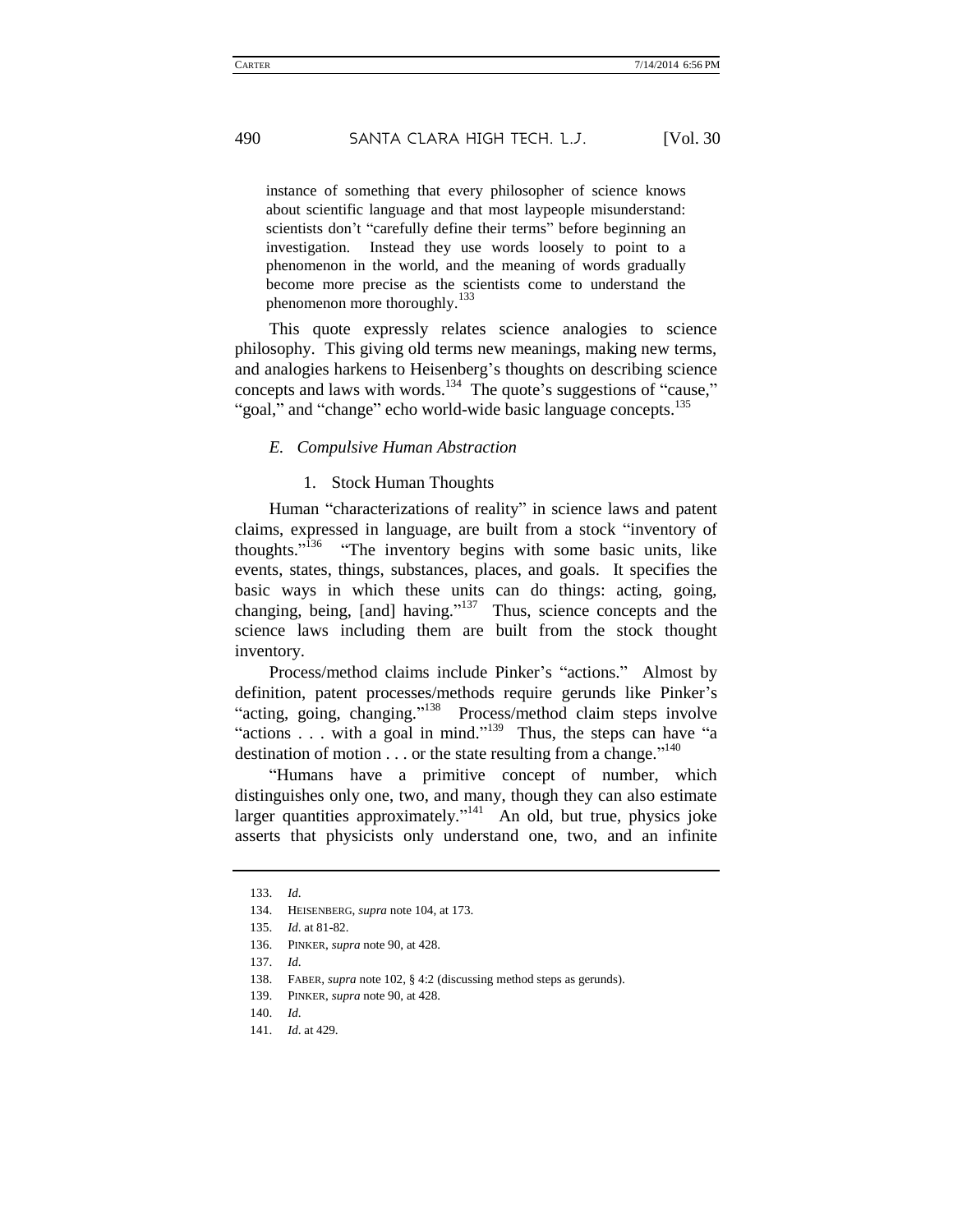instance of something that every philosopher of science knows about scientific language and that most laypeople misunderstand: scientists don't "carefully define their terms" before beginning an investigation. Instead they use words loosely to point to a phenomenon in the world, and the meaning of words gradually become more precise as the scientists come to understand the phenomenon more thoroughly*.* 133

This quote expressly relates science analogies to science philosophy. This giving old terms new meanings, making new terms, and analogies harkens to Heisenberg's thoughts on describing science concepts and laws with words.<sup>134</sup> The quote's suggestions of "cause," "goal," and "change" echo world-wide basic language concepts.<sup>135</sup>

#### *E. Compulsive Human Abstraction*

#### 1. Stock Human Thoughts

Human "characterizations of reality" in science laws and patent claims, expressed in language, are built from a stock "inventory of thoughts."<sup>136</sup> "The inventory begins with some basic units, like events, states, things, substances, places, and goals. It specifies the basic ways in which these units can do things: acting, going, changing, being, [and] having." <sup>137</sup> Thus, science concepts and the science laws including them are built from the stock thought inventory.

Process/method claims include Pinker's "actions." Almost by definition, patent processes/methods require gerunds like Pinker's "acting, going, changing."<sup>138</sup> Process/method claim steps involve "actions  $\dots$  with a goal in mind."<sup>139</sup> Thus, the steps can have "a destination of motion  $\dots$  or the state resulting from a change."<sup>140</sup>

"Humans have a primitive concept of number, which distinguishes only one, two, and many, though they can also estimate larger quantities approximately."<sup>141</sup> An old, but true, physics joke asserts that physicists only understand one, two, and an infinite

<sup>133.</sup> *Id*.

<sup>134.</sup> HEISENBERG, *supra* not[e 104,](#page-18-0) at 173.

<sup>135.</sup> *Id*. at 81-82.

<sup>136.</sup> PINKER, *supra* not[e 90,](#page-16-0) at 428.

<sup>137.</sup> *Id*.

<sup>138.</sup> FABER, *supra* note 102, § 4:2 (discussing method steps as gerunds).

<sup>139.</sup> PINKER, *supra* not[e 90,](#page-16-0) at 428.

<sup>140.</sup> *Id*.

<sup>141.</sup> *Id*. at 429.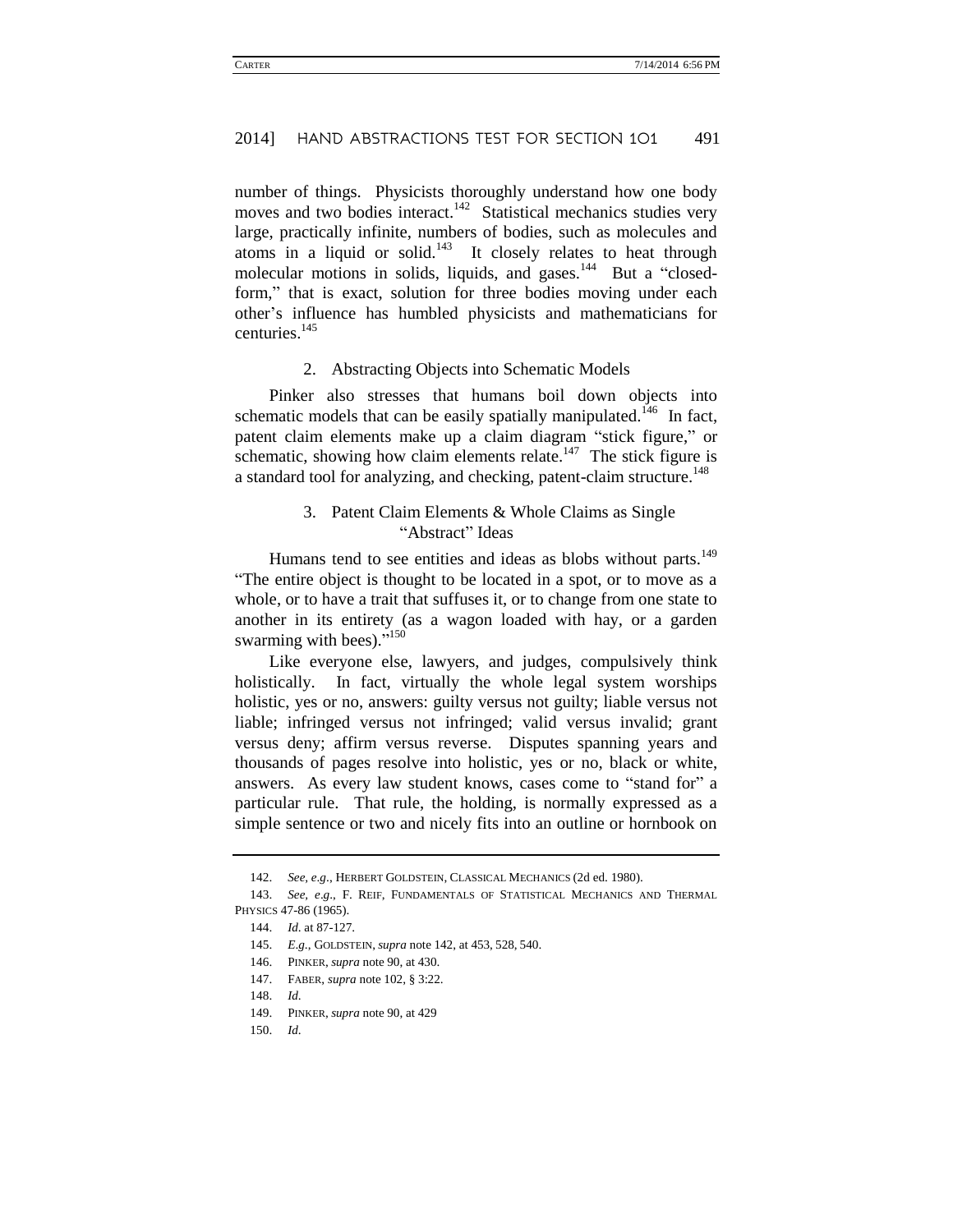number of things. Physicists thoroughly understand how one body moves and two bodies interact.<sup>142</sup> Statistical mechanics studies very large, practically infinite, numbers of bodies, such as molecules and atoms in a liquid or solid.<sup>143</sup> It closely relates to heat through molecular motions in solids, liquids, and gases.<sup>144</sup> But a "closedform," that is exact, solution for three bodies moving under each other's influence has humbled physicists and mathematicians for centuries.<sup>145</sup>

#### 2. Abstracting Objects into Schematic Models

Pinker also stresses that humans boil down objects into schematic models that can be easily spatially manipulated.<sup>146</sup> In fact, patent claim elements make up a claim diagram "stick figure," or schematic, showing how claim elements relate.<sup>147</sup> The stick figure is a standard tool for analyzing, and checking, patent-claim structure.<sup>148</sup>

### 3. Patent Claim Elements & Whole Claims as Single "Abstract" Ideas

Humans tend to see entities and ideas as blobs without parts.<sup>149</sup> "The entire object is thought to be located in a spot, or to move as a whole, or to have a trait that suffuses it, or to change from one state to another in its entirety (as a wagon loaded with hay, or a garden swarming with bees)."<sup>150</sup>

Like everyone else, lawyers, and judges, compulsively think holistically. In fact, virtually the whole legal system worships holistic, yes or no, answers: guilty versus not guilty; liable versus not liable; infringed versus not infringed; valid versus invalid; grant versus deny; affirm versus reverse. Disputes spanning years and thousands of pages resolve into holistic, yes or no, black or white, answers. As every law student knows, cases come to "stand for" a particular rule. That rule, the holding, is normally expressed as a simple sentence or two and nicely fits into an outline or hornbook on

<sup>142.</sup> *See, e*.*g*., HERBERT GOLDSTEIN, CLASSICAL MECHANICS (2d ed. 1980).

<sup>143.</sup> *See, e*.*g*., F. REIF, FUNDAMENTALS OF STATISTICAL MECHANICS AND THERMAL PHYSICS 47-86 (1965).

<sup>144.</sup> *Id*. at 87-127.

<sup>145.</sup> *E*.*g*., GOLDSTEIN, *supra* note 142, at 453, 528, 540.

<sup>146.</sup> PINKER, *supra* not[e 90,](#page-16-0) at 430.

<sup>147.</sup> FABER, *supra* note 102, § 3:22.

<sup>148.</sup> *Id*.

<sup>149.</sup> PINKER, *supra* not[e 90,](#page-16-0) at 429

<sup>150.</sup> *Id*.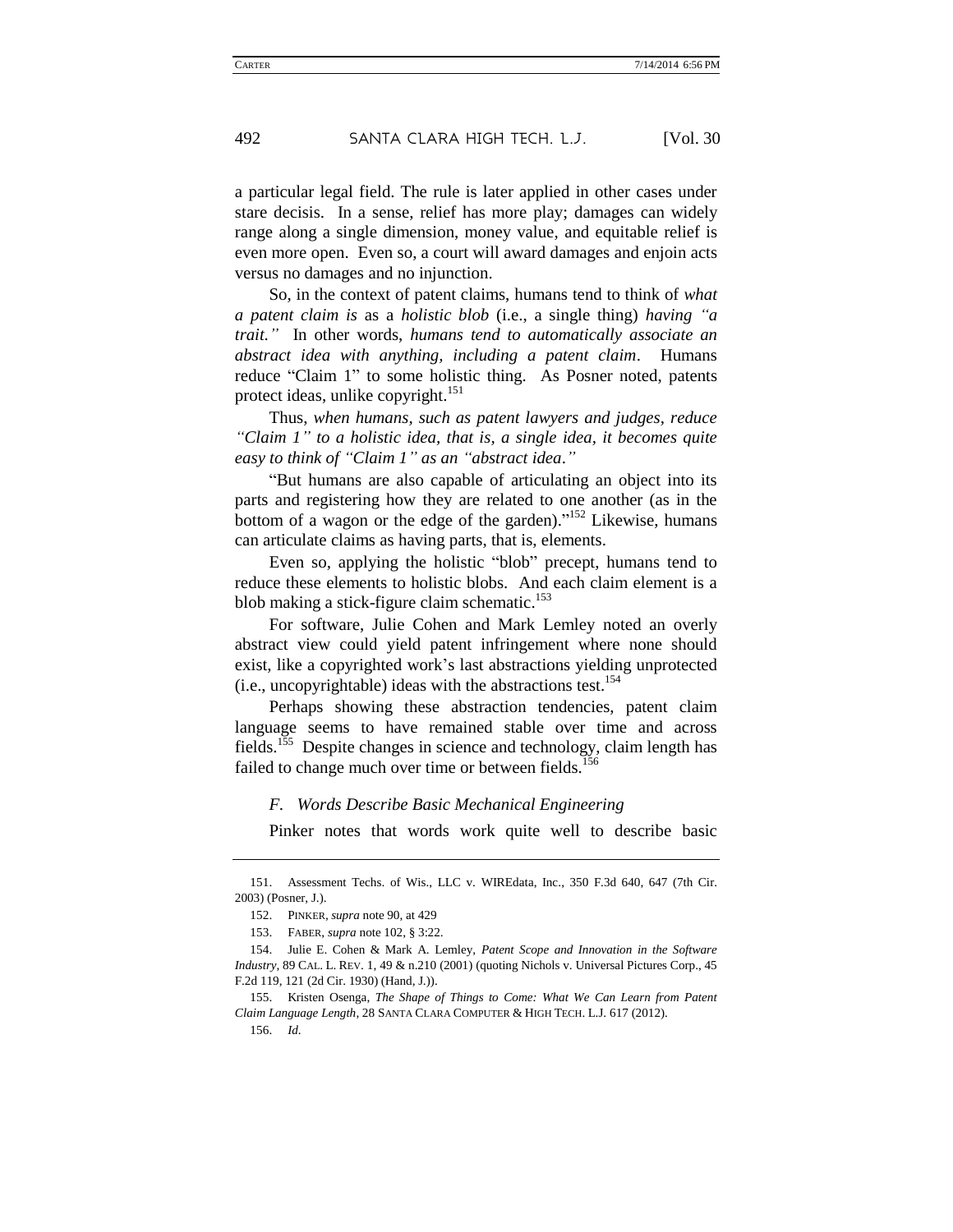a particular legal field. The rule is later applied in other cases under stare decisis. In a sense, relief has more play; damages can widely range along a single dimension, money value, and equitable relief is even more open. Even so, a court will award damages and enjoin acts versus no damages and no injunction.

So, in the context of patent claims, humans tend to think of *what a patent claim is* as a *holistic blob* (i.e., a single thing) *having "a trait."* In other words, *humans tend to automatically associate an abstract idea with anything, including a patent claim*. Humans reduce "Claim 1" to some holistic thing. As Posner noted, patents protect ideas, unlike copyright.<sup>151</sup>

Thus, *when humans, such as patent lawyers and judges, reduce "Claim 1" to a holistic idea, that is, a single idea, it becomes quite easy to think of "Claim 1" as an "abstract idea*.*"*

"But humans are also capable of articulating an object into its parts and registering how they are related to one another (as in the bottom of a wagon or the edge of the garden)."<sup>152</sup> Likewise, humans can articulate claims as having parts, that is, elements.

Even so, applying the holistic "blob" precept, humans tend to reduce these elements to holistic blobs. And each claim element is a blob making a stick-figure claim schematic.<sup>153</sup>

For software, Julie Cohen and Mark Lemley noted an overly abstract view could yield patent infringement where none should exist, like a copyrighted work's last abstractions yielding unprotected (i.e., uncopyrightable) ideas with the abstractions test.<sup>154</sup>

Perhaps showing these abstraction tendencies, patent claim language seems to have remained stable over time and across fields.<sup>155</sup> Despite changes in science and technology, claim length has failed to change much over time or between fields.<sup>156</sup>

#### *F. Words Describe Basic Mechanical Engineering*

Pinker notes that words work quite well to describe basic

<sup>151.</sup> Assessment Techs. of Wis., LLC v. WIREdata, Inc., 350 F.3d 640, 647 (7th Cir. 2003) (Posner, J.).

<sup>152.</sup> PINKER, *supra* not[e 90,](#page-16-0) at 429

<sup>153.</sup> FABER, *supra* note 102, § 3:22.

<sup>154.</sup> Julie E. Cohen & Mark A. Lemley, *Patent Scope and Innovation in the Software Industry*, 89 CAL. L. REV. 1, 49 & n.210 (2001) (quoting Nichols v. Universal Pictures Corp., 45 F.2d 119, 121 (2d Cir. 1930) (Hand, J.)).

<sup>155.</sup> Kristen Osenga, *The Shape of Things to Come: What We Can Learn from Patent Claim Language Length*, 28 SANTA CLARA COMPUTER & HIGH TECH. L.J. 617 (2012).

<sup>156.</sup> *Id*.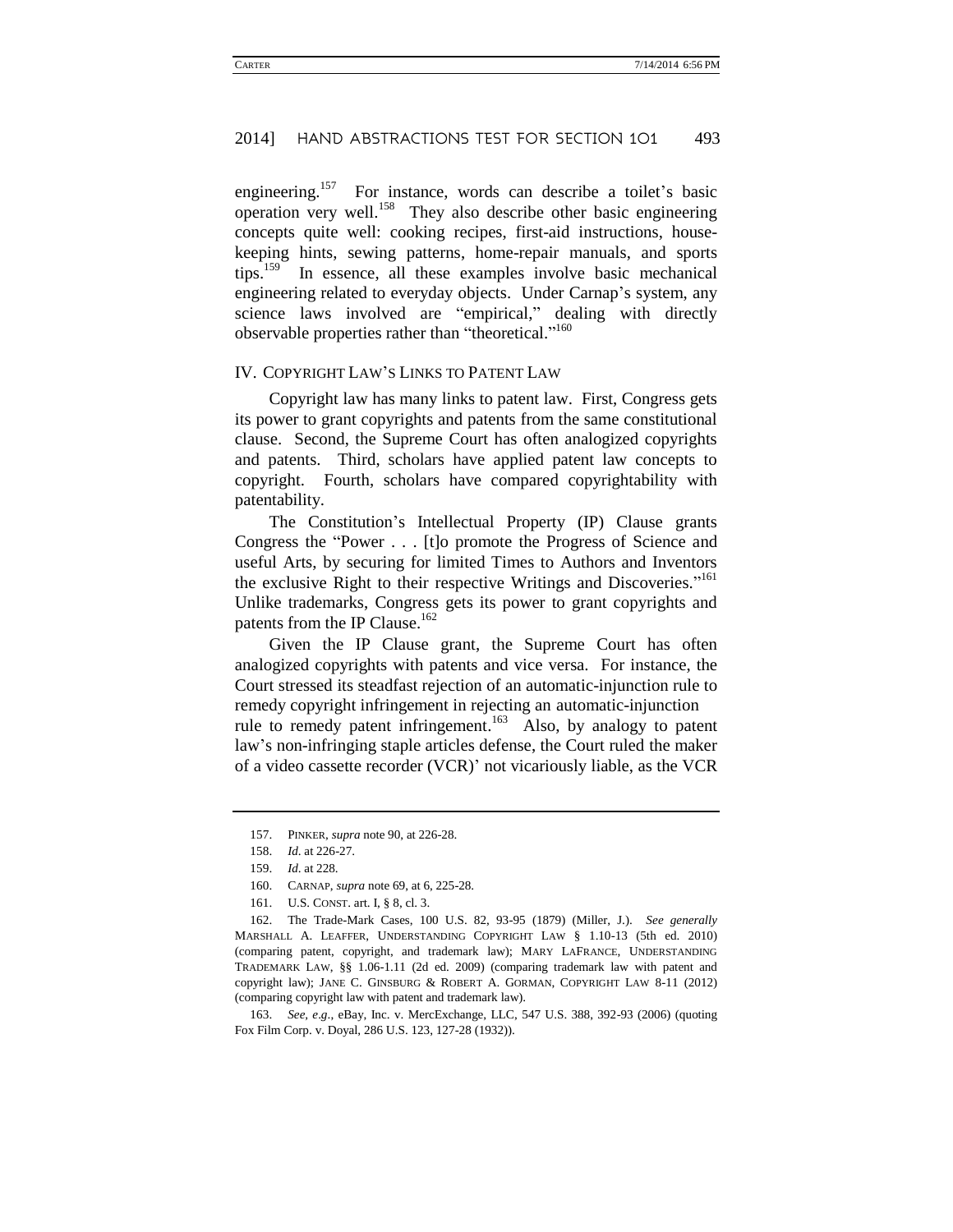engineering.<sup>157</sup> For instance, words can describe a toilet's basic operation very well.<sup>158</sup> They also describe other basic engineering concepts quite well: cooking recipes, first-aid instructions, housekeeping hints, sewing patterns, home-repair manuals, and sports tips.<sup>159</sup> In essence, all these examples involve basic mechanical engineering related to everyday objects. Under Carnap's system, any science laws involved are "empirical," dealing with directly observable properties rather than "theoretical."<sup>160</sup>

#### IV. COPYRIGHT LAW'S LINKS TO PATENT LAW

Copyright law has many links to patent law. First, Congress gets its power to grant copyrights and patents from the same constitutional clause. Second, the Supreme Court has often analogized copyrights and patents. Third, scholars have applied patent law concepts to copyright. Fourth, scholars have compared copyrightability with patentability.

The Constitution's Intellectual Property (IP) Clause grants Congress the "Power . . . [t]o promote the Progress of Science and useful Arts, by securing for limited Times to Authors and Inventors the exclusive Right to their respective Writings and Discoveries."<sup>161</sup> Unlike trademarks, Congress gets its power to grant copyrights and patents from the IP Clause.<sup>162</sup>

<span id="page-25-0"></span>Given the IP Clause grant, the Supreme Court has often analogized copyrights with patents and vice versa. For instance, the Court stressed its steadfast rejection of an automatic-injunction rule to remedy copyright infringement in rejecting an automatic-injunction rule to remedy patent infringement.<sup>163</sup> Also, by analogy to patent law's non-infringing staple articles defense, the Court ruled the maker of a video cassette recorder (VCR)' not vicariously liable, as the VCR

163. *See, e*.*g*., eBay, Inc. v. MercExchange, LLC, 547 U.S. 388, 392-93 (2006) (quoting Fox Film Corp. v. Doyal, 286 U.S. 123, 127-28 (1932)).

<sup>157.</sup> PINKER, *supra* not[e 90,](#page-16-0) at 226-28.

<sup>158.</sup> *Id*. at 226-27.

<sup>159.</sup> *Id*. at 228.

<sup>160.</sup> CARNAP, *supra* note [69,](#page-14-0) at 6, 225-28.

<sup>161.</sup> U.S. CONST. art. I, § 8, cl. 3.

<sup>162.</sup> The Trade-Mark Cases, 100 U.S. 82, 93-95 (1879) (Miller, J.). *See generally*  MARSHALL A. LEAFFER, UNDERSTANDING COPYRIGHT LAW § 1.10-13 (5th ed. 2010) (comparing patent, copyright, and trademark law); MARY LAFRANCE, UNDERSTANDING TRADEMARK LAW, §§ 1.06-1.11 (2d ed. 2009) (comparing trademark law with patent and copyright law); JANE C. GINSBURG & ROBERT A. GORMAN, COPYRIGHT LAW 8-11 (2012) (comparing copyright law with patent and trademark law).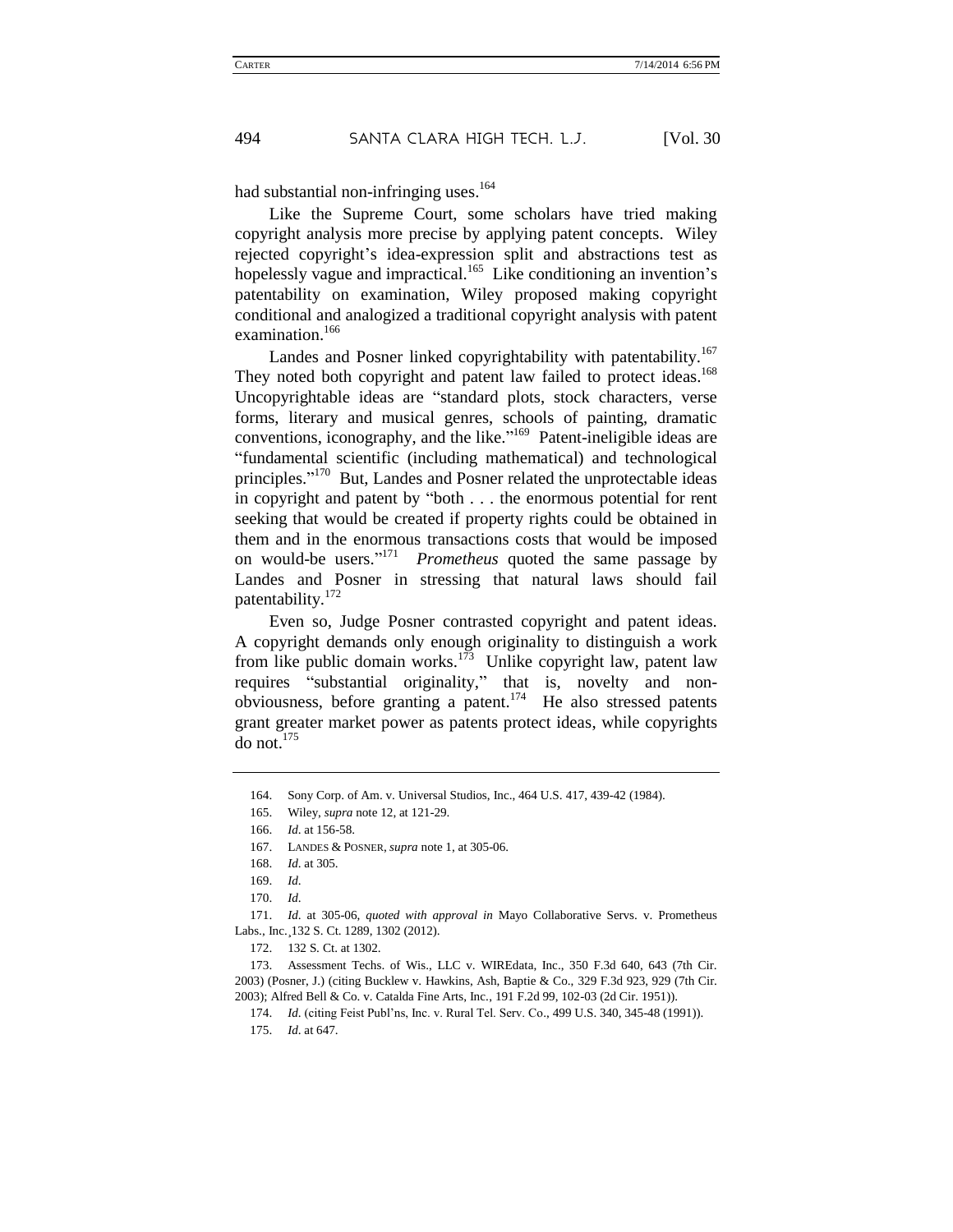had substantial non-infringing uses.<sup>164</sup>

Like the Supreme Court, some scholars have tried making copyright analysis more precise by applying patent concepts. Wiley rejected copyright's idea-expression split and abstractions test as hopelessly vague and impractical.<sup>165</sup> Like conditioning an invention's patentability on examination, Wiley proposed making copyright conditional and analogized a traditional copyright analysis with patent examination.<sup>166</sup>

Landes and Posner linked copyrightability with patentability.<sup>167</sup> They noted both copyright and patent law failed to protect ideas.<sup>168</sup> Uncopyrightable ideas are "standard plots, stock characters, verse forms, literary and musical genres, schools of painting, dramatic conventions, iconography, and the like." <sup>169</sup> Patent-ineligible ideas are "fundamental scientific (including mathematical) and technological principles."<sup>170</sup> But, Landes and Posner related the unprotectable ideas in copyright and patent by "both . . . the enormous potential for rent seeking that would be created if property rights could be obtained in them and in the enormous transactions costs that would be imposed on would-be users." <sup>171</sup> *Prometheus* quoted the same passage by Landes and Posner in stressing that natural laws should fail patentability.<sup>172</sup>

Even so, Judge Posner contrasted copyright and patent ideas. A copyright demands only enough originality to distinguish a work from like public domain works.<sup>173</sup> Unlike copyright law, patent law requires "substantial originality," that is, novelty and non $o$ bviousness, before granting a patent.<sup>174</sup> He also stressed patents grant greater market power as patents protect ideas, while copyrights do not.<sup>175</sup>

167. LANDES & POSNER, *supra* note 1, at 305-06.

171. *Id*. at 305-06, *quoted with approval in* Mayo Collaborative Servs. v. Prometheus Labs., Inc.¸132 S. Ct. 1289, 1302 (2012).

172. 132 S. Ct. at 1302.

173. Assessment Techs. of Wis., LLC v. WIREdata, Inc., 350 F.3d 640, 643 (7th Cir. 2003) (Posner, J.) (citing Bucklew v. Hawkins, Ash, Baptie & Co., 329 F.3d 923, 929 (7th Cir. 2003); Alfred Bell & Co. v. Catalda Fine Arts, Inc., 191 F.2d 99, 102-03 (2d Cir. 1951)).

174. *Id*. (citing Feist Publ'ns, Inc. v. Rural Tel. Serv. Co., 499 U.S. 340, 345-48 (1991)).

175. *Id*. at 647.

<sup>164.</sup> Sony Corp. of Am. v. Universal Studios, Inc., 464 U.S. 417, 439-42 (1984).

<sup>165.</sup> Wiley, *supra* not[e 12,](#page-6-0) at 121-29.

<sup>166.</sup> *Id*. at 156-58.

<sup>168.</sup> *Id*. at 305.

<sup>169.</sup> *Id*.

<sup>170.</sup> *Id*.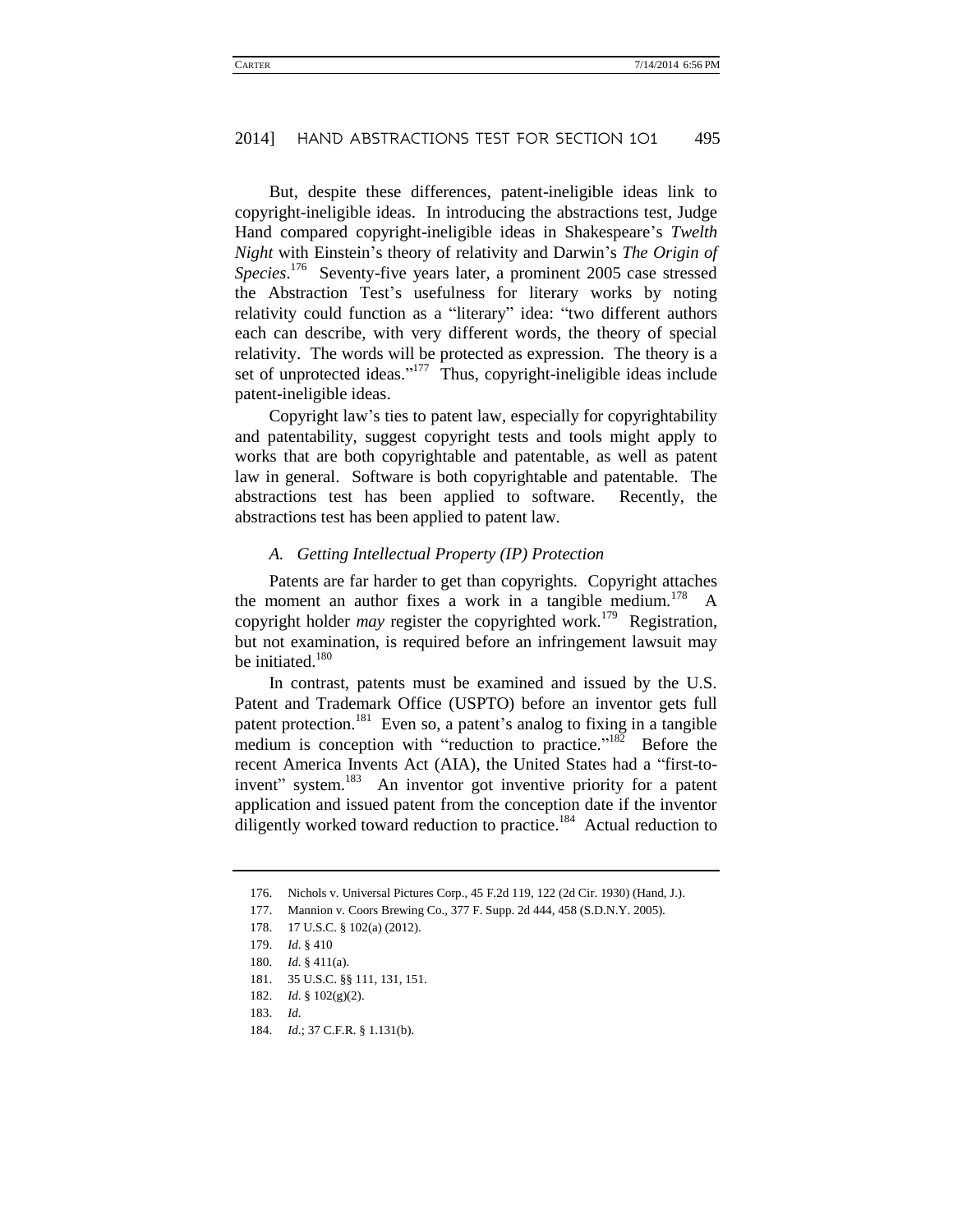But, despite these differences, patent-ineligible ideas link to copyright-ineligible ideas. In introducing the abstractions test, Judge Hand compared copyright-ineligible ideas in Shakespeare's *Twelth Night* with Einstein's theory of relativity and Darwin's *The Origin of Species*. <sup>176</sup> Seventy-five years later, a prominent 2005 case stressed the Abstraction Test's usefulness for literary works by noting relativity could function as a "literary" idea: "two different authors each can describe, with very different words, the theory of special relativity. The words will be protected as expression. The theory is a set of unprotected ideas."<sup>177</sup> Thus, copyright-ineligible ideas include patent-ineligible ideas.

Copyright law's ties to patent law, especially for copyrightability and patentability, suggest copyright tests and tools might apply to works that are both copyrightable and patentable, as well as patent law in general. Software is both copyrightable and patentable. The abstractions test has been applied to software. Recently, the abstractions test has been applied to patent law.

### *A. Getting Intellectual Property (IP) Protection*

Patents are far harder to get than copyrights. Copyright attaches the moment an author fixes a work in a tangible medium.<sup>178</sup> copyright holder *may* register the copyrighted work.<sup>179</sup> Registration, but not examination, is required before an infringement lawsuit may be initiated.<sup>180</sup>

In contrast, patents must be examined and issued by the U.S. Patent and Trademark Office (USPTO) before an inventor gets full patent protection.<sup>181</sup> Even so, a patent's analog to fixing in a tangible medium is conception with "reduction to practice."<sup>182</sup> Before the recent America Invents Act (AIA), the United States had a "first-toinvent" system.<sup>183</sup> An inventor got inventive priority for a patent application and issued patent from the conception date if the inventor diligently worked toward reduction to practice.<sup>184</sup> Actual reduction to

184. *Id*.; 37 C.F.R. § 1.131(b).

<sup>176.</sup> Nichols v. Universal Pictures Corp., 45 F.2d 119, 122 (2d Cir. 1930) (Hand, J.).

<sup>177.</sup> Mannion v. Coors Brewing Co., 377 F. Supp. 2d 444, 458 (S.D.N.Y. 2005).

<sup>178.</sup> 17 U.S.C. § 102(a) (2012).

<sup>179.</sup> *Id*. § 410

<sup>180.</sup> *Id*. § 411(a).

<sup>181.</sup> 35 U.S.C. §§ 111, 131, 151.

<sup>182.</sup> *Id*. § 102(g)(2).

<sup>183.</sup> *Id*.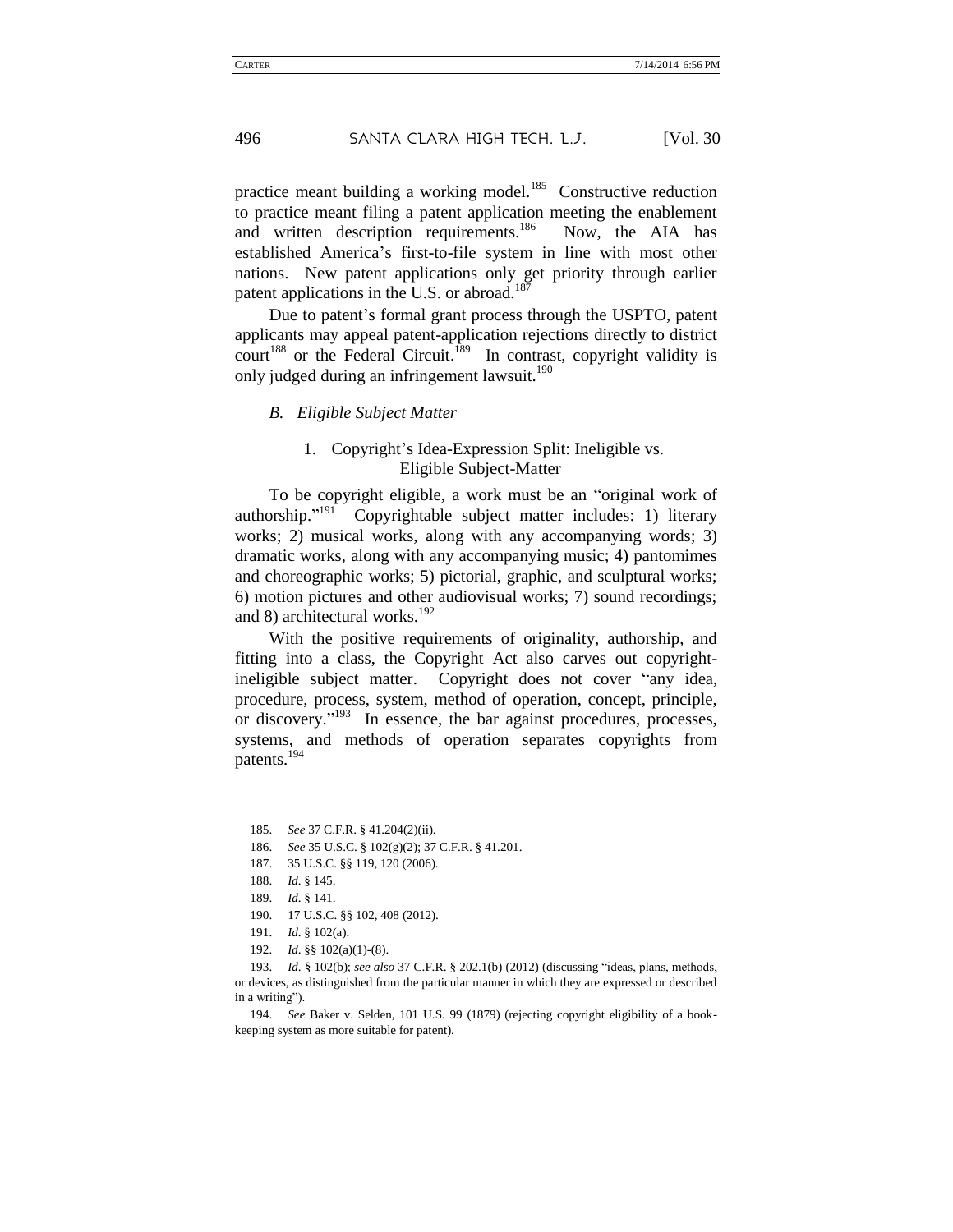practice meant building a working model.<sup>185</sup> Constructive reduction to practice meant filing a patent application meeting the enablement and written description requirements.<sup>186</sup> Now, the AIA has established America's first-to-file system in line with most other nations. New patent applications only get priority through earlier patent applications in the U.S. or abroad.<sup>18</sup>

Due to patent's formal grant process through the USPTO, patent applicants may appeal patent-application rejections directly to district court<sup>188</sup> or the Federal Circuit.<sup>189</sup> In contrast, copyright validity is only judged during an infringement lawsuit.<sup>190</sup>

#### *B. Eligible Subject Matter*

### 1. Copyright's Idea-Expression Split: Ineligible vs. Eligible Subject-Matter

To be copyright eligible, a work must be an "original work of authorship."<sup>191</sup> Copyrightable subject matter includes: 1) literary works; 2) musical works, along with any accompanying words; 3) dramatic works, along with any accompanying music; 4) pantomimes and choreographic works; 5) pictorial, graphic, and sculptural works; 6) motion pictures and other audiovisual works; 7) sound recordings; and 8) architectural works. $192$ 

With the positive requirements of originality, authorship, and fitting into a class, the Copyright Act also carves out copyrightineligible subject matter. Copyright does not cover "any idea, procedure, process, system, method of operation, concept, principle, or discovery."<sup>193</sup> In essence, the bar against procedures, processes, systems, and methods of operation separates copyrights from patents.<sup>194</sup>

186. *See* 35 U.S.C. § 102(g)(2); 37 C.F.R. § 41.201.

<sup>185.</sup> *See* 37 C.F.R. § 41.204(2)(ii).

<sup>187.</sup> 35 U.S.C. §§ 119, 120 (2006).

<sup>188.</sup> *Id*. § 145.

<sup>189.</sup> *Id*. § 141.

<sup>190.</sup> 17 U.S.C. §§ 102, 408 (2012).

<sup>191.</sup> *Id*. § 102(a).

<sup>192.</sup> *Id*. §§ 102(a)(1)-(8).

<sup>193.</sup> *Id*. § 102(b); *see also* 37 C.F.R. § 202.1(b) (2012) (discussing "ideas, plans, methods, or devices, as distinguished from the particular manner in which they are expressed or described in a writing").

<sup>194.</sup> *See* Baker v. Selden, 101 U.S. 99 (1879) (rejecting copyright eligibility of a bookkeeping system as more suitable for patent).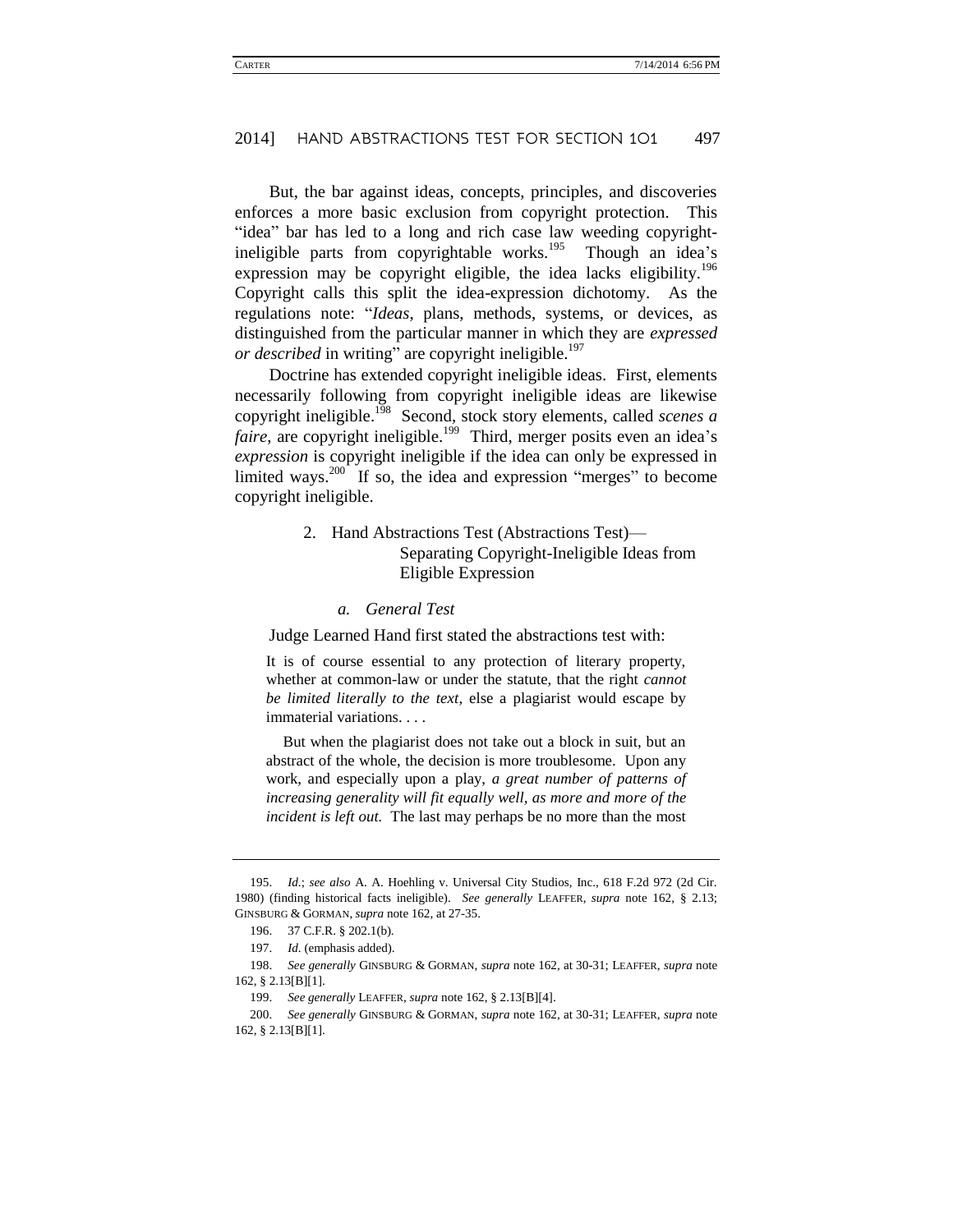But, the bar against ideas, concepts, principles, and discoveries enforces a more basic exclusion from copyright protection. This "idea" bar has led to a long and rich case law weeding copyrightineligible parts from copyrightable works.<sup>195</sup> Though an idea's expression may be copyright eligible, the idea lacks eligibility.<sup>196</sup> Copyright calls this split the idea-expression dichotomy. As the regulations note: "*Ideas*, plans, methods, systems, or devices, as distinguished from the particular manner in which they are *expressed or described* in writing" are copyright ineligible.<sup>197</sup>

Doctrine has extended copyright ineligible ideas. First, elements necessarily following from copyright ineligible ideas are likewise copyright ineligible.<sup>198</sup> Second, stock story elements, called *scenes a faire*, are copyright ineligible.<sup>199</sup> Third, merger posits even an idea's *expression* is copyright ineligible if the idea can only be expressed in limited ways.<sup>200</sup> If so, the idea and expression "merges" to become copyright ineligible.

### 2. Hand Abstractions Test (Abstractions Test)— Separating Copyright-Ineligible Ideas from Eligible Expression

#### *a. General Test*

Judge Learned Hand first stated the abstractions test with:

It is of course essential to any protection of literary property, whether at common-law or under the statute, that the right *cannot be limited literally to the text*, else a plagiarist would escape by immaterial variations. . . .

But when the plagiarist does not take out a block in suit, but an abstract of the whole, the decision is more troublesome. Upon any work, and especially upon a play, *a great number of patterns of increasing generality will fit equally well, as more and more of the incident is left out.* The last may perhaps be no more than the most

<sup>195.</sup> *Id*.; *see also* A. A. Hoehling v. Universal City Studios, Inc., 618 F.2d 972 (2d Cir. 1980) (finding historical facts ineligible). *See generally* LEAFFER, *supra* note [162,](#page-25-0) § 2.13; GINSBURG & GORMAN, *supra* not[e 162,](#page-25-0) at 27-35.

<sup>196.</sup> 37 C.F.R. § 202.1(b).

<sup>197.</sup> *Id*. (emphasis added).

<sup>198.</sup> *See generally* GINSBURG & GORMAN, *supra* note [162,](#page-25-0) at 30-31; LEAFFER, *supra* note [162,](#page-25-0) § 2.13[B][1].

<sup>199.</sup> *See generally* LEAFFER, *supra* not[e 162,](#page-25-0) § 2.13[B][4].

<sup>200.</sup> *See generally* GINSBURG & GORMAN, *supra* note [162,](#page-25-0) at 30-31; LEAFFER, *supra* note [162,](#page-25-0) § 2.13[B][1].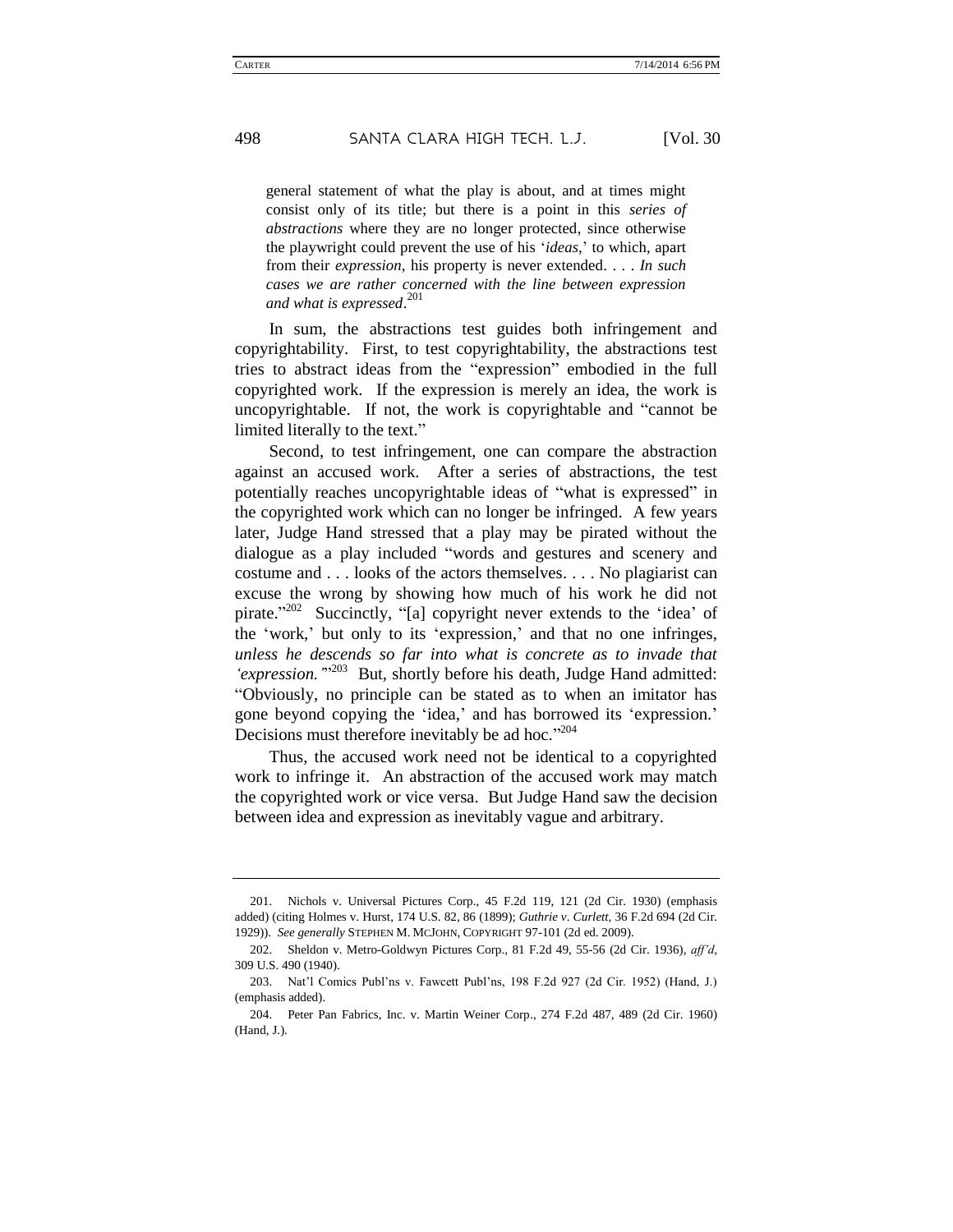general statement of what the play is about, and at times might consist only of its title; but there is a point in this *series of abstractions* where they are no longer protected, since otherwise the playwright could prevent the use of his '*ideas*,' to which, apart from their *expression*, his property is never extended. . . . *In such cases we are rather concerned with the line between expression and what is expressed*. 201

In sum, the abstractions test guides both infringement and copyrightability. First, to test copyrightability, the abstractions test tries to abstract ideas from the "expression" embodied in the full copyrighted work. If the expression is merely an idea, the work is uncopyrightable. If not, the work is copyrightable and "cannot be limited literally to the text."

Second, to test infringement, one can compare the abstraction against an accused work. After a series of abstractions, the test potentially reaches uncopyrightable ideas of "what is expressed" in the copyrighted work which can no longer be infringed. A few years later, Judge Hand stressed that a play may be pirated without the dialogue as a play included "words and gestures and scenery and costume and . . . looks of the actors themselves. . . . No plagiarist can excuse the wrong by showing how much of his work he did not pirate."<sup>202</sup> Succinctly, "[a] copyright never extends to the 'idea' of the 'work,' but only to its 'expression,' and that no one infringes, *unless he descends so far into what is concrete as to invade that*  'expression."<sup>203</sup> But, shortly before his death, Judge Hand admitted: "Obviously, no principle can be stated as to when an imitator has gone beyond copying the 'idea,' and has borrowed its 'expression.' Decisions must therefore inevitably be ad hoc."<sup>204</sup>

Thus, the accused work need not be identical to a copyrighted work to infringe it. An abstraction of the accused work may match the copyrighted work or vice versa. But Judge Hand saw the decision between idea and expression as inevitably vague and arbitrary.

<sup>201.</sup> Nichols v. Universal Pictures Corp., 45 F.2d 119, 121 (2d Cir. 1930) (emphasis added) (citing Holmes v. Hurst, 174 U.S. 82, 86 (1899); *Guthrie v*. *Curlett*, 36 F.2d 694 (2d Cir. 1929)). *See generally* STEPHEN M. MCJOHN, COPYRIGHT 97-101 (2d ed. 2009).

<sup>202.</sup> Sheldon v. Metro-Goldwyn Pictures Corp., 81 F.2d 49, 55-56 (2d Cir. 1936), *aff'd,* 309 U.S. 490 (1940).

<sup>203.</sup> Nat'l Comics Publ'ns v. Fawcett Publ'ns, 198 F.2d 927 (2d Cir. 1952) (Hand, J.) (emphasis added).

<sup>204.</sup> Peter Pan Fabrics, Inc. v. Martin Weiner Corp., 274 F.2d 487, 489 (2d Cir. 1960) (Hand, J.).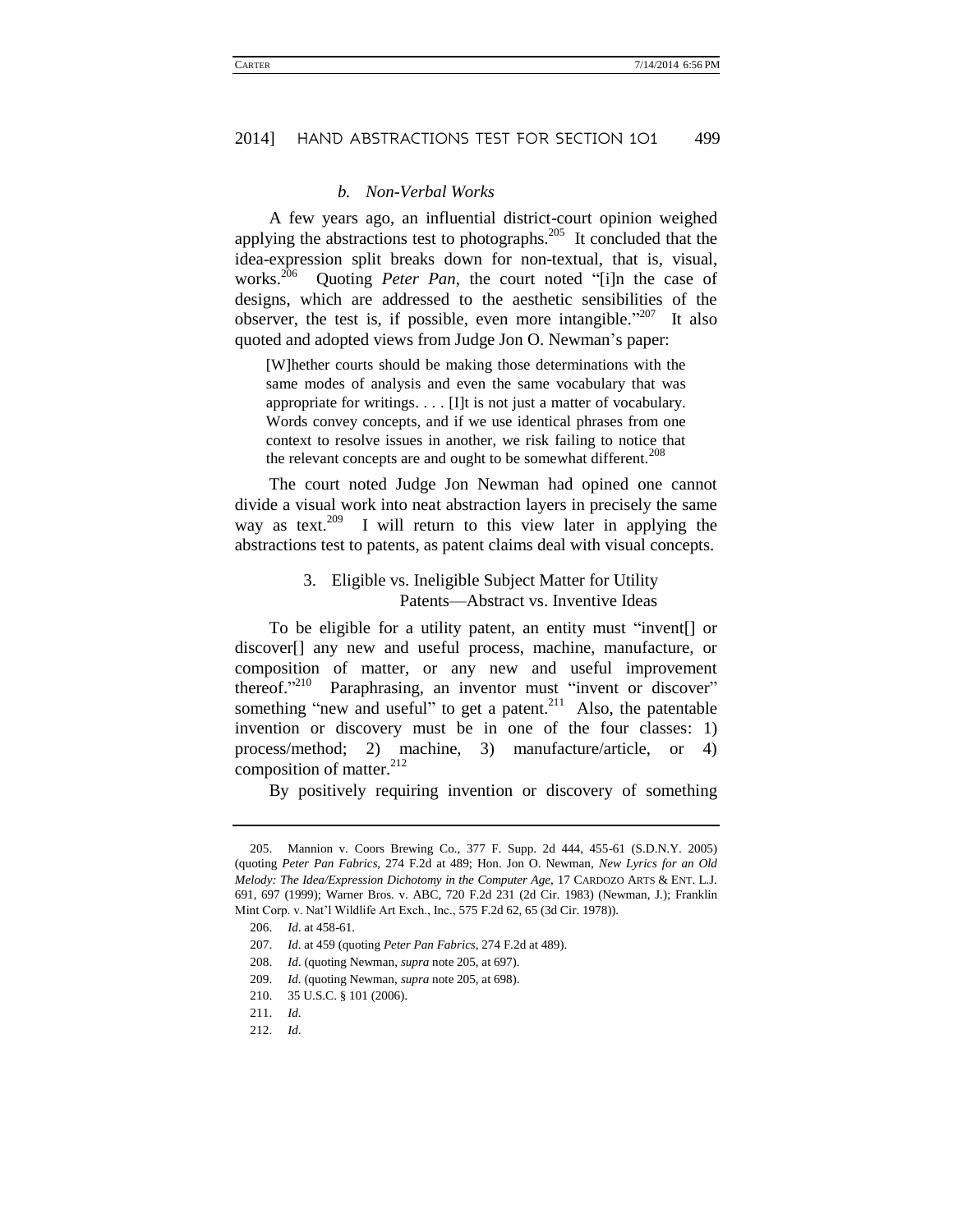#### *b. Non-Verbal Works*

A few years ago, an influential district-court opinion weighed applying the abstractions test to photographs.<sup>205</sup> It concluded that the idea-expression split breaks down for non-textual, that is, visual, works. <sup>206</sup> Quoting *Peter Pan*, the court noted "[i]n the case of designs, which are addressed to the aesthetic sensibilities of the observer, the test is, if possible, even more intangible."<sup>207</sup> It also quoted and adopted views from Judge Jon O. Newman's paper:

[W]hether courts should be making those determinations with the same modes of analysis and even the same vocabulary that was appropriate for writings. . . . [I]t is not just a matter of vocabulary. Words convey concepts, and if we use identical phrases from one context to resolve issues in another, we risk failing to notice that the relevant concepts are and ought to be somewhat different.<sup>208</sup>

The court noted Judge Jon Newman had opined one cannot divide a visual work into neat abstraction layers in precisely the same way as text.<sup>209</sup> I will return to this view later in applying the abstractions test to patents, as patent claims deal with visual concepts.

### 3. Eligible vs. Ineligible Subject Matter for Utility Patents—Abstract vs. Inventive Ideas

To be eligible for a utility patent, an entity must "invent[] or discover[] any new and useful process, machine, manufacture, or composition of matter, or any new and useful improvement thereof."<sup>210</sup> Paraphrasing, an inventor must "invent or discover" something "new and useful" to get a patent.<sup>211</sup> Also, the patentable invention or discovery must be in one of the four classes: 1) process/method; 2) machine, 3) manufacture/article, or 4) composition of matter. $^{212}$ 

By positively requiring invention or discovery of something

<sup>205.</sup> Mannion v. Coors Brewing Co., 377 F. Supp. 2d 444, 455-61 (S.D.N.Y. 2005) (quoting *Peter Pan Fabrics,* 274 F.2d at 489; Hon. Jon O. Newman, *New Lyrics for an Old Melody: The Idea/Expression Dichotomy in the Computer Age,* 17 CARDOZO ARTS & ENT. L.J. 691, 697 (1999); Warner Bros. v. ABC, 720 F.2d 231 (2d Cir. 1983) (Newman, J.); Franklin Mint Corp. v. Nat'l Wildlife Art Exch., Inc., 575 F.2d 62, 65 (3d Cir. 1978)).

<sup>206.</sup> *Id*. at 458-61.

<sup>207.</sup> *Id*. at 459 (quoting *Peter Pan Fabrics*, 274 F.2d at 489).

<sup>208.</sup> *Id*. (quoting Newman, *supra* note 205, at 697).

<sup>209.</sup> *Id*. (quoting Newman, *supra* note 205, at 698).

<sup>210.</sup> 35 U.S.C. § 101 (2006).

<sup>211.</sup> *Id*.

<sup>212.</sup> *Id*.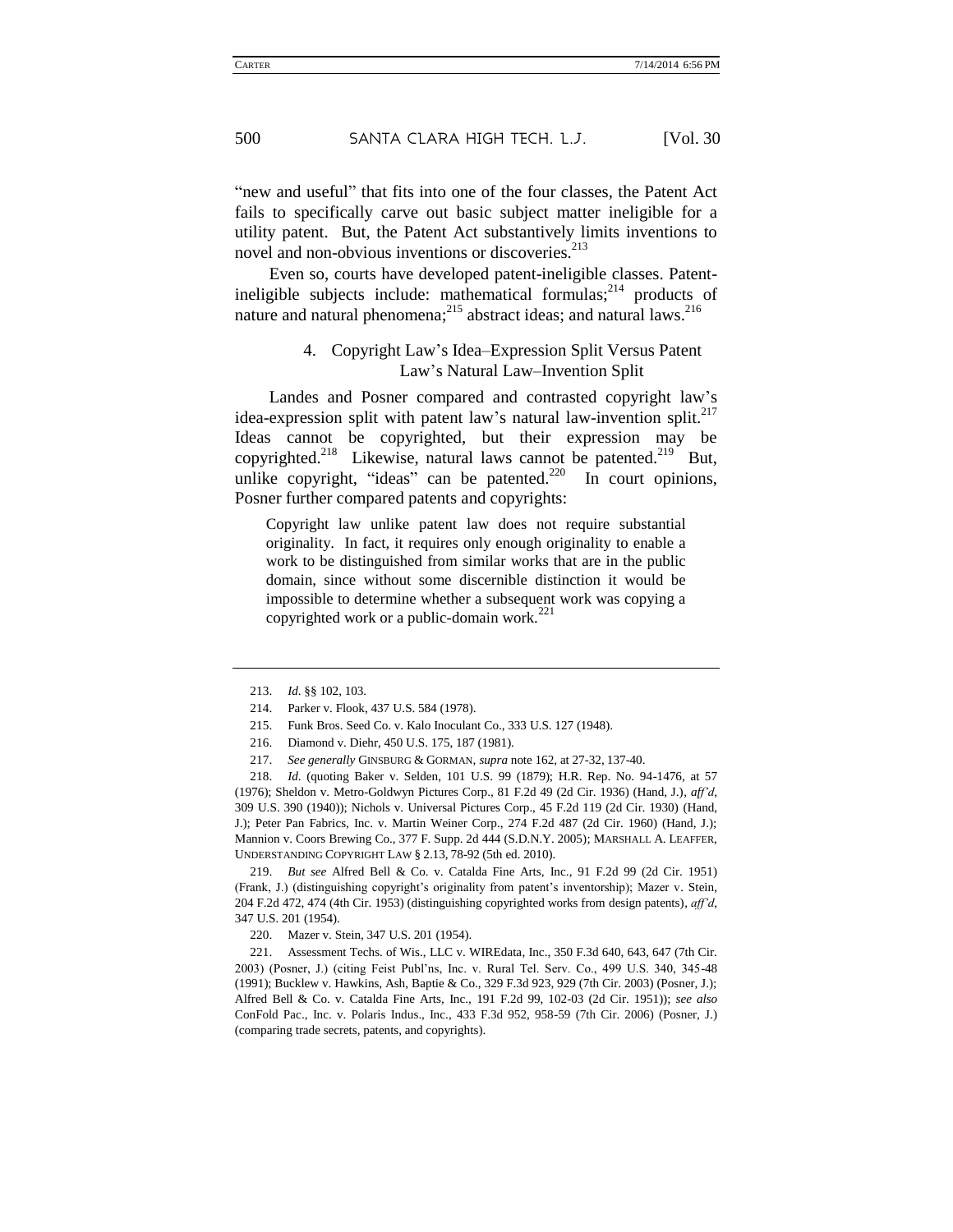"new and useful" that fits into one of the four classes, the Patent Act fails to specifically carve out basic subject matter ineligible for a utility patent. But, the Patent Act substantively limits inventions to novel and non-obvious inventions or discoveries.<sup>213</sup>

Even so, courts have developed patent-ineligible classes. Patentineligible subjects include: mathematical formulas;<sup>214</sup> products of nature and natural phenomena;<sup>215</sup> abstract ideas; and natural laws.<sup>216</sup>

### 4. Copyright Law's Idea–Expression Split Versus Patent Law's Natural Law–Invention Split

Landes and Posner compared and contrasted copyright law's idea-expression split with patent law's natural law-invention split.<sup>217</sup> Ideas cannot be copyrighted, but their expression may be copyrighted.<sup>218</sup> Likewise, natural laws cannot be patented.<sup>219</sup> But, unlike copyright, "ideas" can be patented.<sup>220</sup> In court opinions, Posner further compared patents and copyrights:

Copyright law unlike patent law does not require substantial originality. In fact, it requires only enough originality to enable a work to be distinguished from similar works that are in the public domain, since without some discernible distinction it would be impossible to determine whether a subsequent work was copying a copyrighted work or a public-domain work.<sup>221</sup>

<sup>213.</sup> *Id*. §§ 102, 103.

<sup>214.</sup> Parker v. Flook, 437 U.S. 584 (1978).

<sup>215.</sup> Funk Bros. Seed Co. v. Kalo Inoculant Co., 333 U.S. 127 (1948).

<sup>216.</sup> Diamond v. Diehr, 450 U.S. 175, 187 (1981).

<sup>217.</sup> *See generally* GINSBURG & GORMAN, *supra* not[e 162,](#page-25-0) at 27-32, 137-40.

<sup>218.</sup> *Id*. (quoting Baker v. Selden, 101 U.S. 99 (1879); H.R. Rep. No. 94-1476, at 57 (1976); Sheldon v. Metro-Goldwyn Pictures Corp., 81 F.2d 49 (2d Cir. 1936) (Hand, J.), *aff'd*, 309 U.S. 390 (1940)); Nichols v. Universal Pictures Corp., 45 F.2d 119 (2d Cir. 1930) (Hand, J.); Peter Pan Fabrics, Inc. v. Martin Weiner Corp., 274 F.2d 487 (2d Cir. 1960) (Hand, J.); Mannion v. Coors Brewing Co., 377 F. Supp. 2d 444 (S.D.N.Y. 2005); MARSHALL A. LEAFFER, UNDERSTANDING COPYRIGHT LAW § 2.13, 78-92 (5th ed. 2010).

<sup>219.</sup> *But see* Alfred Bell & Co. v. Catalda Fine Arts, Inc., 91 F.2d 99 (2d Cir. 1951) (Frank, J.) (distinguishing copyright's originality from patent's inventorship); Mazer v. Stein, 204 F.2d 472, 474 (4th Cir. 1953) (distinguishing copyrighted works from design patents), *aff'd*, 347 U.S. 201 (1954).

<sup>220.</sup> Mazer v. Stein, 347 U.S. 201 (1954).

<sup>221.</sup> Assessment Techs. of Wis., LLC v. WIREdata, Inc., 350 F.3d 640, 643, 647 (7th Cir. 2003) (Posner, J.) (citing Feist Publ'ns, Inc. v. Rural Tel. Serv. Co., 499 U.S. 340, 345-48 (1991); Bucklew v. Hawkins, Ash, Baptie & Co., 329 F.3d 923, 929 (7th Cir. 2003) (Posner, J.); Alfred Bell & Co. v. Catalda Fine Arts, Inc., 191 F.2d 99, 102-03 (2d Cir. 1951)); *see also*  ConFold Pac., Inc. v. Polaris Indus., Inc., 433 F.3d 952, 958-59 (7th Cir. 2006) (Posner, J.) (comparing trade secrets, patents, and copyrights).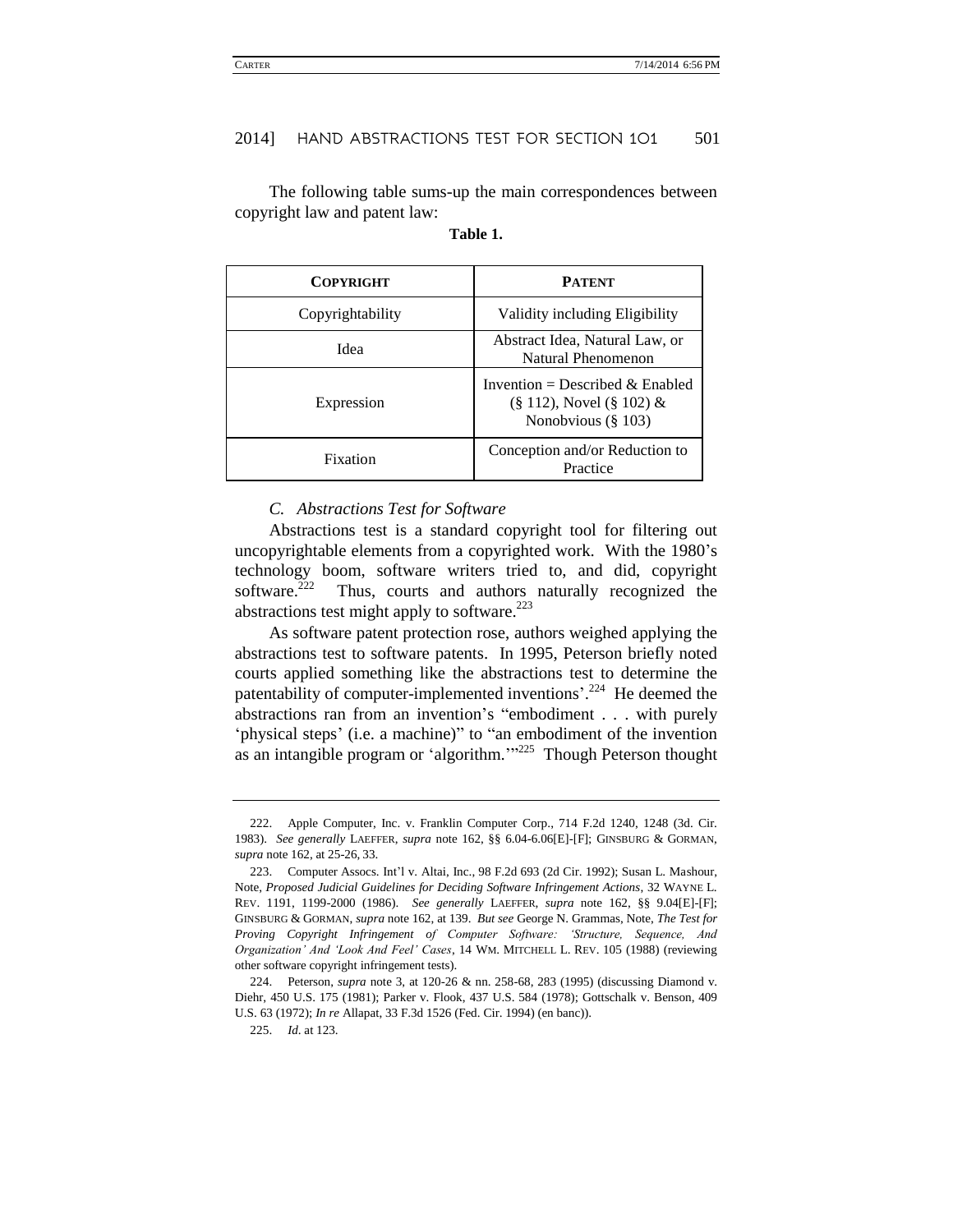The following table sums-up the main correspondences between copyright law and patent law:

| <b>COPYRIGHT</b> | <b>PATENT</b>                                                                               |
|------------------|---------------------------------------------------------------------------------------------|
| Copyrightability | Validity including Eligibility                                                              |
| Idea             | Abstract Idea, Natural Law, or<br>Natural Phenomenon                                        |
| Expression       | Invention = Described & Enabled<br>$(\S 112)$ , Novel $(\S 102)$ &<br>Nonobvious $(\S 103)$ |
| Fixation         | Conception and/or Reduction to<br>Practice                                                  |

#### **Table 1.**

#### *C. Abstractions Test for Software*

Abstractions test is a standard copyright tool for filtering out uncopyrightable elements from a copyrighted work. With the 1980's technology boom, software writers tried to, and did, copyright software. $222$  Thus, courts and authors naturally recognized the abstractions test might apply to software. $223$ 

As software patent protection rose, authors weighed applying the abstractions test to software patents. In 1995, Peterson briefly noted courts applied something like the abstractions test to determine the patentability of computer-implemented inventions'.<sup>224</sup> He deemed the abstractions ran from an invention's "embodiment . . . with purely 'physical steps' (i.e. a machine)" to "an embodiment of the invention as an intangible program or 'algorithm.'"<sup>225</sup> Though Peterson thought

<sup>222.</sup> Apple Computer, Inc. v. Franklin Computer Corp., 714 F.2d 1240, 1248 (3d. Cir. 1983). *See generally* LAEFFER, *supra* note [162,](#page-25-0) §§ 6.04-6.06[E]-[F]; GINSBURG & GORMAN, *supra* not[e 162,](#page-25-0) at 25-26, 33.

<sup>223.</sup> Computer Assocs. Int'l v. Altai, Inc., 98 F.2d 693 (2d Cir. 1992); Susan L. Mashour, Note, *Proposed Judicial Guidelines for Deciding Software Infringement Actions*, 32 WAYNE L. REV. 1191, 1199-2000 (1986). *See generally* LAEFFER, *supra* note [162,](#page-25-0) §§ 9.04[E]-[F]; GINSBURG & GORMAN, *supra* not[e 162,](#page-25-0) at 139. *But see* George N. Grammas, Note, *The Test for Proving Copyright Infringement of Computer Software: 'Structure, Sequence, And Organization' And 'Look And Feel' Cases*, 14 WM. MITCHELL L. REV. 105 (1988) (reviewing other software copyright infringement tests).

<sup>224.</sup> Peterson, *supra* note [3,](#page-5-0) at 120-26 & nn. 258-68, 283 (1995) (discussing Diamond v. Diehr, 450 U.S. 175 (1981); Parker v. Flook, 437 U.S. 584 (1978); Gottschalk v. Benson, 409 U.S. 63 (1972); *In re* Allapat, 33 F.3d 1526 (Fed. Cir. 1994) (en banc)).

<sup>225.</sup> *Id*. at 123.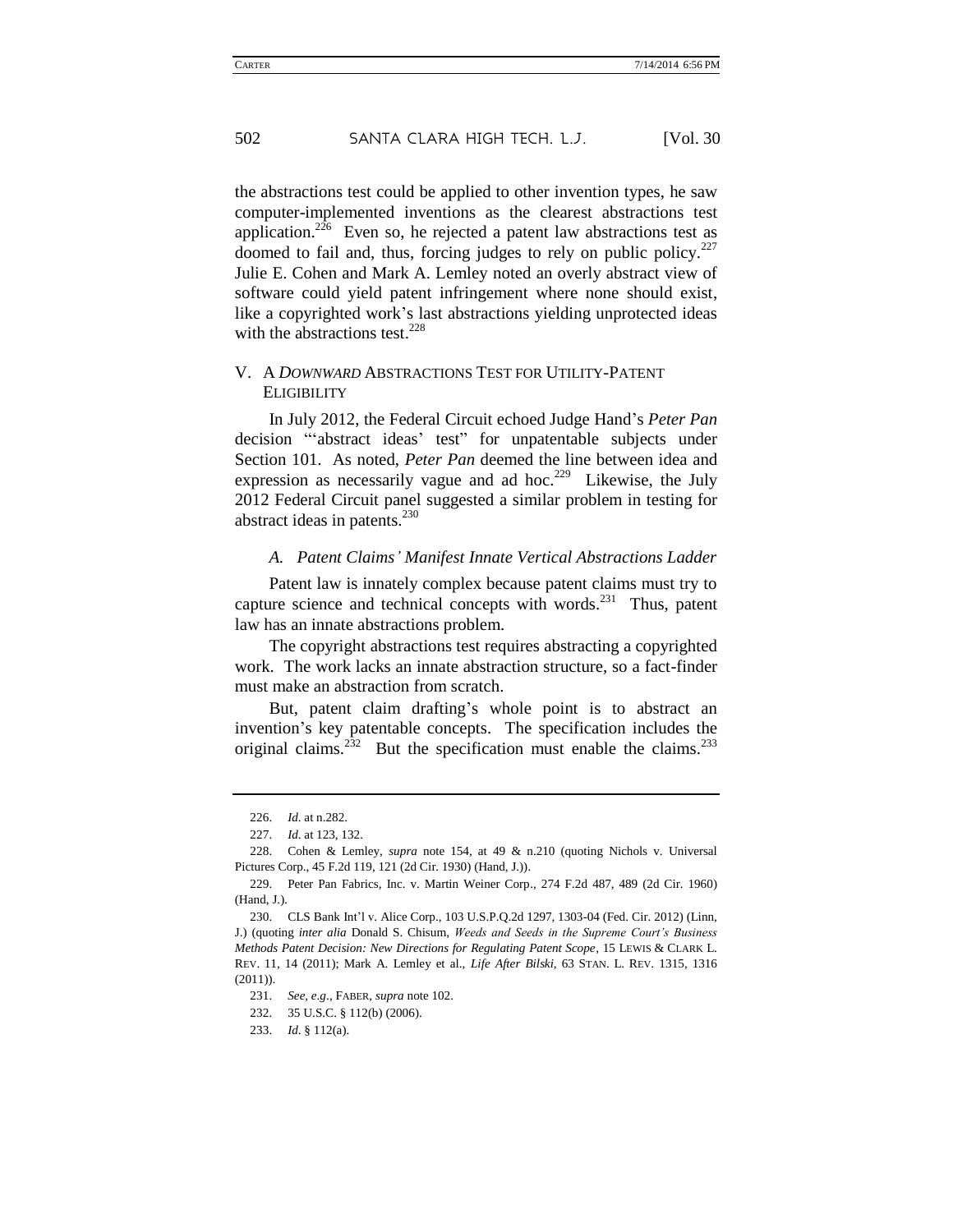the abstractions test could be applied to other invention types, he saw computer-implemented inventions as the clearest abstractions test application.<sup>226</sup> Even so, he rejected a patent law abstractions test as doomed to fail and, thus, forcing judges to rely on public policy. $227$ Julie E. Cohen and Mark A. Lemley noted an overly abstract view of software could yield patent infringement where none should exist, like a copyrighted work's last abstractions yielding unprotected ideas with the abstractions test.<sup>228</sup>

### V. A *DOWNWARD* ABSTRACTIONS TEST FOR UTILITY-PATENT **ELIGIBILITY**

In July 2012, the Federal Circuit echoed Judge Hand's *Peter Pan* decision "'abstract ideas' test" for unpatentable subjects under Section 101. As noted, *Peter Pan* deemed the line between idea and expression as necessarily vague and ad hoc.<sup>229</sup> Likewise, the July 2012 Federal Circuit panel suggested a similar problem in testing for abstract ideas in patents.<sup>230</sup>

#### *A. Patent Claims' Manifest Innate Vertical Abstractions Ladder*

Patent law is innately complex because patent claims must try to capture science and technical concepts with words.<sup>231</sup> Thus, patent law has an innate abstractions problem.

The copyright abstractions test requires abstracting a copyrighted work. The work lacks an innate abstraction structure, so a fact-finder must make an abstraction from scratch.

But, patent claim drafting's whole point is to abstract an invention's key patentable concepts. The specification includes the original claims.<sup>232</sup> But the specification must enable the claims.<sup>233</sup>

<sup>226.</sup> *Id*. at n.282.

<sup>227.</sup> *Id*. at 123, 132.

<sup>228.</sup> Cohen & Lemley, *supra* note 154, at 49 & n.210 (quoting Nichols v. Universal Pictures Corp., 45 F.2d 119, 121 (2d Cir. 1930) (Hand, J.)).

<sup>229.</sup> Peter Pan Fabrics, Inc. v. Martin Weiner Corp., 274 F.2d 487, 489 (2d Cir. 1960) (Hand, J.).

<sup>230.</sup> CLS Bank Int'l v. Alice Corp., 103 U.S.P.Q.2d 1297, 1303-04 (Fed. Cir. 2012) (Linn, J.) (quoting *inter alia* Donald S. Chisum, *Weeds and Seeds in the Supreme Court's Business Methods Patent Decision: New Directions for Regulating Patent Scope*, 15 LEWIS & CLARK L. REV. 11, 14 (2011); Mark A. Lemley et al., *Life After Bilski*, 63 STAN. L. REV. 1315, 1316 (2011)).

<sup>231.</sup> *See, e*.*g*., FABER, *supra* note 102.

<sup>232.</sup> 35 U.S.C. § 112(b) (2006).

<sup>233.</sup> *Id*. § 112(a).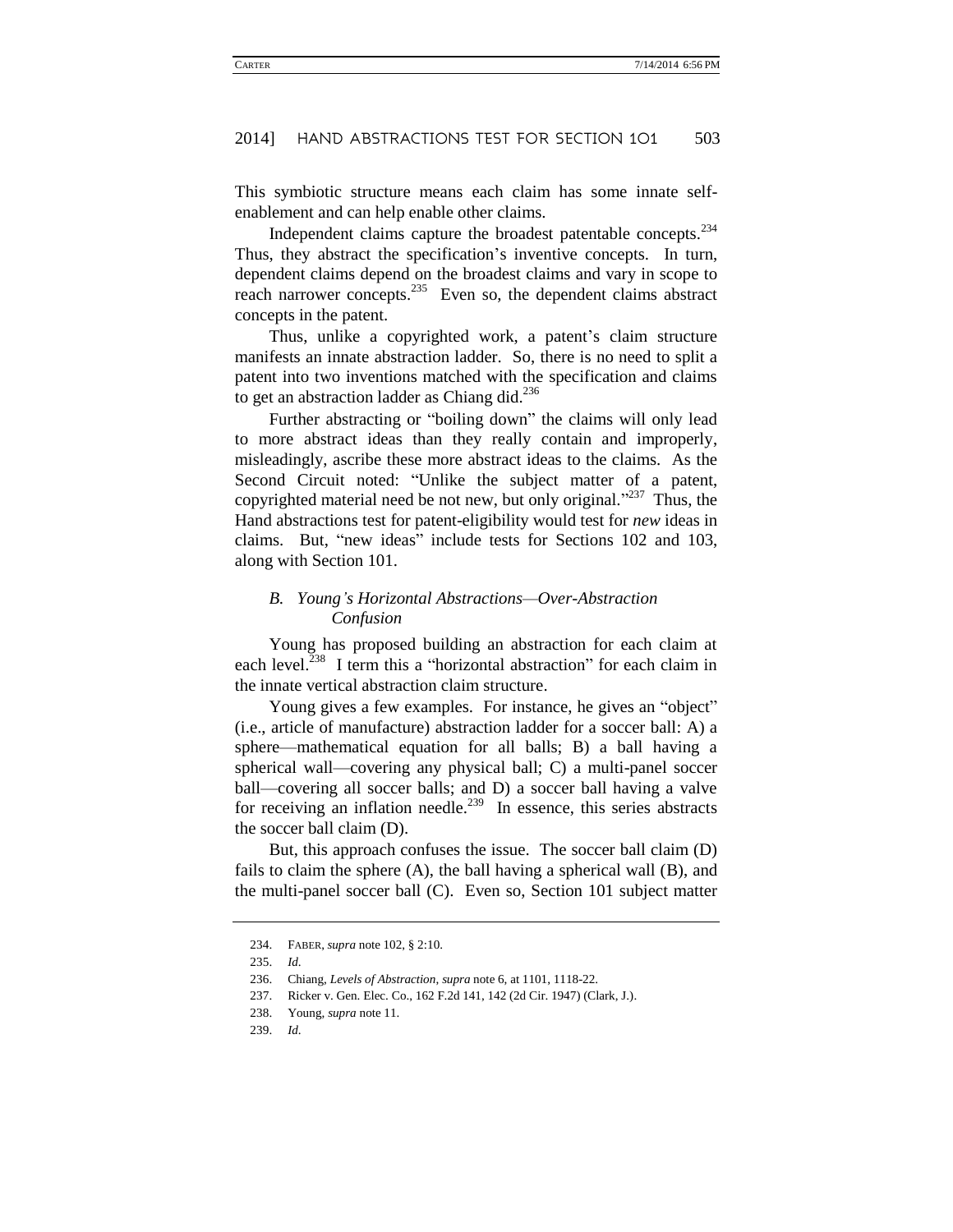This symbiotic structure means each claim has some innate selfenablement and can help enable other claims.

Independent claims capture the broadest patentable concepts.<sup>234</sup> Thus, they abstract the specification's inventive concepts. In turn, dependent claims depend on the broadest claims and vary in scope to reach narrower concepts. $235$  Even so, the dependent claims abstract concepts in the patent.

Thus, unlike a copyrighted work, a patent's claim structure manifests an innate abstraction ladder. So, there is no need to split a patent into two inventions matched with the specification and claims to get an abstraction ladder as Chiang did.<sup>236</sup>

Further abstracting or "boiling down" the claims will only lead to more abstract ideas than they really contain and improperly, misleadingly, ascribe these more abstract ideas to the claims. As the Second Circuit noted: "Unlike the subject matter of a patent, copyrighted material need be not new, but only original."<sup>237</sup> Thus, the Hand abstractions test for patent-eligibility would test for *new* ideas in claims. But, "new ideas" include tests for Sections 102 and 103, along with Section 101.

### *B. Young's Horizontal Abstractions—Over-Abstraction Confusion*

Young has proposed building an abstraction for each claim at each level.<sup>238</sup> I term this a "horizontal abstraction" for each claim in the innate vertical abstraction claim structure.

Young gives a few examples. For instance, he gives an "object" (i.e., article of manufacture) abstraction ladder for a soccer ball: A) a sphere—mathematical equation for all balls; B) a ball having a spherical wall—covering any physical ball; C) a multi-panel soccer ball—covering all soccer balls; and D) a soccer ball having a valve for receiving an inflation needle.<sup>239</sup> In essence, this series abstracts the soccer ball claim (D).

But, this approach confuses the issue. The soccer ball claim (D) fails to claim the sphere (A), the ball having a spherical wall (B), and the multi-panel soccer ball (C). Even so, Section 101 subject matter

<sup>234.</sup> FABER, *supra* note 102, § 2:10.

<sup>235.</sup> *Id*.

<sup>236.</sup> Chiang, *Levels of Abstraction*, *supra* note 6, at 1101, 1118-22.

<sup>237.</sup> Ricker v. Gen. Elec. Co., 162 F.2d 141, 142 (2d Cir. 1947) (Clark, J.).

<sup>238.</sup> Young, *supra* note [11.](#page-5-2)

<sup>239.</sup> *Id*.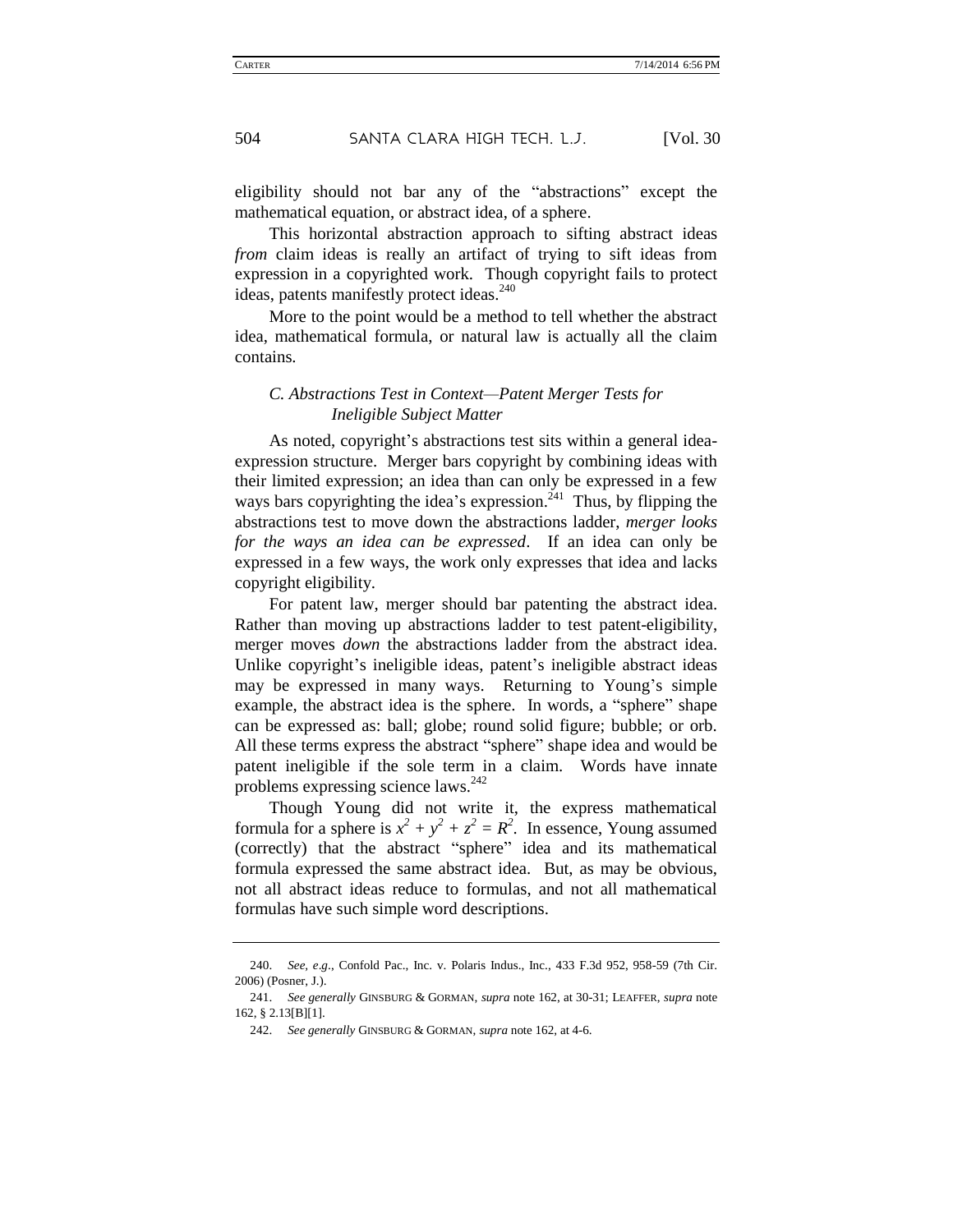eligibility should not bar any of the "abstractions" except the mathematical equation, or abstract idea, of a sphere.

This horizontal abstraction approach to sifting abstract ideas *from* claim ideas is really an artifact of trying to sift ideas from expression in a copyrighted work. Though copyright fails to protect ideas, patents manifestly protect ideas.<sup>240</sup>

More to the point would be a method to tell whether the abstract idea, mathematical formula, or natural law is actually all the claim contains.

### *C. Abstractions Test in Context—Patent Merger Tests for Ineligible Subject Matter*

As noted, copyright's abstractions test sits within a general ideaexpression structure. Merger bars copyright by combining ideas with their limited expression; an idea than can only be expressed in a few ways bars copyrighting the idea's expression.<sup> $241$ </sup> Thus, by flipping the abstractions test to move down the abstractions ladder, *merger looks for the ways an idea can be expressed*. If an idea can only be expressed in a few ways, the work only expresses that idea and lacks copyright eligibility.

For patent law, merger should bar patenting the abstract idea. Rather than moving up abstractions ladder to test patent-eligibility, merger moves *down* the abstractions ladder from the abstract idea. Unlike copyright's ineligible ideas, patent's ineligible abstract ideas may be expressed in many ways. Returning to Young's simple example, the abstract idea is the sphere. In words, a "sphere" shape can be expressed as: ball; globe; round solid figure; bubble; or orb. All these terms express the abstract "sphere" shape idea and would be patent ineligible if the sole term in a claim. Words have innate problems expressing science laws.<sup>242</sup>

Though Young did not write it, the express mathematical formula for a sphere is  $x^2 + y^2 + z^2 = R^2$ . In essence, Young assumed (correctly) that the abstract "sphere" idea and its mathematical formula expressed the same abstract idea. But, as may be obvious, not all abstract ideas reduce to formulas, and not all mathematical formulas have such simple word descriptions.

<sup>240.</sup> *See, e*.*g*., Confold Pac., Inc. v. Polaris Indus., Inc., 433 F.3d 952, 958-59 (7th Cir. 2006) (Posner, J.).

<sup>241.</sup> *See generally* GINSBURG & GORMAN, *supra* note [162,](#page-25-0) at 30-31; LEAFFER, *supra* note [162,](#page-25-0) § 2.13[B][1].

<sup>242.</sup> *See generally* GINSBURG & GORMAN, *supra* note 162, at 4-6.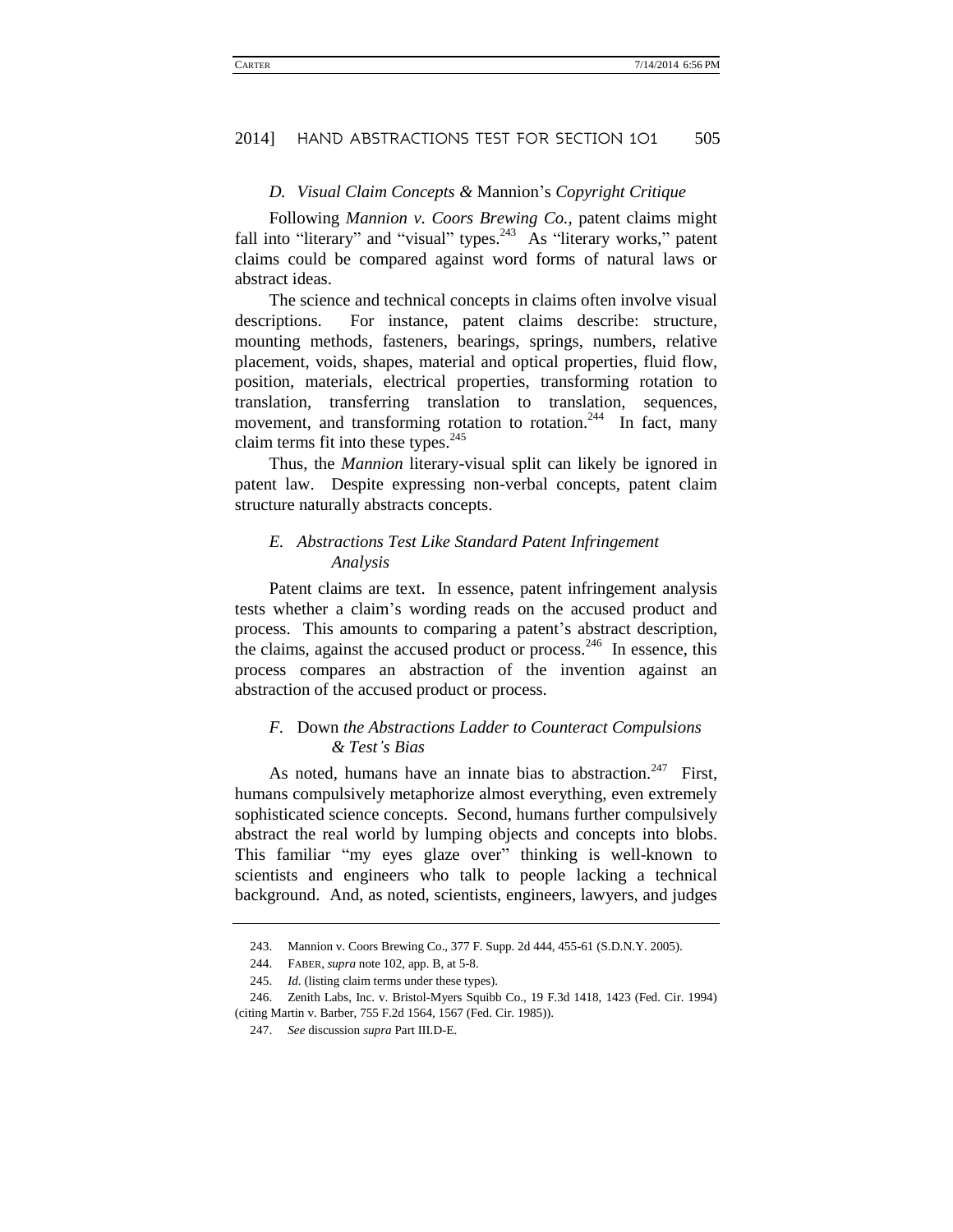#### *D. Visual Claim Concepts &* Mannion's *Copyright Critique*

Following *Mannion v. Coors Brewing Co.*, patent claims might fall into "literary" and "visual" types.<sup>243</sup> As "literary works," patent claims could be compared against word forms of natural laws or abstract ideas.

The science and technical concepts in claims often involve visual descriptions. For instance, patent claims describe: structure, mounting methods, fasteners, bearings, springs, numbers, relative placement, voids, shapes, material and optical properties, fluid flow, position, materials, electrical properties, transforming rotation to translation, transferring translation to translation, sequences, movement, and transforming rotation to rotation.<sup>244</sup> In fact, many claim terms fit into these types. $245$ 

Thus, the *Mannion* literary-visual split can likely be ignored in patent law. Despite expressing non-verbal concepts, patent claim structure naturally abstracts concepts.

### *E. Abstractions Test Like Standard Patent Infringement Analysis*

Patent claims are text. In essence, patent infringement analysis tests whether a claim's wording reads on the accused product and process. This amounts to comparing a patent's abstract description, the claims, against the accused product or process.<sup>246</sup> In essence, this process compares an abstraction of the invention against an abstraction of the accused product or process.

### *F.* Down *the Abstractions Ladder to Counteract Compulsions & Test's Bias*

As noted, humans have an innate bias to abstraction.<sup>247</sup> First, humans compulsively metaphorize almost everything, even extremely sophisticated science concepts. Second, humans further compulsively abstract the real world by lumping objects and concepts into blobs. This familiar "my eyes glaze over" thinking is well-known to scientists and engineers who talk to people lacking a technical background. And, as noted, scientists, engineers, lawyers, and judges

<sup>243.</sup> Mannion v. Coors Brewing Co., 377 F. Supp. 2d 444, 455-61 (S.D.N.Y. 2005).

<sup>244.</sup> FABER, *supra* note 102, app. B, at 5-8.

<sup>245.</sup> *Id*. (listing claim terms under these types).

<sup>246.</sup> Zenith Labs, Inc. v. Bristol-Myers Squibb Co., 19 F.3d 1418, 1423 (Fed. Cir. 1994) (citing Martin v. Barber, 755 F.2d 1564, 1567 (Fed. Cir. 1985)).

<sup>247.</sup> *See* discussion *supra* Part III.D-E.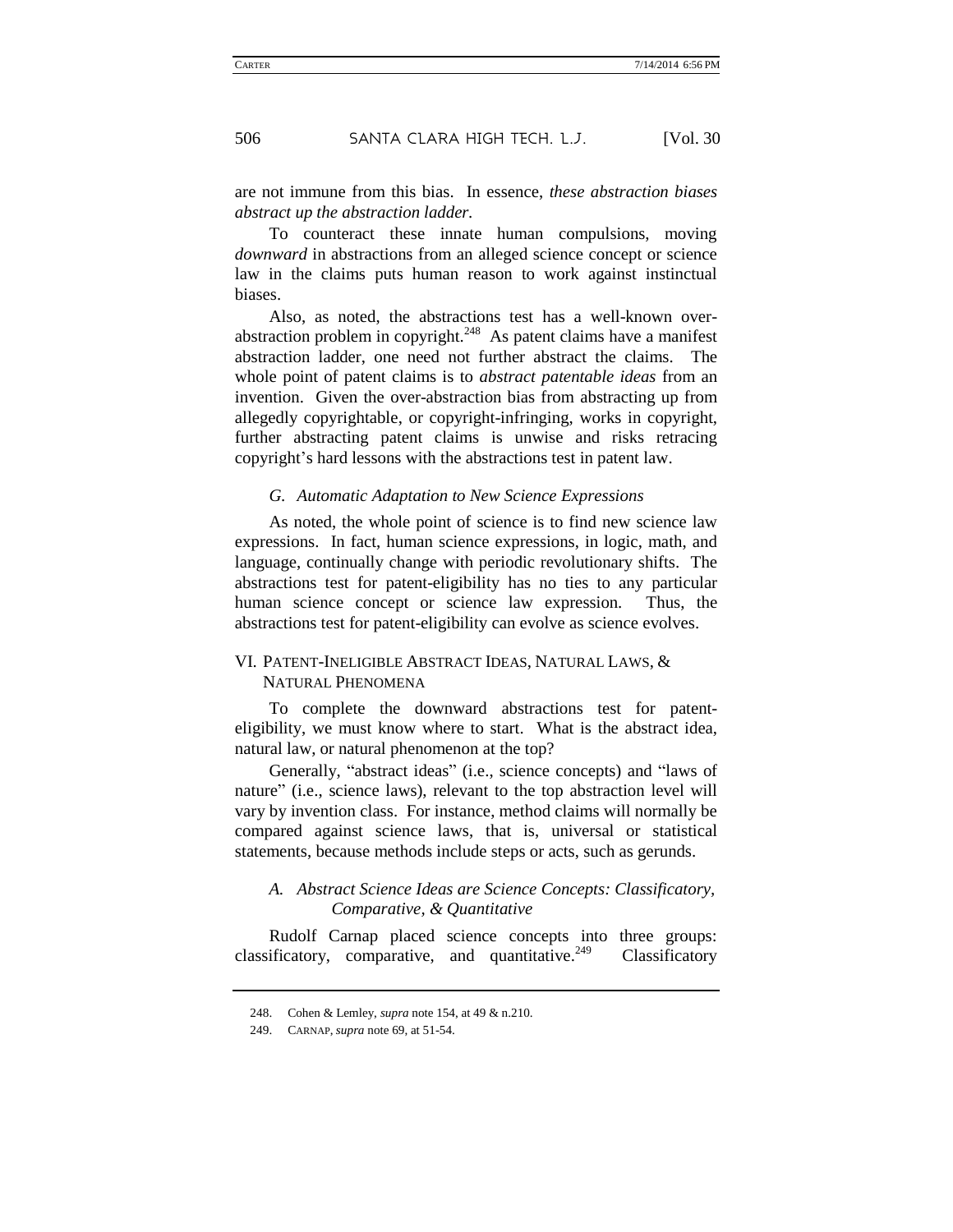are not immune from this bias. In essence, *these abstraction biases abstract up the abstraction ladder.*

To counteract these innate human compulsions, moving *downward* in abstractions from an alleged science concept or science law in the claims puts human reason to work against instinctual biases.

Also, as noted, the abstractions test has a well-known overabstraction problem in copyright.<sup>248</sup> As patent claims have a manifest abstraction ladder, one need not further abstract the claims. The whole point of patent claims is to *abstract patentable ideas* from an invention. Given the over-abstraction bias from abstracting up from allegedly copyrightable, or copyright-infringing, works in copyright, further abstracting patent claims is unwise and risks retracing copyright's hard lessons with the abstractions test in patent law.

#### *G. Automatic Adaptation to New Science Expressions*

As noted, the whole point of science is to find new science law expressions. In fact, human science expressions, in logic, math, and language, continually change with periodic revolutionary shifts. The abstractions test for patent-eligibility has no ties to any particular human science concept or science law expression. Thus, the abstractions test for patent-eligibility can evolve as science evolves.

### VI. PATENT-INELIGIBLE ABSTRACT IDEAS, NATURAL LAWS, & NATURAL PHENOMENA

To complete the downward abstractions test for patenteligibility, we must know where to start. What is the abstract idea, natural law, or natural phenomenon at the top?

Generally, "abstract ideas" (i.e., science concepts) and "laws of nature" (i.e., science laws), relevant to the top abstraction level will vary by invention class. For instance, method claims will normally be compared against science laws, that is, universal or statistical statements, because methods include steps or acts, such as gerunds.

### *A. Abstract Science Ideas are Science Concepts: Classificatory, Comparative, & Quantitative*

Rudolf Carnap placed science concepts into three groups: classificatory, comparative, and quantitative.<sup>249</sup> Classificatory

<sup>248.</sup> Cohen & Lemley, *supra* note 154, at 49 & n.210.

<sup>249.</sup> CARNAP, *supra* not[e 69,](#page-14-0) at 51-54.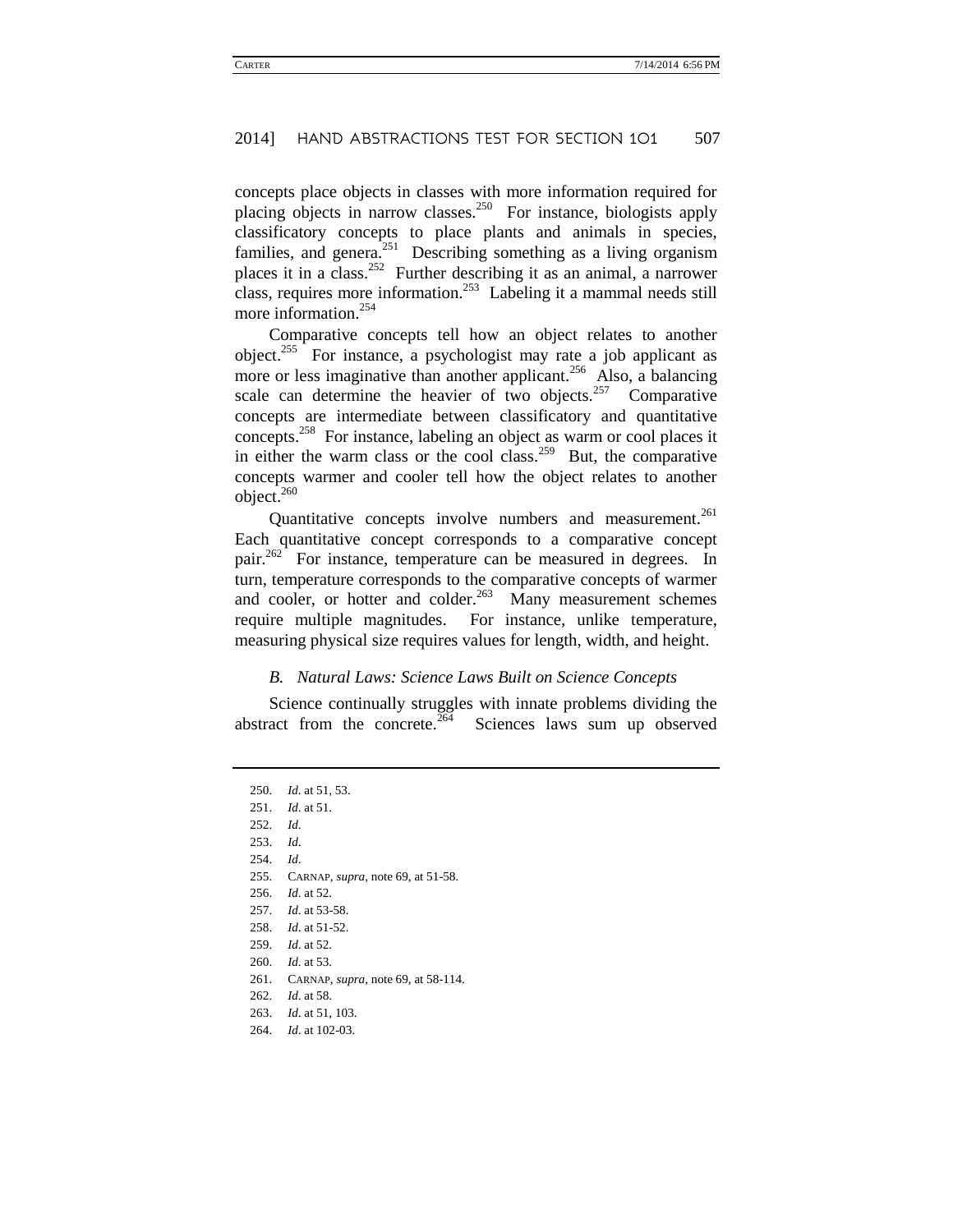concepts place objects in classes with more information required for placing objects in narrow classes.<sup>250</sup> For instance, biologists apply classificatory concepts to place plants and animals in species, families, and genera.<sup>251</sup> Describing something as a living organism places it in a class.<sup>252</sup> Further describing it as an animal, a narrower class, requires more information.<sup>253</sup> Labeling it a mammal needs still more information.<sup>254</sup>

Comparative concepts tell how an object relates to another object.<sup>255</sup> For instance, a psychologist may rate a job applicant as more or less imaginative than another applicant.<sup>256</sup> Also, a balancing scale can determine the heavier of two objects.<sup>257</sup> Comparative concepts are intermediate between classificatory and quantitative concepts.<sup>258</sup> For instance, labeling an object as warm or cool places it in either the warm class or the cool class.<sup>259</sup> But, the comparative concepts warmer and cooler tell how the object relates to another object. $260$ 

Quantitative concepts involve numbers and measurement.<sup>261</sup> Each quantitative concept corresponds to a comparative concept pair.<sup>262</sup> For instance, temperature can be measured in degrees. In turn, temperature corresponds to the comparative concepts of warmer and cooler, or hotter and colder.<sup>263</sup> Many measurement schemes require multiple magnitudes. For instance, unlike temperature, measuring physical size requires values for length, width, and height.

#### *B. Natural Laws: Science Laws Built on Science Concepts*

Science continually struggles with innate problems dividing the abstract from the concrete.<sup> $264$ </sup> Sciences laws sum up observed

250. *Id*. at 51, 53. 251. *Id*. at 51. 252. *Id*. 253. *Id*. 254. *Id*. 255. CARNAP, *supra*, note 69, at 51-58. 256. *Id*. at 52. 257. *Id*. at 53-58. 258. *Id*. at 51-52. 259. *Id*. at 52. 260. *Id*. at 53. 261. CARNAP, *supra*, note 69, at 58-114. 262. *Id*. at 58. 263. *Id*. at 51, 103.

264. *Id*. at 102-03.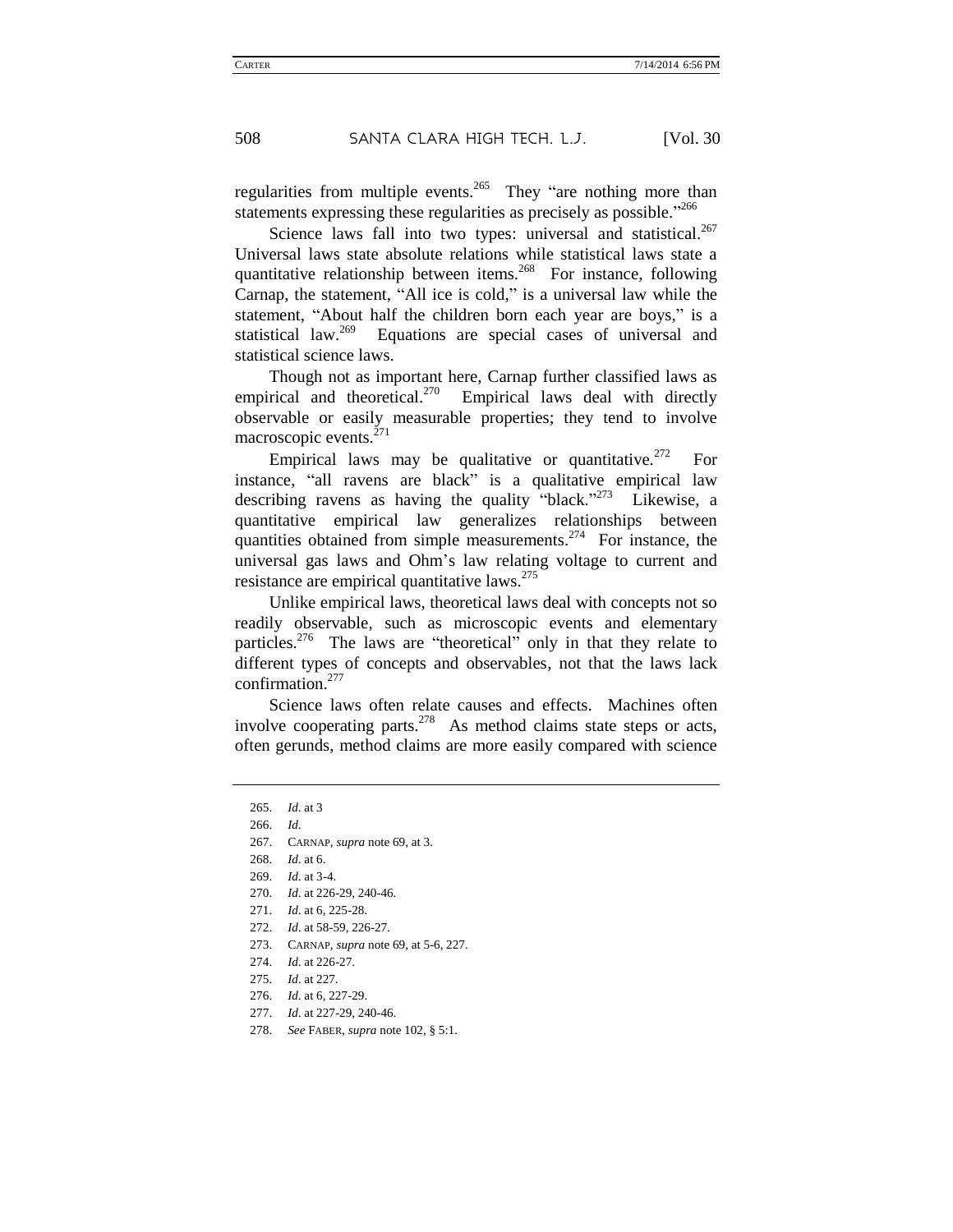regularities from multiple events.<sup>265</sup> They "are nothing more than statements expressing these regularities as precisely as possible."266

Science laws fall into two types: universal and statistical. $267$ Universal laws state absolute relations while statistical laws state a quantitative relationship between items.<sup>268</sup> For instance, following Carnap, the statement, "All ice is cold," is a universal law while the statement, "About half the children born each year are boys," is a statistical law.<sup>269</sup> Equations are special cases of universal and statistical science laws.

Though not as important here, Carnap further classified laws as empirical and theoretical.<sup>270</sup> Empirical laws deal with directly observable or easily measurable properties; they tend to involve macroscopic events.<sup>271</sup>

Empirical laws may be qualitative or quantitative.<sup>272</sup> For instance, "all ravens are black" is a qualitative empirical law describing ravens as having the quality "black."<sup>273</sup> Likewise, a quantitative empirical law generalizes relationships between quantities obtained from simple measurements.<sup>274</sup> For instance, the universal gas laws and Ohm's law relating voltage to current and resistance are empirical quantitative laws.<sup>275</sup>

Unlike empirical laws, theoretical laws deal with concepts not so readily observable, such as microscopic events and elementary particles.<sup>276</sup> The laws are "theoretical" only in that they relate to different types of concepts and observables, not that the laws lack confirmation. $277$ 

Science laws often relate causes and effects. Machines often involve cooperating parts. $278$  As method claims state steps or acts, often gerunds, method claims are more easily compared with science

275. *Id*. at 227.

<sup>265.</sup> *Id*. at 3

<sup>266.</sup> *Id*.

<sup>267.</sup> CARNAP, *supra* note 69, at 3.

<sup>268.</sup> *Id*. at 6.

<sup>269.</sup> *Id*. at 3-4.

<sup>270.</sup> *Id*. at 226-29, 240-46.

<sup>271.</sup> *Id*. at 6, 225-28.

<sup>272.</sup> *Id*. at 58-59, 226-27.

<sup>273.</sup> CARNAP, *supra* note 69, at 5-6, 227.

<sup>274.</sup> *Id*. at 226-27.

<sup>276.</sup> *Id*. at 6, 227-29.

<sup>277.</sup> *Id*. at 227-29, 240-46.

<sup>278.</sup> *See* FABER, *supra* not[e 102,](#page-17-0) § 5:1.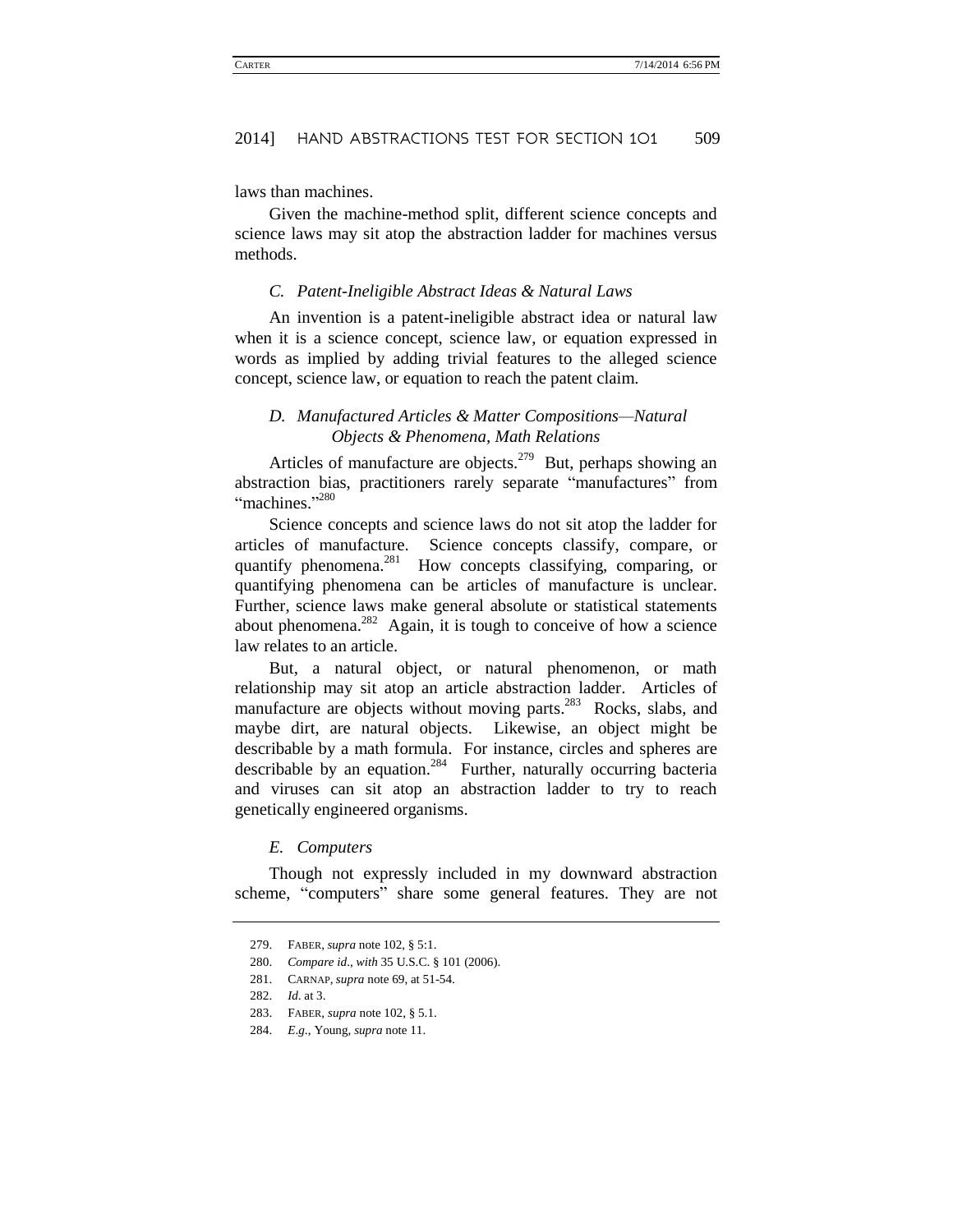laws than machines.

Given the machine-method split, different science concepts and science laws may sit atop the abstraction ladder for machines versus methods.

#### *C. Patent-Ineligible Abstract Ideas & Natural Laws*

An invention is a patent-ineligible abstract idea or natural law when it is a science concept, science law, or equation expressed in words as implied by adding trivial features to the alleged science concept, science law, or equation to reach the patent claim.

### *D. Manufactured Articles & Matter Compositions—Natural Objects & Phenomena, Math Relations*

Articles of manufacture are objects.<sup>279</sup> But, perhaps showing an abstraction bias, practitioners rarely separate "manufactures" from "machines."<sup>280</sup>

Science concepts and science laws do not sit atop the ladder for articles of manufacture. Science concepts classify, compare, or quantify phenomena.<sup>281</sup> How concepts classifying, comparing, or quantifying phenomena can be articles of manufacture is unclear. Further, science laws make general absolute or statistical statements about phenomena. $282$  Again, it is tough to conceive of how a science law relates to an article.

But, a natural object, or natural phenomenon, or math relationship may sit atop an article abstraction ladder. Articles of manufacture are objects without moving parts.<sup>283</sup> Rocks, slabs, and maybe dirt, are natural objects. Likewise, an object might be describable by a math formula. For instance, circles and spheres are describable by an equation.<sup>284</sup> Further, naturally occurring bacteria and viruses can sit atop an abstraction ladder to try to reach genetically engineered organisms.

#### *E. Computers*

Though not expressly included in my downward abstraction scheme, "computers" share some general features. They are not

<sup>279.</sup> FABER, *supra* not[e 102,](#page-17-0) § 5:1.

<sup>280.</sup> *Compare id*., *with* 35 U.S.C. § 101 (2006).

<sup>281.</sup> CARNAP, *supra* not[e 69,](#page-14-0) at 51-54.

<sup>282.</sup> *Id*. at 3.

<sup>283.</sup> FABER, *supra* note 102, § 5.1.

<sup>284.</sup> *E*.*g*., Young, *supra* not[e 11.](#page-5-2)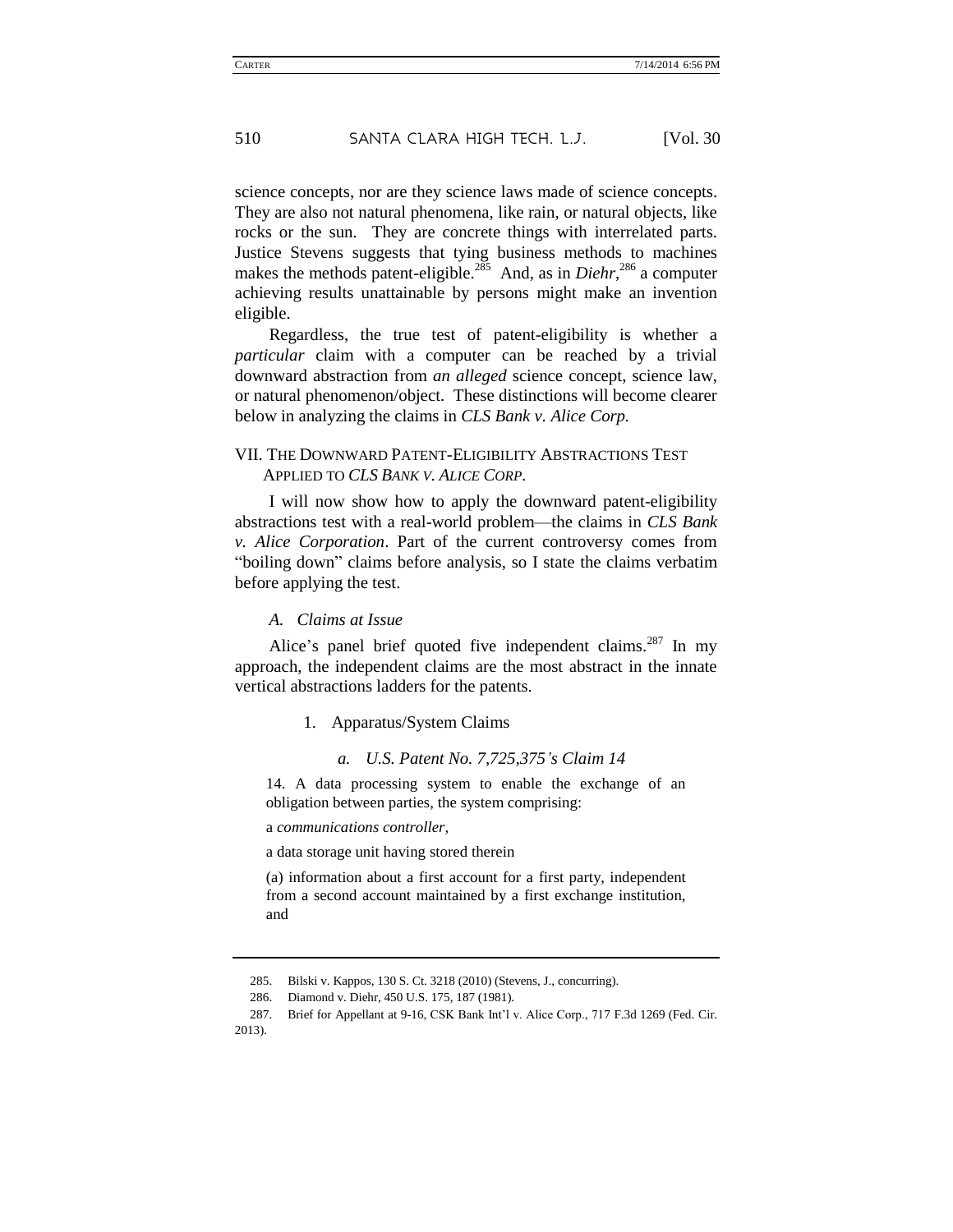science concepts, nor are they science laws made of science concepts. They are also not natural phenomena, like rain, or natural objects, like rocks or the sun. They are concrete things with interrelated parts. Justice Stevens suggests that tying business methods to machines makes the methods patent-eligible.<sup>285</sup> And, as in *Diehr*,<sup>286</sup> a computer achieving results unattainable by persons might make an invention eligible.

Regardless, the true test of patent-eligibility is whether a *particular* claim with a computer can be reached by a trivial downward abstraction from *an alleged* science concept, science law, or natural phenomenon/object. These distinctions will become clearer below in analyzing the claims in *CLS Bank v. Alice Corp.*

### VII. THE DOWNWARD PATENT-ELIGIBILITY ABSTRACTIONS TEST APPLIED TO *CLS BANK V. ALICE CORP.*

I will now show how to apply the downward patent-eligibility abstractions test with a real-world problem—the claims in *CLS Bank v. Alice Corporation*. Part of the current controversy comes from "boiling down" claims before analysis, so I state the claims verbatim before applying the test.

#### *A. Claims at Issue*

Alice's panel brief quoted five independent claims.<sup>287</sup> In my approach, the independent claims are the most abstract in the innate vertical abstractions ladders for the patents.

#### 1. Apparatus/System Claims

#### *a. U.S. Patent No. 7,725,375's Claim 14*

14. A data processing system to enable the exchange of an obligation between parties, the system comprising:

a *communications controller*,

a data storage unit having stored therein

(a) information about a first account for a first party, independent from a second account maintained by a first exchange institution, and

<sup>285.</sup> Bilski v. Kappos, 130 S. Ct. 3218 (2010) (Stevens, J., concurring).

<sup>286.</sup> Diamond v. Diehr, 450 U.S. 175, 187 (1981).

<sup>287.</sup> Brief for Appellant at 9-16, CSK Bank Int'l v. Alice Corp., 717 F.3d 1269 (Fed. Cir. 2013).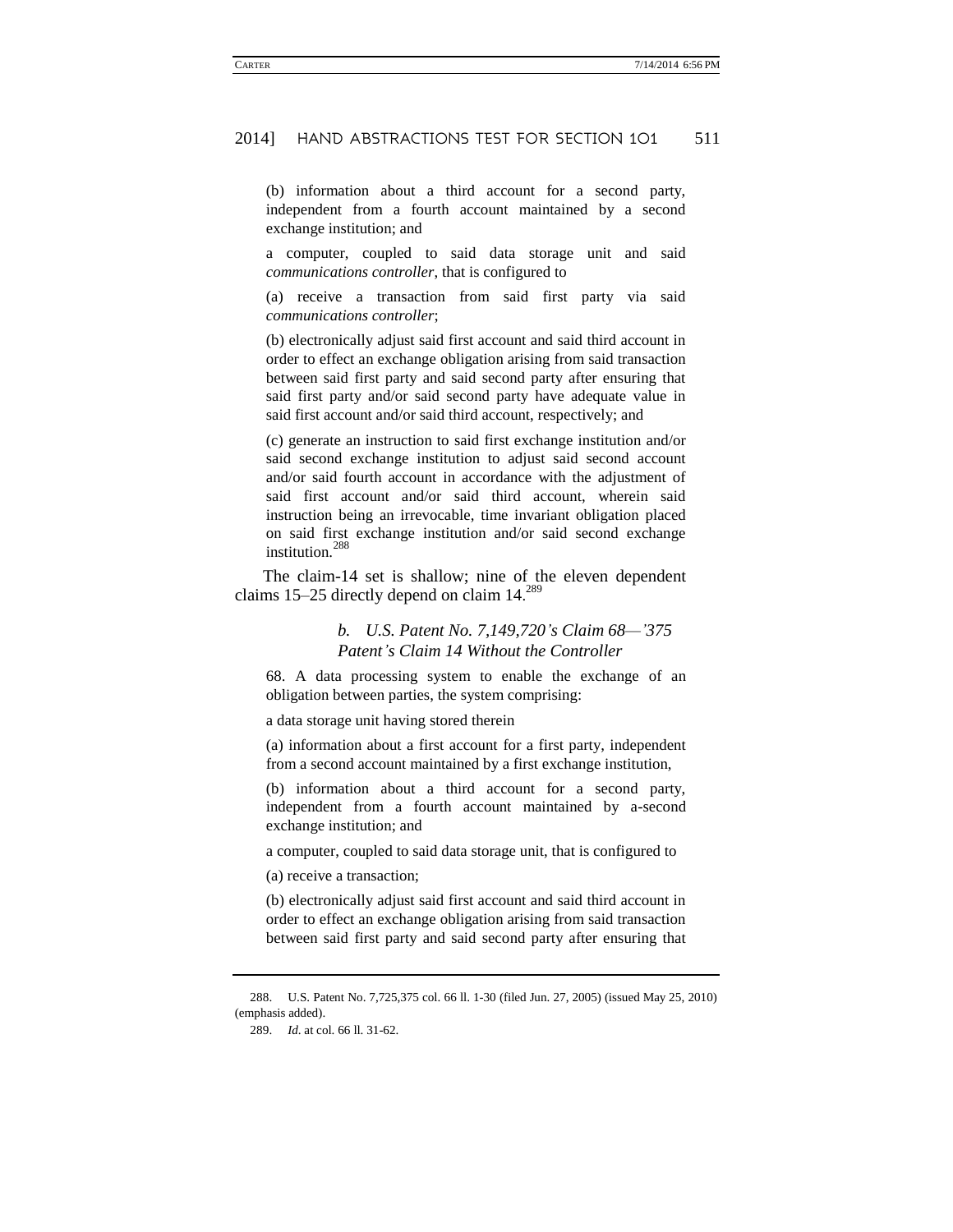(b) information about a third account for a second party, independent from a fourth account maintained by a second exchange institution; and

a computer, coupled to said data storage unit and said *communications controller*, that is configured to

(a) receive a transaction from said first party via said *communications controller*;

(b) electronically adjust said first account and said third account in order to effect an exchange obligation arising from said transaction between said first party and said second party after ensuring that said first party and/or said second party have adequate value in said first account and/or said third account, respectively; and

(c) generate an instruction to said first exchange institution and/or said second exchange institution to adjust said second account and/or said fourth account in accordance with the adjustment of said first account and/or said third account, wherein said instruction being an irrevocable, time invariant obligation placed on said first exchange institution and/or said second exchange institution.<sup>288</sup>

The claim-14 set is shallow; nine of the eleven dependent claims 15–25 directly depend on claim 14.<sup>289</sup>

### *b. U.S. Patent No. 7,149,720's Claim 68—'375 Patent's Claim 14 Without the Controller*

68. A data processing system to enable the exchange of an obligation between parties, the system comprising:

a data storage unit having stored therein

(a) information about a first account for a first party, independent from a second account maintained by a first exchange institution,

(b) information about a third account for a second party, independent from a fourth account maintained by a-second exchange institution; and

a computer, coupled to said data storage unit, that is configured to

(a) receive a transaction;

(b) electronically adjust said first account and said third account in order to effect an exchange obligation arising from said transaction between said first party and said second party after ensuring that

<sup>288.</sup> U.S. Patent No. 7,725,375 col. 66 ll. 1-30 (filed Jun. 27, 2005) (issued May 25, 2010) (emphasis added).

<sup>289.</sup> *Id*. at col. 66 ll. 31-62.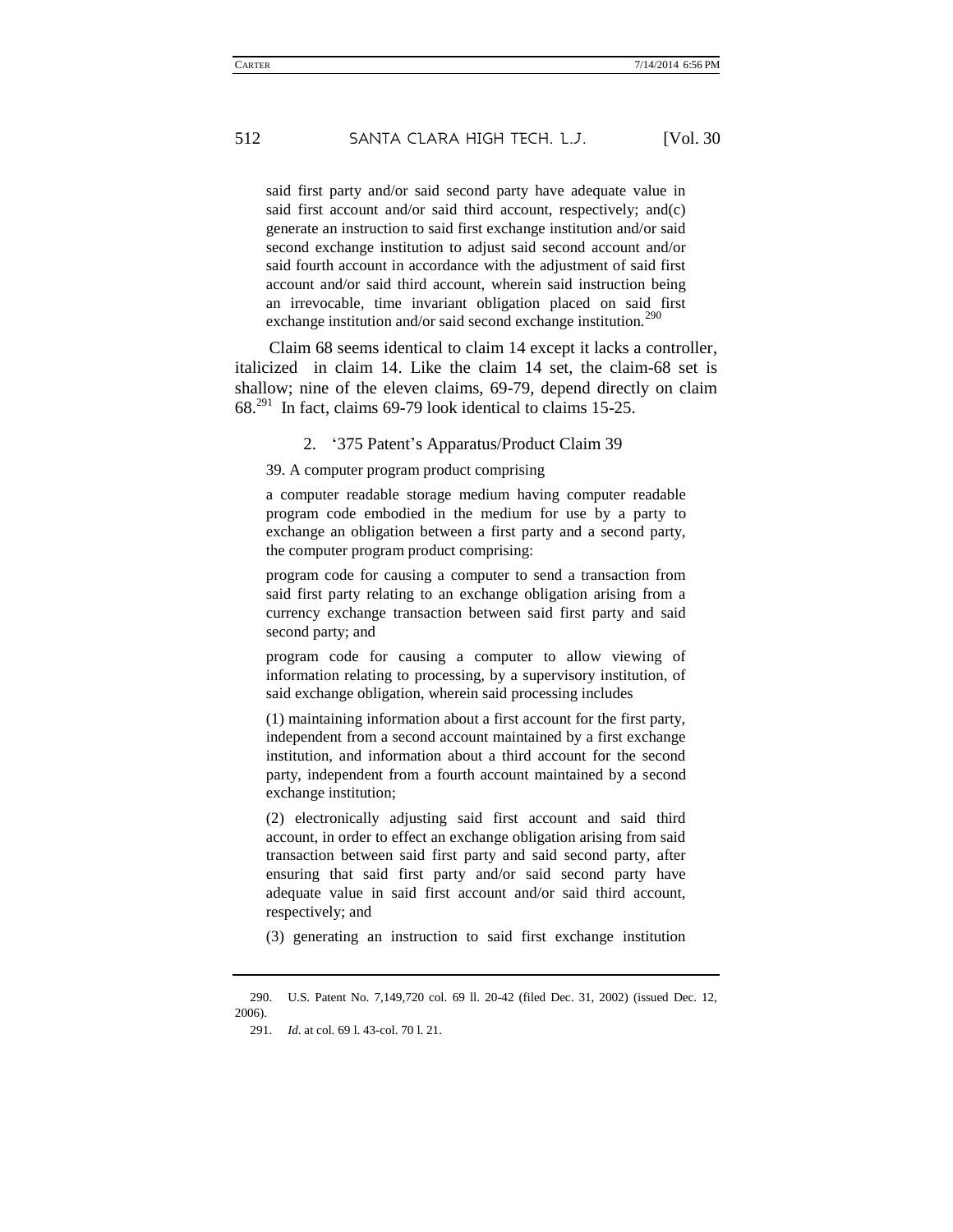said first party and/or said second party have adequate value in said first account and/or said third account, respectively; and(c) generate an instruction to said first exchange institution and/or said second exchange institution to adjust said second account and/or said fourth account in accordance with the adjustment of said first account and/or said third account, wherein said instruction being an irrevocable, time invariant obligation placed on said first exchange institution and/or said second exchange institution.<sup>290</sup>

Claim 68 seems identical to claim 14 except it lacks a controller, italicized in claim 14. Like the claim 14 set, the claim-68 set is shallow; nine of the eleven claims, 69-79, depend directly on claim  $68.^{291}$  In fact, claims 69-79 look identical to claims 15-25.

2. '375 Patent's Apparatus/Product Claim 39

39. A computer program product comprising

a computer readable storage medium having computer readable program code embodied in the medium for use by a party to exchange an obligation between a first party and a second party, the computer program product comprising:

program code for causing a computer to send a transaction from said first party relating to an exchange obligation arising from a currency exchange transaction between said first party and said second party; and

program code for causing a computer to allow viewing of information relating to processing, by a supervisory institution, of said exchange obligation, wherein said processing includes

(1) maintaining information about a first account for the first party, independent from a second account maintained by a first exchange institution, and information about a third account for the second party, independent from a fourth account maintained by a second exchange institution;

(2) electronically adjusting said first account and said third account, in order to effect an exchange obligation arising from said transaction between said first party and said second party, after ensuring that said first party and/or said second party have adequate value in said first account and/or said third account, respectively; and

(3) generating an instruction to said first exchange institution

<sup>290.</sup> U.S. Patent No. 7,149,720 col. 69 ll. 20-42 (filed Dec. 31, 2002) (issued Dec. 12, 2006).

<sup>291.</sup> *Id*. at col. 69 l. 43-col. 70 l. 21.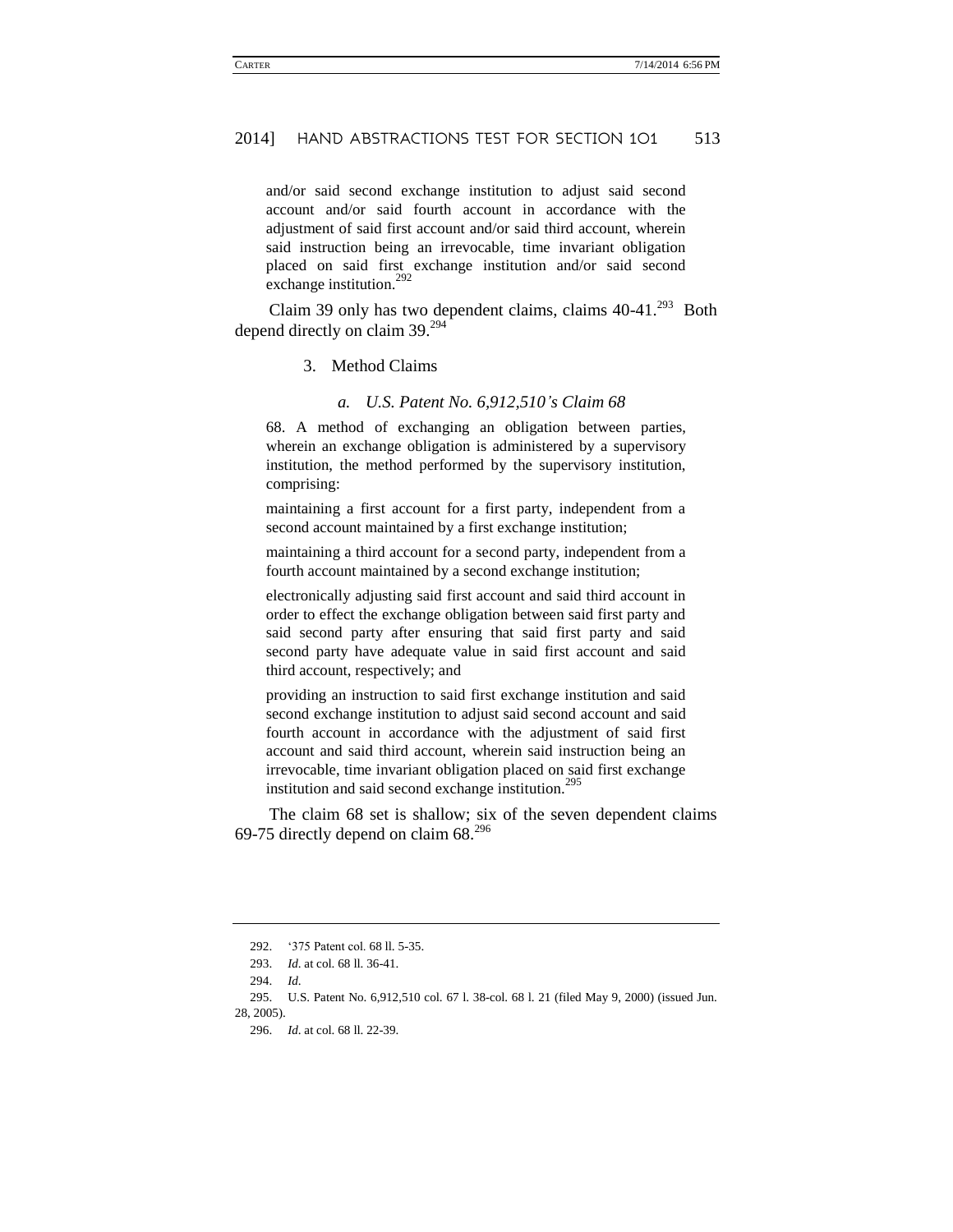and/or said second exchange institution to adjust said second account and/or said fourth account in accordance with the adjustment of said first account and/or said third account, wherein said instruction being an irrevocable, time invariant obligation placed on said first exchange institution and/or said second exchange institution.<sup>292</sup>

Claim 39 only has two dependent claims, claims  $40-41.^{293}$  Both depend directly on claim 39.<sup>294</sup>

#### 3. Method Claims

#### *a. U.S. Patent No. 6,912,510's Claim 68*

68. A method of exchanging an obligation between parties, wherein an exchange obligation is administered by a supervisory institution, the method performed by the supervisory institution, comprising:

maintaining a first account for a first party, independent from a second account maintained by a first exchange institution;

maintaining a third account for a second party, independent from a fourth account maintained by a second exchange institution;

electronically adjusting said first account and said third account in order to effect the exchange obligation between said first party and said second party after ensuring that said first party and said second party have adequate value in said first account and said third account, respectively; and

providing an instruction to said first exchange institution and said second exchange institution to adjust said second account and said fourth account in accordance with the adjustment of said first account and said third account, wherein said instruction being an irrevocable, time invariant obligation placed on said first exchange institution and said second exchange institution.<sup>295</sup>

The claim 68 set is shallow; six of the seven dependent claims 69-75 directly depend on claim  $68.^{296}$ 

<sup>292.</sup> '375 Patent col. 68 ll. 5-35.

<sup>293.</sup> *Id*. at col. 68 ll. 36-41.

<sup>294.</sup> *Id*.

<sup>295.</sup> U.S. Patent No. 6,912,510 col. 67 l. 38-col. 68 l. 21 (filed May 9, 2000) (issued Jun. 28, 2005).

<sup>296.</sup> *Id*. at col. 68 ll. 22-39.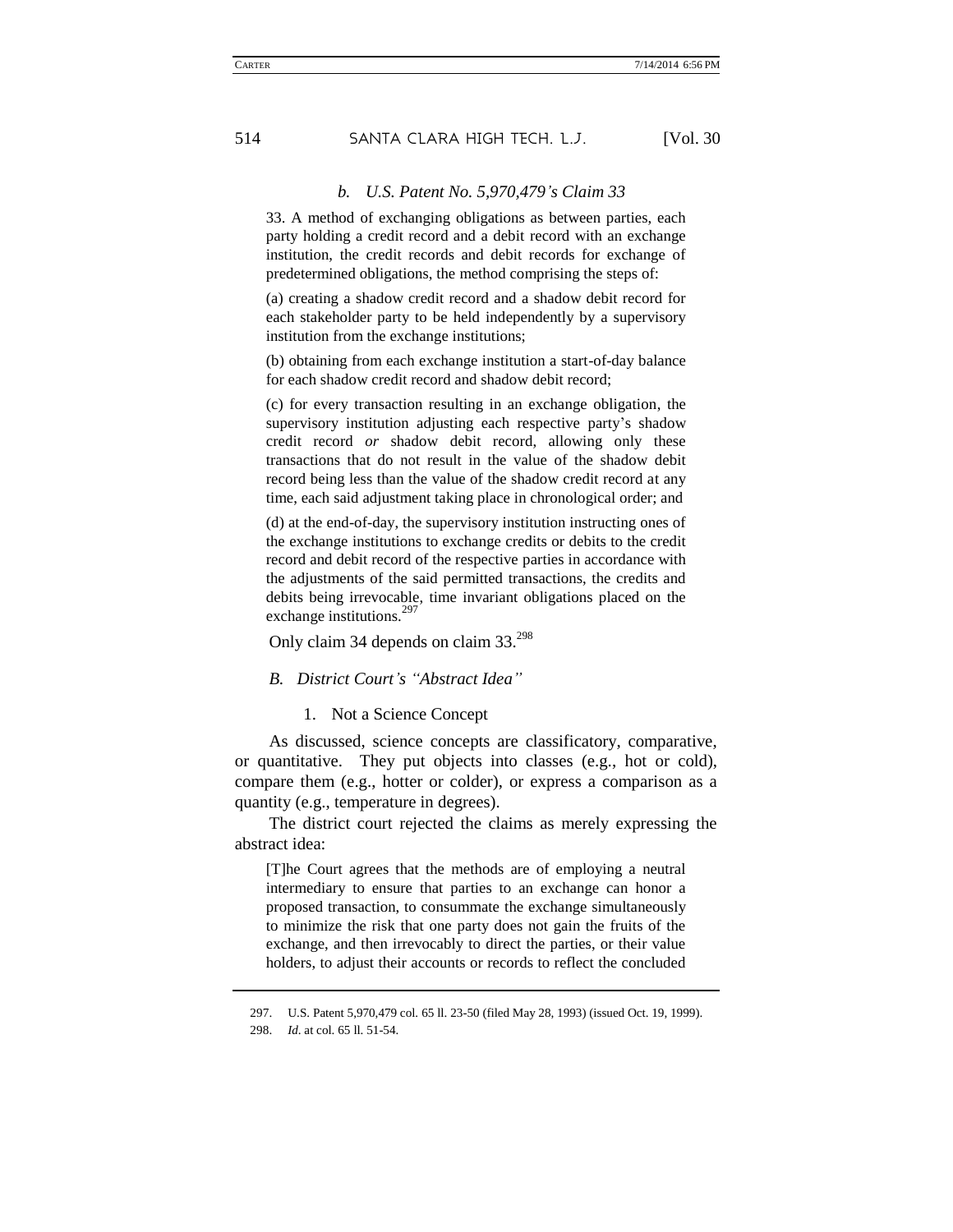#### *b. U.S. Patent No. 5,970,479's Claim 33*

33. A method of exchanging obligations as between parties, each party holding a credit record and a debit record with an exchange institution, the credit records and debit records for exchange of predetermined obligations, the method comprising the steps of:

(a) creating a shadow credit record and a shadow debit record for each stakeholder party to be held independently by a supervisory institution from the exchange institutions;

(b) obtaining from each exchange institution a start-of-day balance for each shadow credit record and shadow debit record;

(c) for every transaction resulting in an exchange obligation, the supervisory institution adjusting each respective party's shadow credit record *or* shadow debit record, allowing only these transactions that do not result in the value of the shadow debit record being less than the value of the shadow credit record at any time, each said adjustment taking place in chronological order; and

(d) at the end-of-day, the supervisory institution instructing ones of the exchange institutions to exchange credits or debits to the credit record and debit record of the respective parties in accordance with the adjustments of the said permitted transactions, the credits and debits being irrevocable, time invariant obligations placed on the exchange institutions.<sup>297</sup>

Only claim 34 depends on claim 33.<sup>298</sup>

#### *B. District Court's "Abstract Idea"*

1. Not a Science Concept

As discussed, science concepts are classificatory, comparative, or quantitative. They put objects into classes (e.g., hot or cold), compare them (e.g., hotter or colder), or express a comparison as a quantity (e.g., temperature in degrees).

The district court rejected the claims as merely expressing the abstract idea:

[T]he Court agrees that the methods are of employing a neutral intermediary to ensure that parties to an exchange can honor a proposed transaction, to consummate the exchange simultaneously to minimize the risk that one party does not gain the fruits of the exchange, and then irrevocably to direct the parties, or their value holders, to adjust their accounts or records to reflect the concluded

<sup>297.</sup> U.S. Patent 5,970,479 col. 65 ll. 23-50 (filed May 28, 1993) (issued Oct. 19, 1999).

<sup>298.</sup> *Id*. at col. 65 ll. 51-54.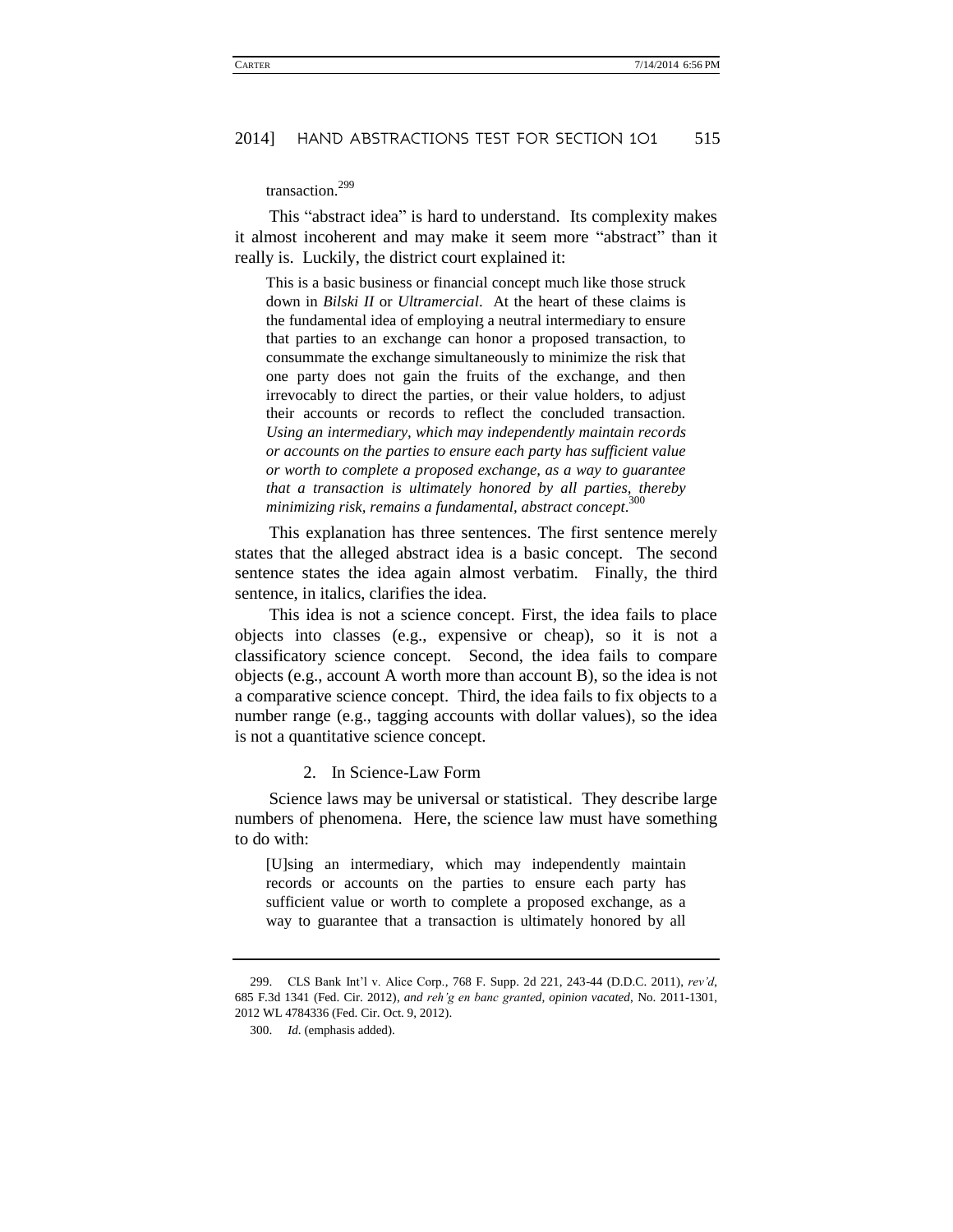## transaction.<sup>299</sup>

This "abstract idea" is hard to understand. Its complexity makes it almost incoherent and may make it seem more "abstract" than it really is. Luckily, the district court explained it:

This is a basic business or financial concept much like those struck down in *Bilski II* or *Ultramercial*. At the heart of these claims is the fundamental idea of employing a neutral intermediary to ensure that parties to an exchange can honor a proposed transaction, to consummate the exchange simultaneously to minimize the risk that one party does not gain the fruits of the exchange, and then irrevocably to direct the parties, or their value holders, to adjust their accounts or records to reflect the concluded transaction. *Using an intermediary, which may independently maintain records or accounts on the parties to ensure each party has sufficient value or worth to complete a proposed exchange, as a way to guarantee that a transaction is ultimately honored by all parties, thereby minimizing risk, remains a fundamental, abstract concept*. 300

This explanation has three sentences. The first sentence merely states that the alleged abstract idea is a basic concept. The second sentence states the idea again almost verbatim. Finally, the third sentence, in italics, clarifies the idea.

This idea is not a science concept. First, the idea fails to place objects into classes (e.g., expensive or cheap), so it is not a classificatory science concept. Second, the idea fails to compare objects (e.g., account A worth more than account B), so the idea is not a comparative science concept. Third, the idea fails to fix objects to a number range (e.g., tagging accounts with dollar values), so the idea is not a quantitative science concept.

2. In Science-Law Form

Science laws may be universal or statistical. They describe large numbers of phenomena. Here, the science law must have something to do with:

[U]sing an intermediary, which may independently maintain records or accounts on the parties to ensure each party has sufficient value or worth to complete a proposed exchange, as a way to guarantee that a transaction is ultimately honored by all

<sup>299.</sup> CLS Bank Int'l v. Alice Corp., 768 F. Supp. 2d 221, 243-44 (D.D.C. 2011), *rev'd*, 685 F.3d 1341 (Fed. Cir. 2012), *and reh'g en banc granted, opinion vacated*, No. 2011-1301, 2012 WL 4784336 (Fed. Cir. Oct. 9, 2012).

<sup>300.</sup> *Id*. (emphasis added).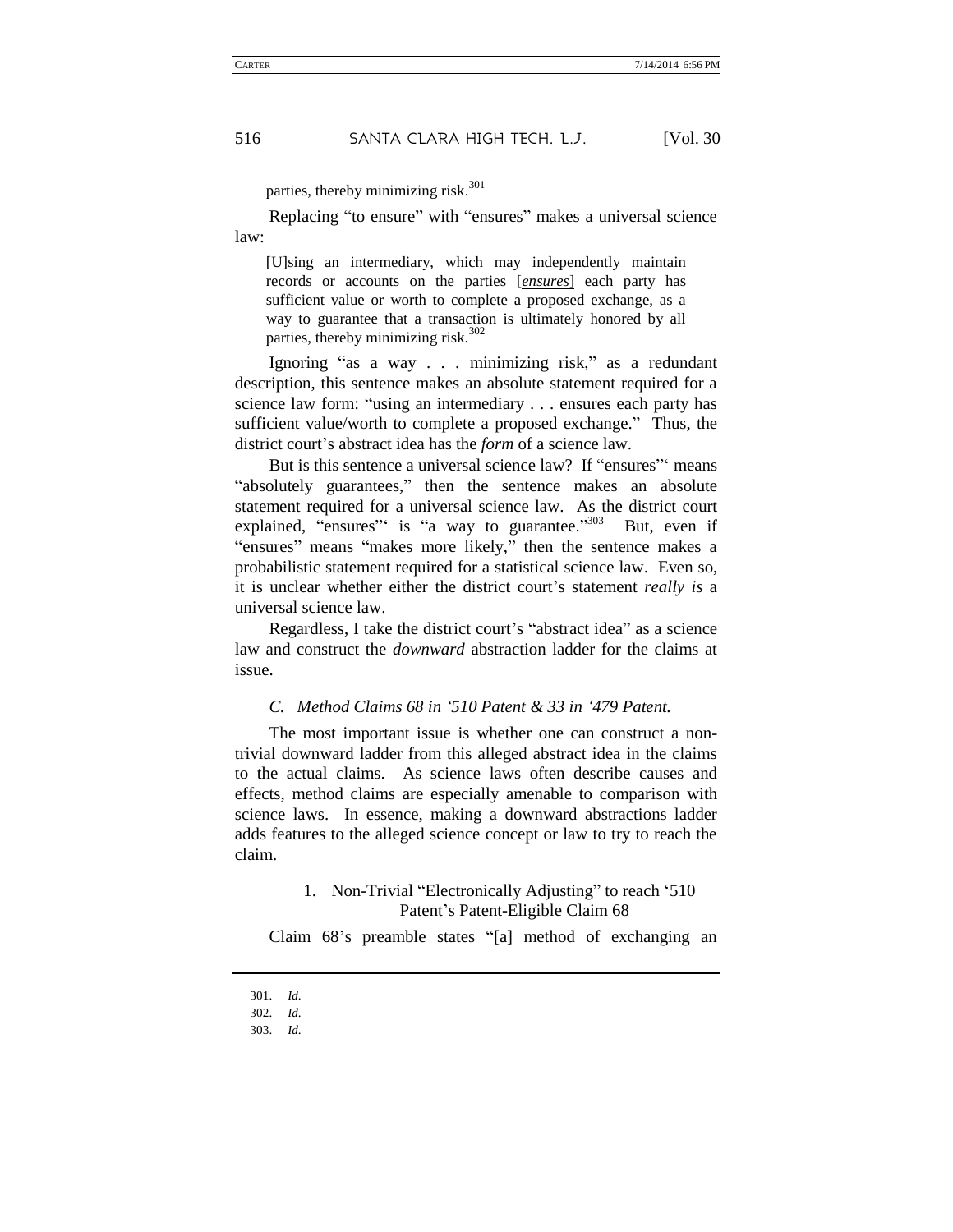parties, thereby minimizing risk. 301

Replacing "to ensure" with "ensures" makes a universal science law:

[U]sing an intermediary, which may independently maintain records or accounts on the parties [*ensures*] each party has sufficient value or worth to complete a proposed exchange, as a way to guarantee that a transaction is ultimately honored by all parties, thereby minimizing risk.<sup>302</sup>

Ignoring "as a way . . . minimizing risk," as a redundant description, this sentence makes an absolute statement required for a science law form: "using an intermediary . . . ensures each party has sufficient value/worth to complete a proposed exchange." Thus, the district court's abstract idea has the *form* of a science law.

But is this sentence a universal science law? If "ensures" means "absolutely guarantees," then the sentence makes an absolute statement required for a universal science law. As the district court explained, "ensures" is "a way to guarantee."<sup>303</sup> But, even if "ensures" means "makes more likely," then the sentence makes a probabilistic statement required for a statistical science law. Even so, it is unclear whether either the district court's statement *really is* a universal science law.

Regardless, I take the district court's "abstract idea" as a science law and construct the *downward* abstraction ladder for the claims at issue.

### *C. Method Claims 68 in '510 Patent & 33 in '479 Patent.*

The most important issue is whether one can construct a nontrivial downward ladder from this alleged abstract idea in the claims to the actual claims. As science laws often describe causes and effects, method claims are especially amenable to comparison with science laws. In essence, making a downward abstractions ladder adds features to the alleged science concept or law to try to reach the claim.

### 1. Non-Trivial "Electronically Adjusting" to reach '510 Patent's Patent-Eligible Claim 68

Claim 68's preamble states "[a] method of exchanging an

<sup>301.</sup> *Id*.

<sup>302.</sup> *Id*.

<sup>303.</sup> *Id*.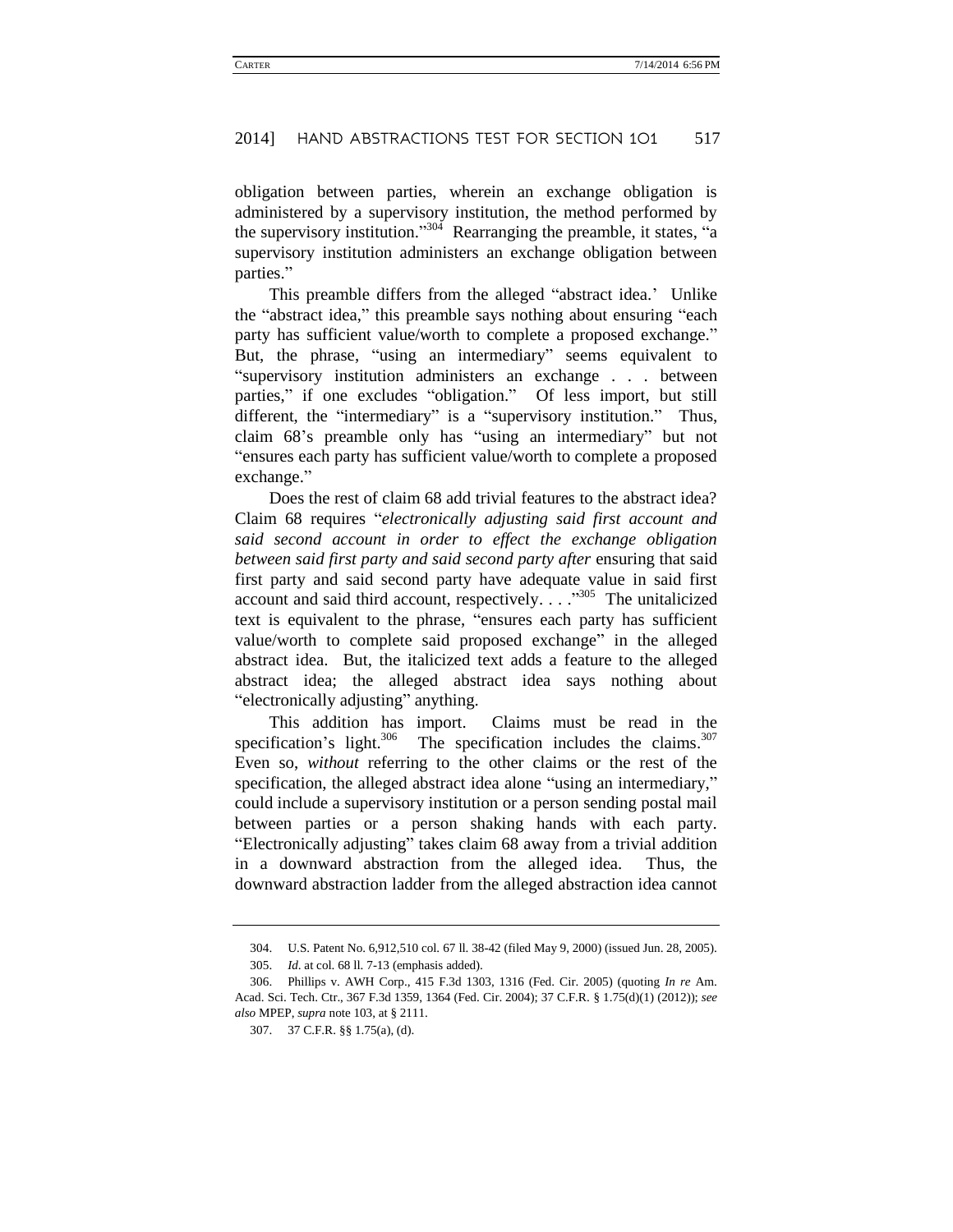obligation between parties, wherein an exchange obligation is administered by a supervisory institution, the method performed by the supervisory institution."<sup>304</sup> Rearranging the preamble, it states, "a supervisory institution administers an exchange obligation between parties."

This preamble differs from the alleged "abstract idea.' Unlike the "abstract idea," this preamble says nothing about ensuring "each party has sufficient value/worth to complete a proposed exchange." But, the phrase, "using an intermediary" seems equivalent to "supervisory institution administers an exchange . . . between parties," if one excludes "obligation." Of less import, but still different, the "intermediary" is a "supervisory institution." Thus, claim 68's preamble only has "using an intermediary" but not "ensures each party has sufficient value/worth to complete a proposed exchange."

Does the rest of claim 68 add trivial features to the abstract idea? Claim 68 requires "*electronically adjusting said first account and said second account in order to effect the exchange obligation between said first party and said second party after* ensuring that said first party and said second party have adequate value in said first account and said third account, respectively. . . .<sup>3305</sup> The unitalicized text is equivalent to the phrase, "ensures each party has sufficient value/worth to complete said proposed exchange" in the alleged abstract idea. But, the italicized text adds a feature to the alleged abstract idea; the alleged abstract idea says nothing about "electronically adjusting" anything.

This addition has import. Claims must be read in the specification's light.<sup>306</sup> The specification includes the claims.<sup>307</sup> Even so, *without* referring to the other claims or the rest of the specification, the alleged abstract idea alone "using an intermediary," could include a supervisory institution or a person sending postal mail between parties or a person shaking hands with each party. "Electronically adjusting" takes claim 68 away from a trivial addition in a downward abstraction from the alleged idea. Thus, the downward abstraction ladder from the alleged abstraction idea cannot

<sup>304.</sup> U.S. Patent No. 6,912,510 col. 67 ll. 38-42 (filed May 9, 2000) (issued Jun. 28, 2005). 305. *Id*. at col. 68 ll. 7-13 (emphasis added).

<sup>306.</sup> Phillips v. AWH Corp., 415 F.3d 1303, 1316 (Fed. Cir. 2005) (quoting *In re* Am. Acad. Sci. Tech. Ctr., 367 F.3d 1359, 1364 (Fed. Cir. 2004); 37 C.F.R. § 1.75(d)(1) (2012)); *see also* MPEP, *supra* note 103, at § 2111.

<sup>307.</sup> 37 C.F.R. §§ 1.75(a), (d).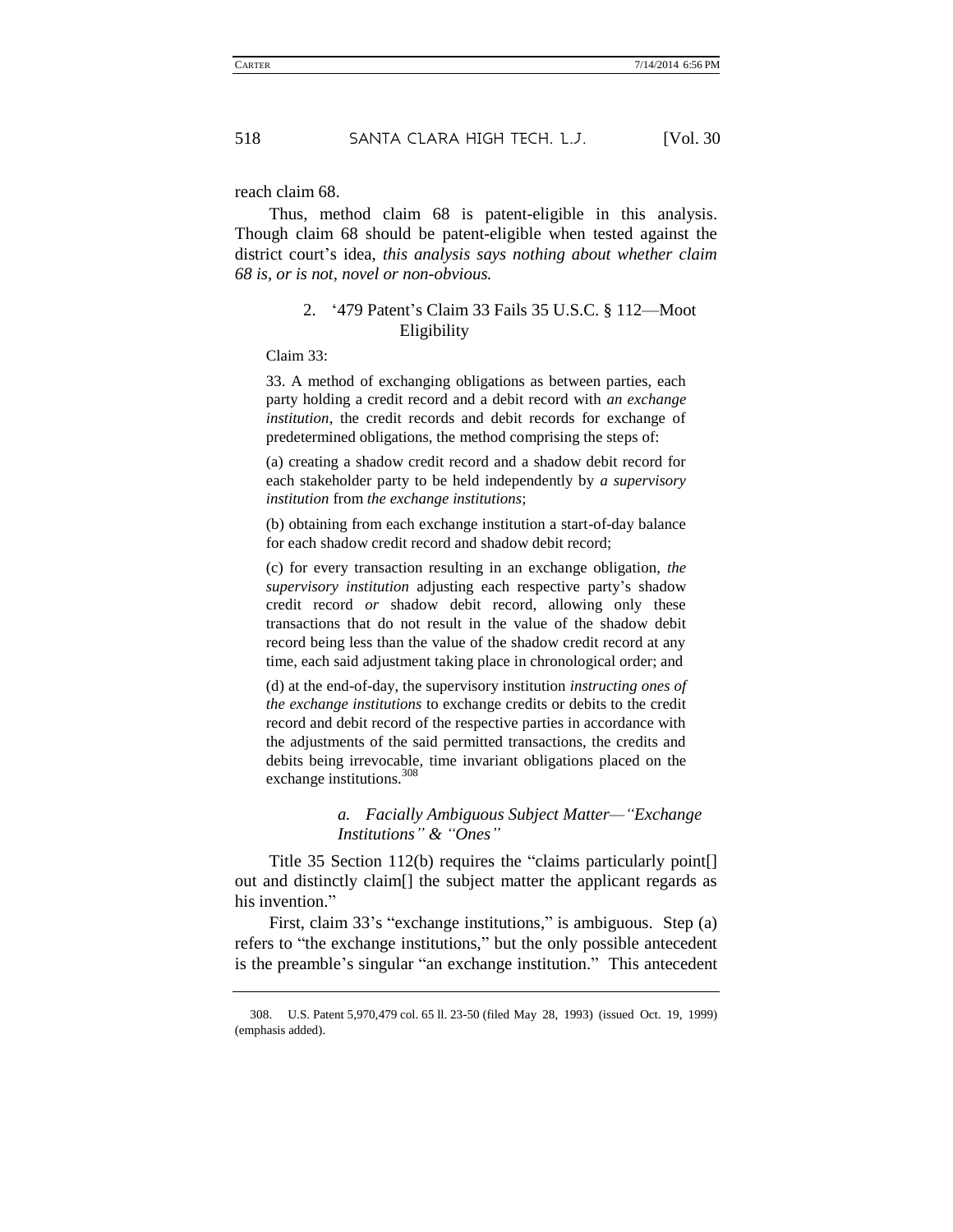reach claim 68.

Thus, method claim 68 is patent-eligible in this analysis. Though claim 68 should be patent-eligible when tested against the district court's idea, *this analysis says nothing about whether claim 68 is, or is not, novel or non-obvious.*

### 2. '479 Patent's Claim 33 Fails 35 U.S.C. § 112—Moot Eligibility

Claim 33:

33. A method of exchanging obligations as between parties, each party holding a credit record and a debit record with *an exchange institution*, the credit records and debit records for exchange of predetermined obligations, the method comprising the steps of:

(a) creating a shadow credit record and a shadow debit record for each stakeholder party to be held independently by *a supervisory institution* from *the exchange institutions*;

(b) obtaining from each exchange institution a start-of-day balance for each shadow credit record and shadow debit record;

(c) for every transaction resulting in an exchange obligation, *the supervisory institution* adjusting each respective party's shadow credit record *or* shadow debit record, allowing only these transactions that do not result in the value of the shadow debit record being less than the value of the shadow credit record at any time, each said adjustment taking place in chronological order; and

(d) at the end-of-day, the supervisory institution *instructing ones of the exchange institutions* to exchange credits or debits to the credit record and debit record of the respective parties in accordance with the adjustments of the said permitted transactions, the credits and debits being irrevocable, time invariant obligations placed on the exchange institutions.<sup>308</sup>

### *a. Facially Ambiguous Subject Matter—"Exchange Institutions" & "Ones"*

Title 35 Section 112(b) requires the "claims particularly point[] out and distinctly claim[] the subject matter the applicant regards as his invention."

First, claim 33's "exchange institutions," is ambiguous. Step (a) refers to "the exchange institutions," but the only possible antecedent is the preamble's singular "an exchange institution." This antecedent

<sup>308.</sup> U.S. Patent 5,970,479 col. 65 ll. 23-50 (filed May 28, 1993) (issued Oct. 19, 1999) (emphasis added).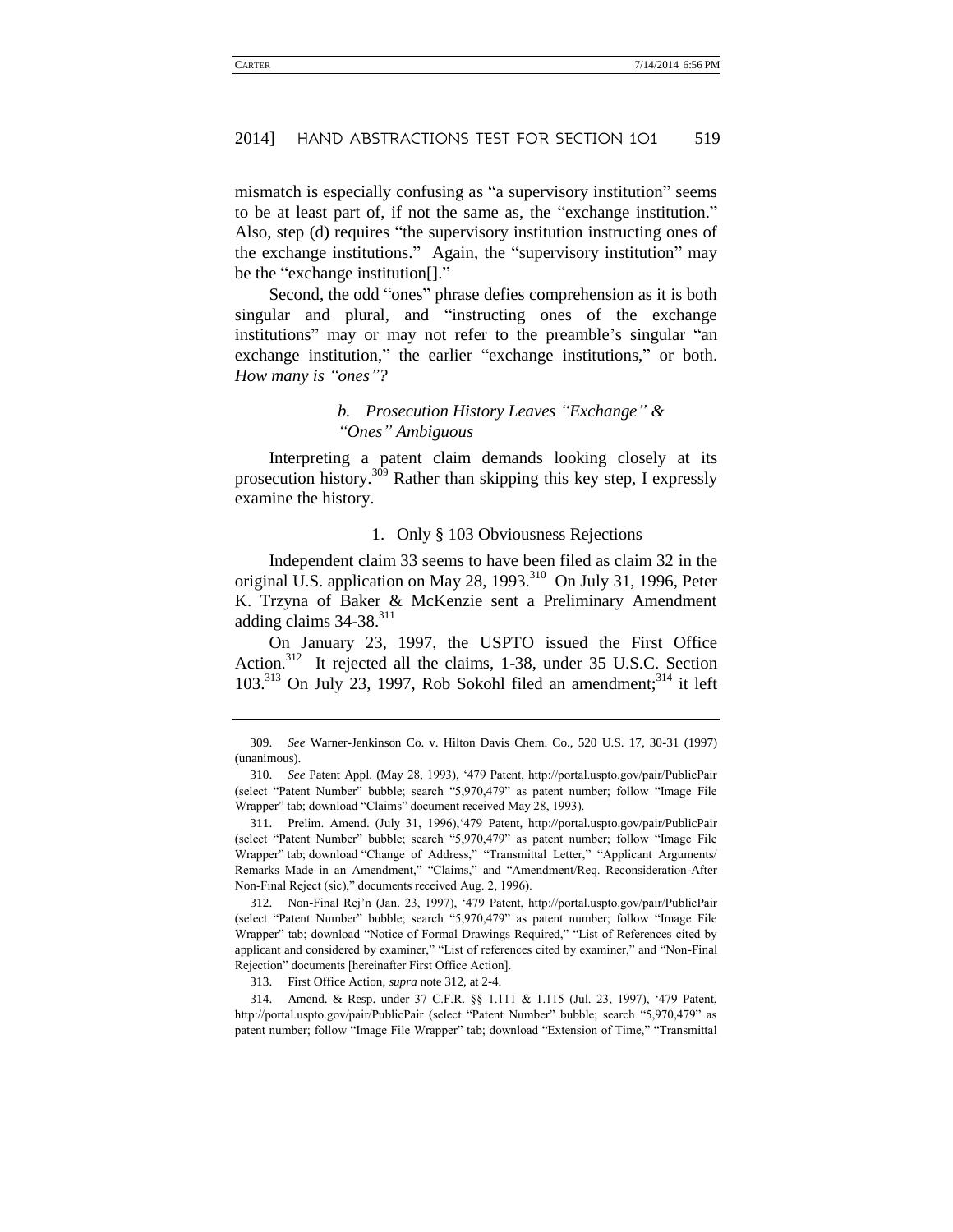mismatch is especially confusing as "a supervisory institution" seems to be at least part of, if not the same as, the "exchange institution." Also, step (d) requires "the supervisory institution instructing ones of the exchange institutions." Again, the "supervisory institution" may be the "exchange institution[]."

Second, the odd "ones" phrase defies comprehension as it is both singular and plural, and "instructing ones of the exchange institutions" may or may not refer to the preamble's singular "an exchange institution," the earlier "exchange institutions," or both. *How many is "ones"?*

### *b. Prosecution History Leaves "Exchange" & "Ones" Ambiguous*

Interpreting a patent claim demands looking closely at its prosecution history.<sup>309</sup> Rather than skipping this key step, I expressly examine the history.

#### 1. Only § 103 Obviousness Rejections

Independent claim 33 seems to have been filed as claim 32 in the original U.S. application on May 28,  $1993<sup>310</sup>$  On July 31, 1996, Peter K. Trzyna of Baker & McKenzie sent a Preliminary Amendment adding claims  $34-38$ .<sup>311</sup>

On January 23, 1997, the USPTO issued the First Office Action.<sup>312</sup> It rejected all the claims, 1-38, under 35 U.S.C. Section 103.<sup>313</sup> On July 23, 1997, Rob Sokohl filed an amendment;<sup>314</sup> it left

313. First Office Action, *supra* note 312, at 2-4.

314. Amend. & Resp. under 37 C.F.R. §§ 1.111 & 1.115 (Jul. 23, 1997), '479 Patent, http://portal.uspto.gov/pair/PublicPair (select "Patent Number" bubble; search "5,970,479" as patent number; follow "Image File Wrapper" tab; download "Extension of Time," "Transmittal

<sup>309.</sup> *See* Warner-Jenkinson Co. v. Hilton Davis Chem. Co., 520 U.S. 17, 30-31 (1997) (unanimous).

<sup>310.</sup> *See* Patent Appl. (May 28, 1993), '479 Patent, http://portal.uspto.gov/pair/PublicPair (select "Patent Number" bubble; search "5,970,479" as patent number; follow "Image File Wrapper" tab; download "Claims" document received May 28, 1993).

<sup>311.</sup> Prelim. Amend. (July 31, 1996),'479 Patent, http://portal.uspto.gov/pair/PublicPair (select "Patent Number" bubble; search "5,970,479" as patent number; follow "Image File Wrapper" tab; download "Change of Address," "Transmittal Letter," "Applicant Arguments/ Remarks Made in an Amendment," "Claims," and "Amendment/Req. Reconsideration-After Non-Final Reject (sic)," documents received Aug. 2, 1996).

<sup>312.</sup> Non-Final Rej'n (Jan. 23, 1997), '479 Patent, http://portal.uspto.gov/pair/PublicPair (select "Patent Number" bubble; search "5,970,479" as patent number; follow "Image File Wrapper" tab; download "Notice of Formal Drawings Required," "List of References cited by applicant and considered by examiner," "List of references cited by examiner," and "Non-Final Rejection" documents [hereinafter First Office Action].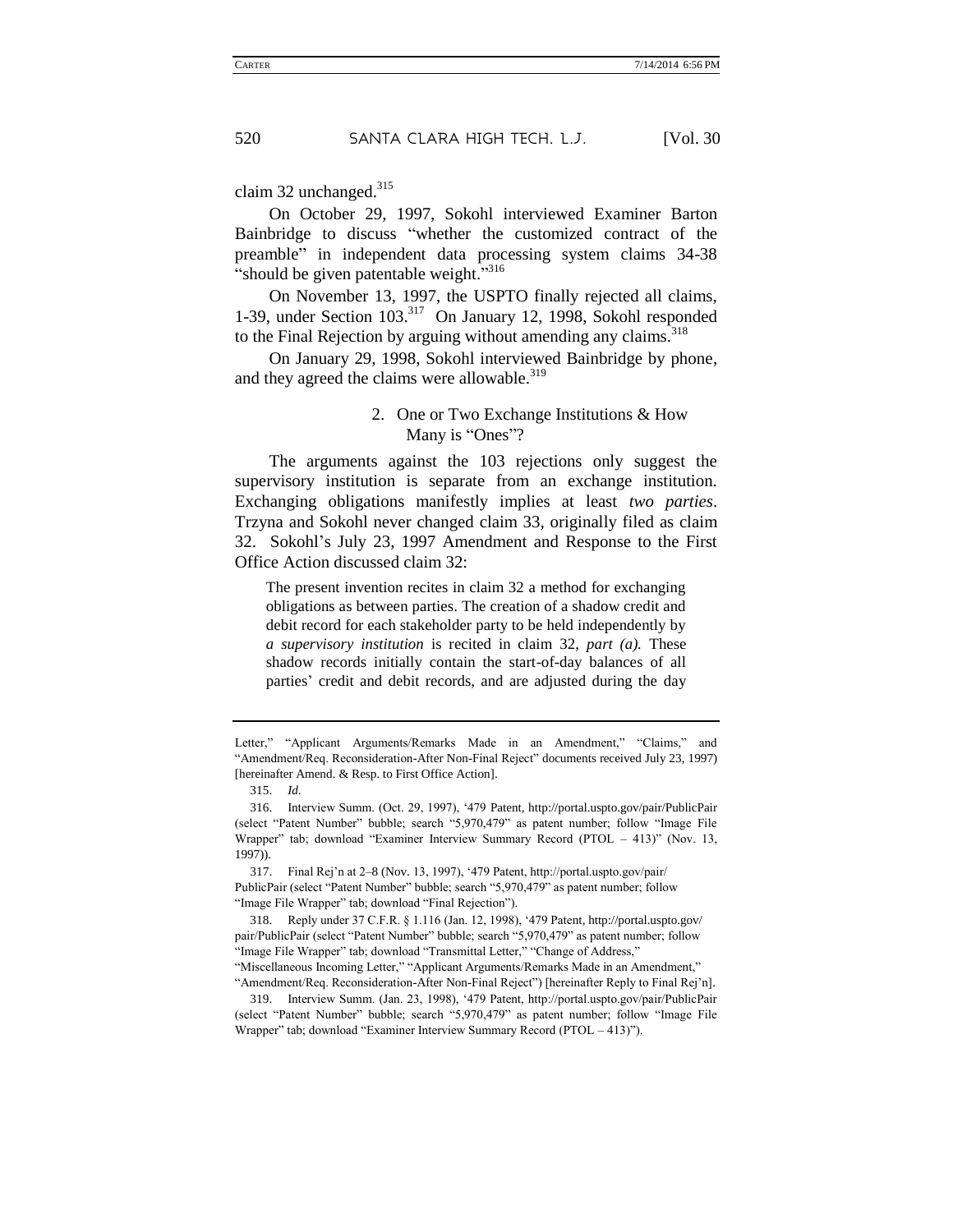claim 32 unchanged. $315$ 

On October 29, 1997, Sokohl interviewed Examiner Barton Bainbridge to discuss "whether the customized contract of the preamble" in independent data processing system claims 34-38 "should be given patentable weight."<sup>316</sup>

On November 13, 1997, the USPTO finally rejected all claims, 1-39, under Section 103.<sup>317</sup> On January 12, 1998, Sokohl responded to the Final Rejection by arguing without amending any claims.<sup>318</sup>

On January 29, 1998, Sokohl interviewed Bainbridge by phone, and they agreed the claims were allowable.<sup>319</sup>

### 2. One or Two Exchange Institutions & How Many is "Ones"?

The arguments against the 103 rejections only suggest the supervisory institution is separate from an exchange institution. Exchanging obligations manifestly implies at least *two parties*. Trzyna and Sokohl never changed claim 33, originally filed as claim 32. Sokohl's July 23, 1997 Amendment and Response to the First Office Action discussed claim 32:

The present invention recites in claim 32 a method for exchanging obligations as between parties. The creation of a shadow credit and debit record for each stakeholder party to be held independently by *a supervisory institution* is recited in claim 32, *part (a).* These shadow records initially contain the start-of-day balances of all parties' credit and debit records, and are adjusted during the day

Letter," "Applicant Arguments/Remarks Made in an Amendment," "Claims," and "Amendment/Req. Reconsideration-After Non-Final Reject" documents received July 23, 1997) [hereinafter Amend. & Resp. to First Office Action].

<sup>315.</sup> *Id*.

<sup>316.</sup> Interview Summ. (Oct. 29, 1997), '479 Patent, http://portal.uspto.gov/pair/PublicPair (select "Patent Number" bubble; search "5,970,479" as patent number; follow "Image File Wrapper" tab; download "Examiner Interview Summary Record (PTOL – 413)" (Nov. 13, 1997)).

<sup>317.</sup> Final Rej'n at 2–8 (Nov. 13, 1997), '479 Patent, http://portal.uspto.gov/pair/ PublicPair (select "Patent Number" bubble; search "5,970,479" as patent number; follow "Image File Wrapper" tab; download "Final Rejection").

<sup>318.</sup> Reply under 37 C.F.R. § 1.116 (Jan. 12, 1998), '479 Patent, http://portal.uspto.gov/ pair/PublicPair (select "Patent Number" bubble; search "5,970,479" as patent number; follow "Image File Wrapper" tab; download "Transmittal Letter," "Change of Address," "Miscellaneous Incoming Letter," "Applicant Arguments/Remarks Made in an Amendment,"

<sup>&</sup>quot;Amendment/Req. Reconsideration-After Non-Final Reject") [hereinafter Reply to Final Rej'n].

<sup>319.</sup> Interview Summ. (Jan. 23, 1998), '479 Patent, http://portal.uspto.gov/pair/PublicPair (select "Patent Number" bubble; search "5,970,479" as patent number; follow "Image File Wrapper" tab; download "Examiner Interview Summary Record (PTOL – 413)").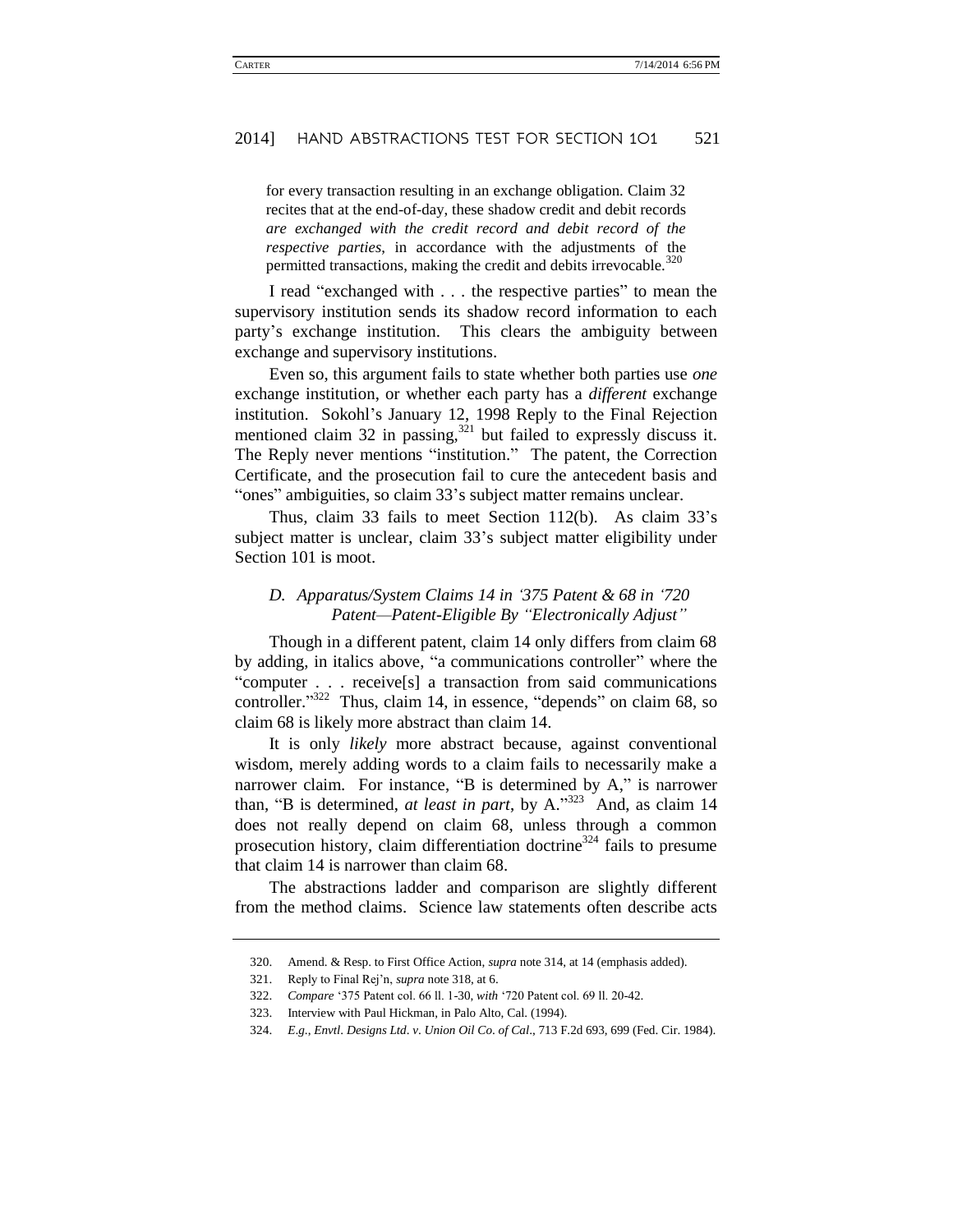for every transaction resulting in an exchange obligation. Claim 32 recites that at the end-of-day, these shadow credit and debit records *are exchanged with the credit record and debit record of the respective parties*, in accordance with the adjustments of the permitted transactions, making the credit and debits irrevocable.<sup>320</sup>

I read "exchanged with . . . the respective parties" to mean the supervisory institution sends its shadow record information to each party's exchange institution. This clears the ambiguity between exchange and supervisory institutions.

Even so, this argument fails to state whether both parties use *one*  exchange institution, or whether each party has a *different* exchange institution. Sokohl's January 12, 1998 Reply to the Final Rejection mentioned claim 32 in passing, $32^{21}$  but failed to expressly discuss it. The Reply never mentions "institution." The patent, the Correction Certificate, and the prosecution fail to cure the antecedent basis and "ones" ambiguities, so claim 33's subject matter remains unclear.

Thus, claim 33 fails to meet Section 112(b). As claim 33's subject matter is unclear, claim 33's subject matter eligibility under Section 101 is moot.

### *D. Apparatus/System Claims 14 in '375 Patent & 68 in '720 Patent—Patent-Eligible By "Electronically Adjust"*

Though in a different patent, claim 14 only differs from claim 68 by adding, in italics above, "a communications controller" where the "computer . . . receive[s] a transaction from said communications controller." <sup>322</sup> Thus, claim 14, in essence, "depends" on claim 68, so claim 68 is likely more abstract than claim 14.

It is only *likely* more abstract because, against conventional wisdom, merely adding words to a claim fails to necessarily make a narrower claim. For instance, "B is determined by A," is narrower than, "B is determined, *at least in part*, by A."<sup>323</sup> And, as claim 14 does not really depend on claim 68, unless through a common prosecution history, claim differentiation doctrine $324$  fails to presume that claim 14 is narrower than claim 68.

The abstractions ladder and comparison are slightly different from the method claims. Science law statements often describe acts

<sup>320.</sup> Amend. & Resp. to First Office Action, *supra* note 314, at 14 (emphasis added).

<sup>321.</sup> Reply to Final Rej'n, *supra* note 318, at 6.

<sup>322.</sup> *Compare* '375 Patent col. 66 ll. 1-30, *with* '720 Patent col. 69 ll. 20-42.

<sup>323.</sup> Interview with Paul Hickman, in Palo Alto, Cal. (1994).

<sup>324.</sup> *E*.*g*., *Envtl*. *Designs Ltd*. *v*. *Union Oil Co*. *of Cal*., 713 F.2d 693, 699 (Fed. Cir. 1984).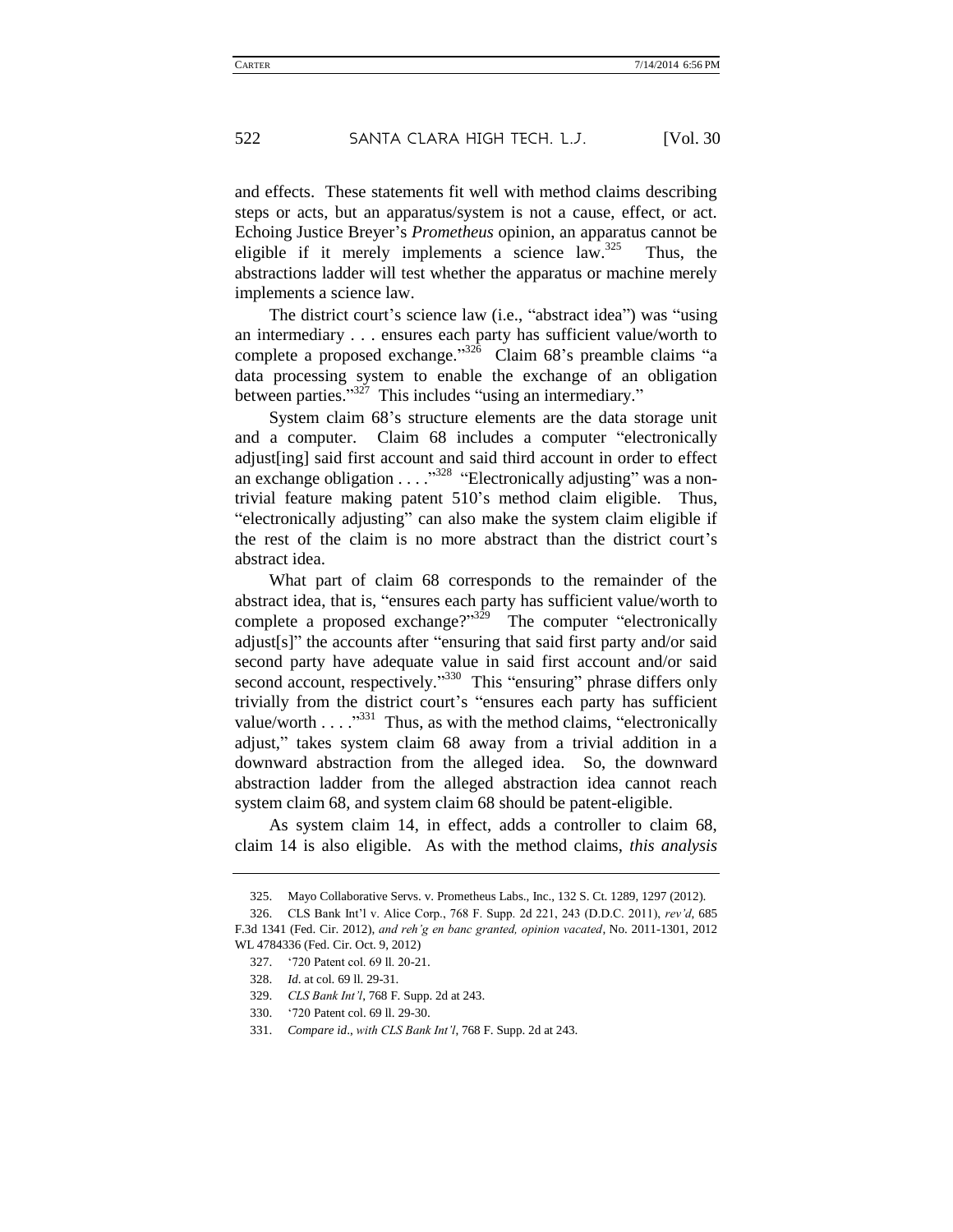and effects. These statements fit well with method claims describing steps or acts, but an apparatus/system is not a cause, effect, or act. Echoing Justice Breyer's *Prometheus* opinion, an apparatus cannot be eligible if it merely implements a science law.<sup>325</sup> Thus, the abstractions ladder will test whether the apparatus or machine merely implements a science law.

The district court's science law (i.e., "abstract idea") was "using an intermediary . . . ensures each party has sufficient value/worth to complete a proposed exchange."<sup>326</sup> Claim 68's preamble claims "a data processing system to enable the exchange of an obligation between parties."<sup>327</sup> This includes "using an intermediary."

System claim 68's structure elements are the data storage unit and a computer. Claim 68 includes a computer "electronically adjust[ing] said first account and said third account in order to effect an exchange obligation  $\ldots$  .  $\cdot$   $\cdot$  "Electronically adjusting" was a nontrivial feature making patent 510's method claim eligible. Thus, "electronically adjusting" can also make the system claim eligible if the rest of the claim is no more abstract than the district court's abstract idea.

What part of claim 68 corresponds to the remainder of the abstract idea, that is, "ensures each party has sufficient value/worth to complete a proposed exchange?"<sup>329</sup> The computer "electronically" adjust[s]" the accounts after "ensuring that said first party and/or said second party have adequate value in said first account and/or said second account, respectively."<sup>330</sup> This "ensuring" phrase differs only trivially from the district court's "ensures each party has sufficient value/worth  $\ldots$ <sup>331</sup> Thus, as with the method claims, "electronically" adjust," takes system claim 68 away from a trivial addition in a downward abstraction from the alleged idea. So, the downward abstraction ladder from the alleged abstraction idea cannot reach system claim 68, and system claim 68 should be patent-eligible.

As system claim 14, in effect, adds a controller to claim 68, claim 14 is also eligible. As with the method claims, *this analysis* 

<sup>325.</sup> Mayo Collaborative Servs. v. Prometheus Labs., Inc., 132 S. Ct. 1289, 1297 (2012).

<sup>326.</sup> CLS Bank Int'l v. Alice Corp., 768 F. Supp. 2d 221, 243 (D.D.C. 2011), *rev'd*, 685 F.3d 1341 (Fed. Cir. 2012), *and reh'g en banc granted, opinion vacated*, No. 2011-1301, 2012 WL 4784336 (Fed. Cir. Oct. 9, 2012)

<sup>327.</sup> '720 Patent col. 69 ll. 20-21.

<sup>328.</sup> *Id*. at col. 69 ll. 29-31.

<sup>329.</sup> *CLS Bank Int'l*, 768 F. Supp. 2d at 243.

<sup>330.</sup> '720 Patent col. 69 ll. 29-30.

<sup>331.</sup> *Compare id*., *with CLS Bank Int'l*, 768 F. Supp. 2d at 243.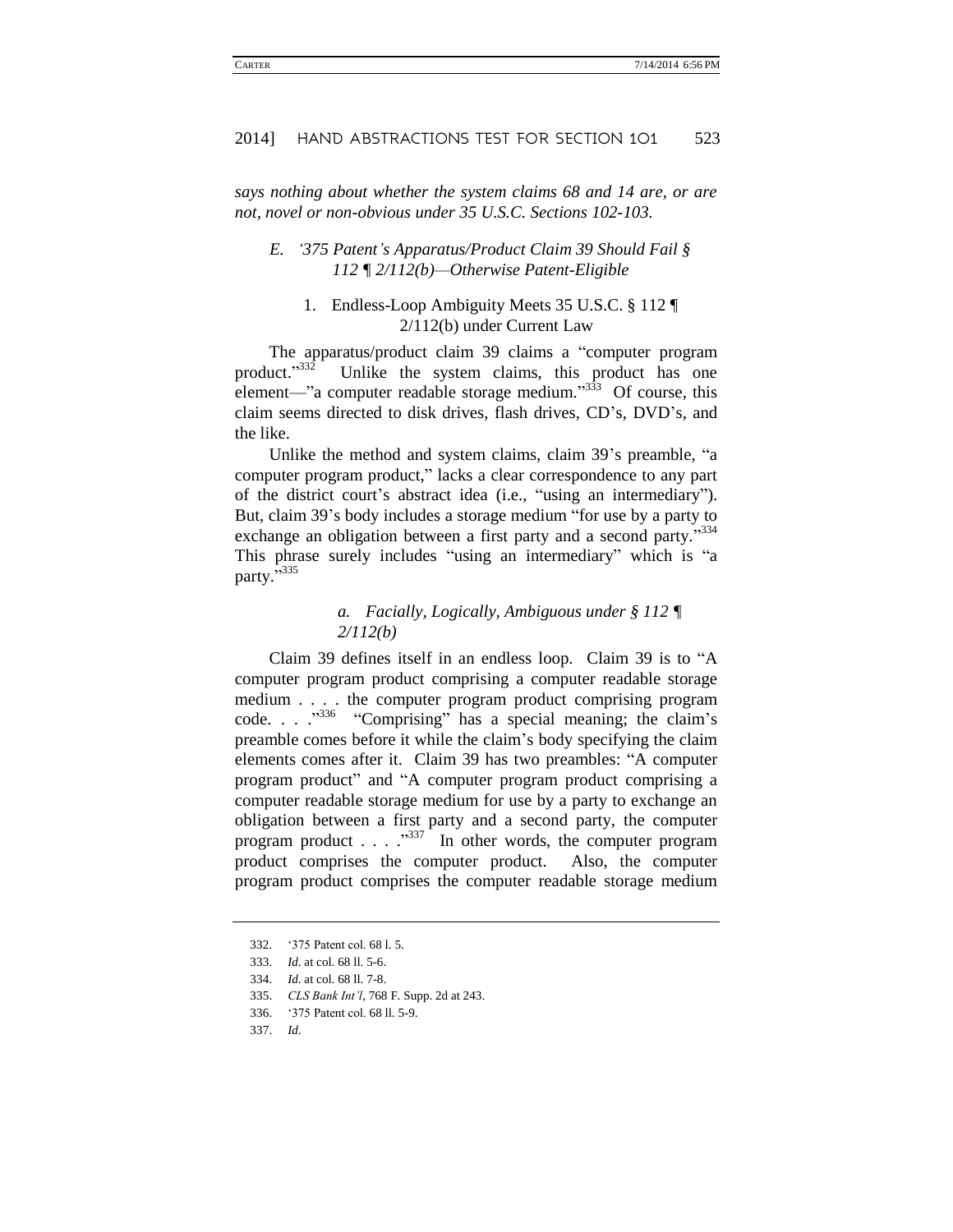*says nothing about whether the system claims 68 and 14 are, or are not, novel or non-obvious under 35 U.S.C. Sections 102-103.*

### *E. '375 Patent's Apparatus/Product Claim 39 Should Fail § 112 ¶ 2/112(b)—Otherwise Patent-Eligible*

### 1. Endless-Loop Ambiguity Meets 35 U.S.C. § 112 ¶ 2/112(b) under Current Law

The apparatus/product claim 39 claims a "computer program product."<sup>332</sup> Unlike the system claims, this product has one element—"a computer readable storage medium."<sup>333</sup> Of course, this claim seems directed to disk drives, flash drives, CD's, DVD's, and the like.

Unlike the method and system claims, claim 39's preamble, "a computer program product," lacks a clear correspondence to any part of the district court's abstract idea (i.e., "using an intermediary"). But, claim 39's body includes a storage medium "for use by a party to exchange an obligation between a first party and a second party."334 This phrase surely includes "using an intermediary" which is "a party.<sup>5335</sup>

### *a. Facially, Logically, Ambiguous under § 112 ¶ 2/112(b)*

Claim 39 defines itself in an endless loop. Claim 39 is to "A computer program product comprising a computer readable storage medium . . . . the computer program product comprising program  $code. . . . <sup>336</sup> "Comparising" has a special meaning; the claim's$ preamble comes before it while the claim's body specifying the claim elements comes after it. Claim 39 has two preambles: "A computer program product" and "A computer program product comprising a computer readable storage medium for use by a party to exchange an obligation between a first party and a second party, the computer program product  $\ldots$   $\ldots$   $\frac{337}{10}$  In other words, the computer program product comprises the computer product. Also, the computer program product comprises the computer readable storage medium

<sup>332.</sup> '375 Patent col. 68 l. 5.

<sup>333.</sup> *Id*. at col. 68 ll. 5-6.

<sup>334.</sup> *Id*. at col. 68 ll. 7-8.

<sup>335.</sup> *CLS Bank Int'l*, 768 F. Supp. 2d at 243.

<sup>336.</sup> '375 Patent col. 68 ll. 5-9.

<sup>337.</sup> *Id*.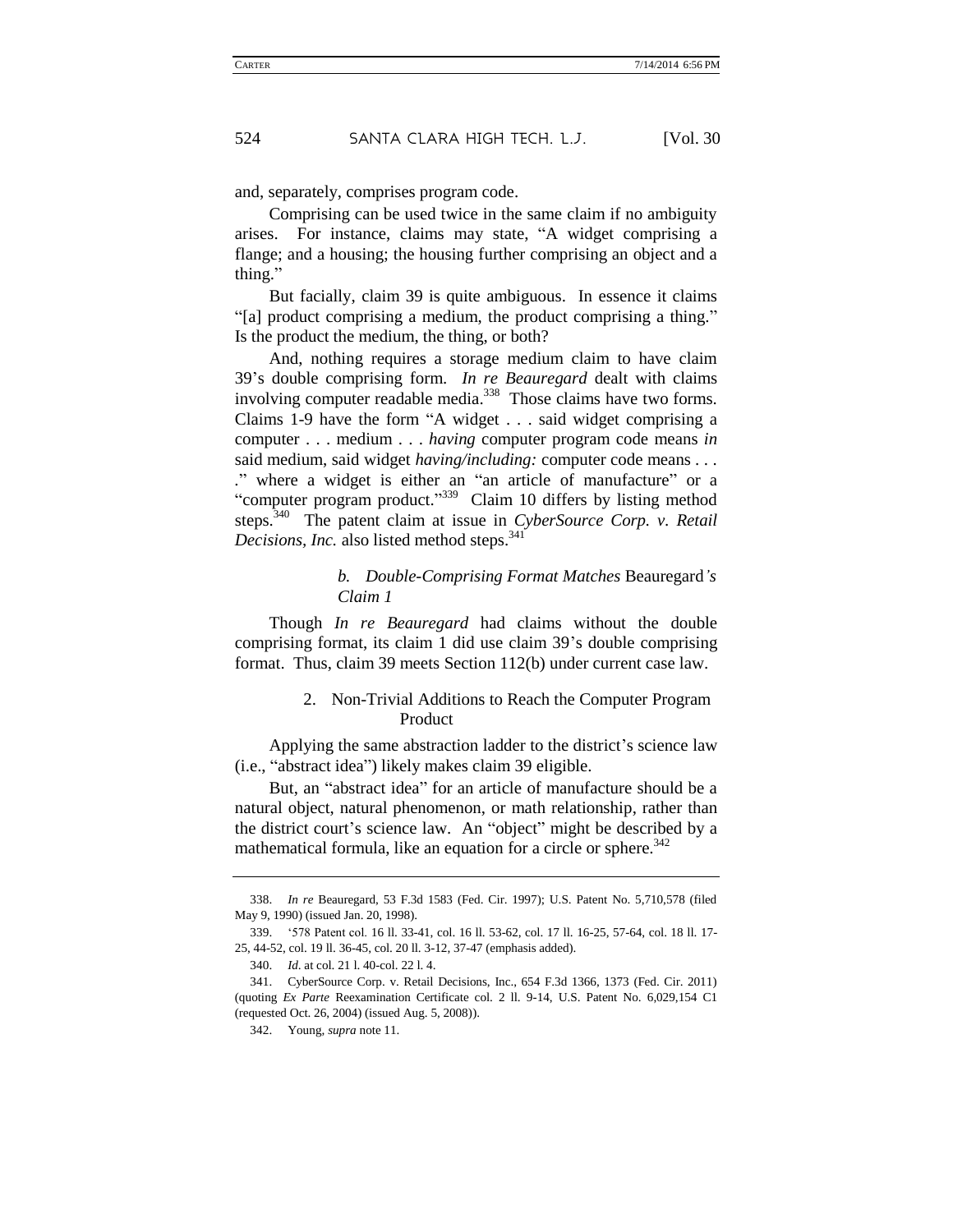and, separately, comprises program code.

Comprising can be used twice in the same claim if no ambiguity arises. For instance, claims may state, "A widget comprising a flange; and a housing; the housing further comprising an object and a thing."

But facially, claim 39 is quite ambiguous. In essence it claims "[a] product comprising a medium, the product comprising a thing." Is the product the medium, the thing, or both?

And, nothing requires a storage medium claim to have claim 39's double comprising form. *In re Beauregard* dealt with claims involving computer readable media.<sup>338</sup> Those claims have two forms. Claims 1-9 have the form "A widget . . . said widget comprising a computer . . . medium . . . *having* computer program code means *in* said medium, said widget *having/including:* computer code means *. . . .*" where a widget is either an "an article of manufacture" or a "computer program product."<sup>339</sup> Claim 10 differs by listing method steps.<sup>340</sup> The patent claim at issue in *CyberSource Corp. v. Retail Decisions, Inc.* also listed method steps.<sup>341</sup>

### *b. Double-Comprising Format Matches* Beauregard*'s Claim 1*

Though *In re Beauregard* had claims without the double comprising format, its claim 1 did use claim 39's double comprising format. Thus, claim 39 meets Section 112(b) under current case law.

### 2. Non-Trivial Additions to Reach the Computer Program Product

Applying the same abstraction ladder to the district's science law (i.e., "abstract idea") likely makes claim 39 eligible.

But, an "abstract idea" for an article of manufacture should be a natural object, natural phenomenon, or math relationship, rather than the district court's science law. An "object" might be described by a mathematical formula, like an equation for a circle or sphere.<sup>342</sup>

<sup>338.</sup> *In re* Beauregard, 53 F.3d 1583 (Fed. Cir. 1997); U.S. Patent No. 5,710,578 (filed May 9, 1990) (issued Jan. 20, 1998).

<sup>339.</sup> '578 Patent col. 16 ll. 33-41, col. 16 ll. 53-62, col. 17 ll. 16-25, 57-64, col. 18 ll. 17- 25, 44-52, col. 19 ll. 36-45, col. 20 ll. 3-12, 37-47 (emphasis added).

<sup>340.</sup> *Id*. at col. 21 l. 40-col. 22 l. 4.

<sup>341.</sup> CyberSource Corp. v. Retail Decisions, Inc., 654 F.3d 1366, 1373 (Fed. Cir. 2011) (quoting *Ex Parte* Reexamination Certificate col. 2 ll. 9-14, U.S. Patent No. 6,029,154 C1 (requested Oct. 26, 2004) (issued Aug. 5, 2008)).

<sup>342.</sup> Young, *supra* note 11.